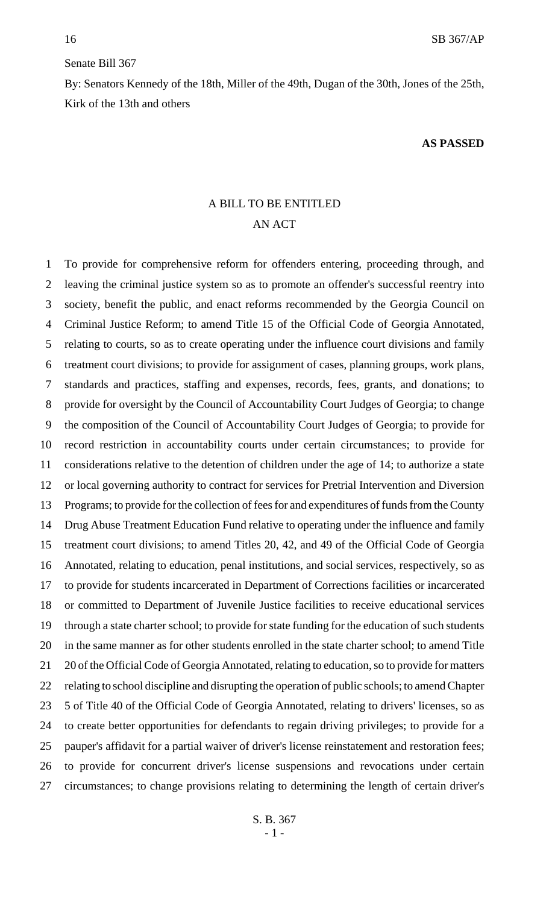### Senate Bill 367

By: Senators Kennedy of the 18th, Miller of the 49th, Dugan of the 30th, Jones of the 25th, Kirk of the 13th and others

#### **AS PASSED**

## A BILL TO BE ENTITLED AN ACT

 To provide for comprehensive reform for offenders entering, proceeding through, and leaving the criminal justice system so as to promote an offender's successful reentry into society, benefit the public, and enact reforms recommended by the Georgia Council on Criminal Justice Reform; to amend Title 15 of the Official Code of Georgia Annotated, relating to courts, so as to create operating under the influence court divisions and family treatment court divisions; to provide for assignment of cases, planning groups, work plans, standards and practices, staffing and expenses, records, fees, grants, and donations; to provide for oversight by the Council of Accountability Court Judges of Georgia; to change the composition of the Council of Accountability Court Judges of Georgia; to provide for record restriction in accountability courts under certain circumstances; to provide for considerations relative to the detention of children under the age of 14; to authorize a state or local governing authority to contract for services for Pretrial Intervention and Diversion Programs; to provide for the collection of fees for and expenditures of funds from the County Drug Abuse Treatment Education Fund relative to operating under the influence and family treatment court divisions; to amend Titles 20, 42, and 49 of the Official Code of Georgia Annotated, relating to education, penal institutions, and social services, respectively, so as to provide for students incarcerated in Department of Corrections facilities or incarcerated or committed to Department of Juvenile Justice facilities to receive educational services through a state charter school; to provide for state funding for the education of such students in the same manner as for other students enrolled in the state charter school; to amend Title 20 of the Official Code of Georgia Annotated, relating to education, so to provide for matters relating to school discipline and disrupting the operation of public schools; to amend Chapter 5 of Title 40 of the Official Code of Georgia Annotated, relating to drivers' licenses, so as to create better opportunities for defendants to regain driving privileges; to provide for a pauper's affidavit for a partial waiver of driver's license reinstatement and restoration fees; to provide for concurrent driver's license suspensions and revocations under certain circumstances; to change provisions relating to determining the length of certain driver's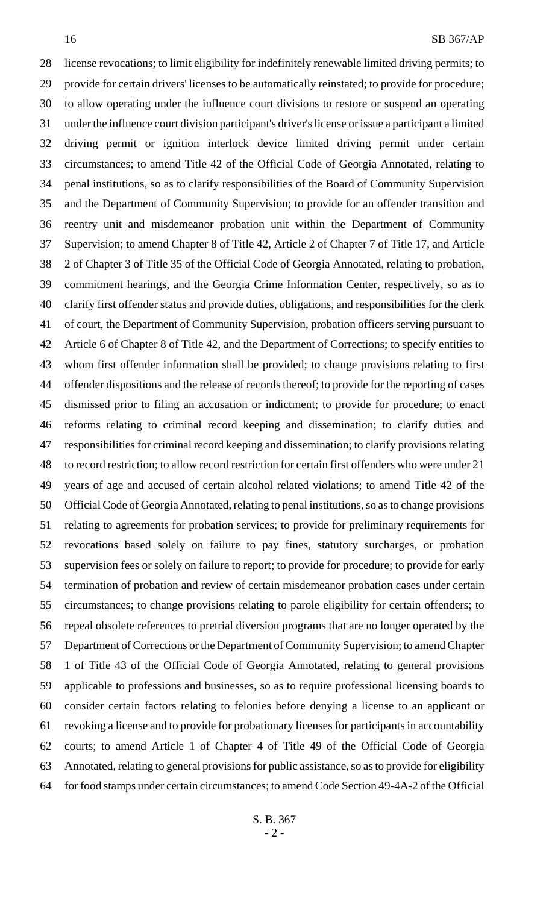license revocations; to limit eligibility for indefinitely renewable limited driving permits; to provide for certain drivers' licenses to be automatically reinstated; to provide for procedure; to allow operating under the influence court divisions to restore or suspend an operating under the influence court division participant's driver's license or issue a participant a limited driving permit or ignition interlock device limited driving permit under certain circumstances; to amend Title 42 of the Official Code of Georgia Annotated, relating to penal institutions, so as to clarify responsibilities of the Board of Community Supervision and the Department of Community Supervision; to provide for an offender transition and reentry unit and misdemeanor probation unit within the Department of Community Supervision; to amend Chapter 8 of Title 42, Article 2 of Chapter 7 of Title 17, and Article 2 of Chapter 3 of Title 35 of the Official Code of Georgia Annotated, relating to probation, commitment hearings, and the Georgia Crime Information Center, respectively, so as to clarify first offender status and provide duties, obligations, and responsibilities for the clerk of court, the Department of Community Supervision, probation officers serving pursuant to Article 6 of Chapter 8 of Title 42, and the Department of Corrections; to specify entities to whom first offender information shall be provided; to change provisions relating to first offender dispositions and the release of records thereof; to provide for the reporting of cases dismissed prior to filing an accusation or indictment; to provide for procedure; to enact reforms relating to criminal record keeping and dissemination; to clarify duties and responsibilities for criminal record keeping and dissemination; to clarify provisions relating to record restriction; to allow record restriction for certain first offenders who were under 21 years of age and accused of certain alcohol related violations; to amend Title 42 of the Official Code of Georgia Annotated, relating to penal institutions, so as to change provisions relating to agreements for probation services; to provide for preliminary requirements for revocations based solely on failure to pay fines, statutory surcharges, or probation supervision fees or solely on failure to report; to provide for procedure; to provide for early termination of probation and review of certain misdemeanor probation cases under certain circumstances; to change provisions relating to parole eligibility for certain offenders; to repeal obsolete references to pretrial diversion programs that are no longer operated by the Department of Corrections or the Department of Community Supervision; to amend Chapter 1 of Title 43 of the Official Code of Georgia Annotated, relating to general provisions applicable to professions and businesses, so as to require professional licensing boards to consider certain factors relating to felonies before denying a license to an applicant or revoking a license and to provide for probationary licenses for participants in accountability courts; to amend Article 1 of Chapter 4 of Title 49 of the Official Code of Georgia Annotated, relating to general provisions for public assistance, so as to provide for eligibility for food stamps under certain circumstances; to amend Code Section 49-4A-2 of the Official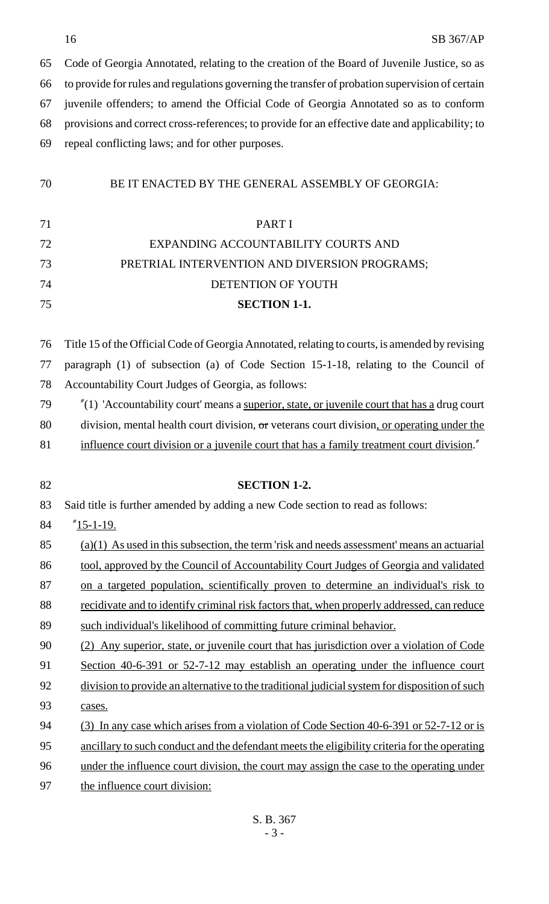Code of Georgia Annotated, relating to the creation of the Board of Juvenile Justice, so as to provide for rules and regulations governing the transfer of probation supervision of certain juvenile offenders; to amend the Official Code of Georgia Annotated so as to conform provisions and correct cross-references; to provide for an effective date and applicability; to repeal conflicting laws; and for other purposes.

## BE IT ENACTED BY THE GENERAL ASSEMBLY OF GEORGIA:

# PART I EXPANDING ACCOUNTABILITY COURTS AND PRETRIAL INTERVENTION AND DIVERSION PROGRAMS; DETENTION OF YOUTH **SECTION 1-1.**

 Title 15 of the Official Code of Georgia Annotated, relating to courts, is amended by revising paragraph (1) of subsection (a) of Code Section 15-1-18, relating to the Council of Accountability Court Judges of Georgia, as follows:

- $\frac{\gamma}{19}$  "(1) 'Accountability court' means a <u>superior, state, or juvenile court that has a</u> drug court 80 division, mental health court division,  $\sigma$ r veterans court division, or operating under the 81 influence court division or a juvenile court that has a family treatment court division."
- **SECTION 1-2.** Said title is further amended by adding a new Code section to read as follows: "15-1-19. (a)(1) As used in this subsection, the term 'risk and needs assessment' means an actuarial 86 tool, approved by the Council of Accountability Court Judges of Georgia and validated 87 on a targeted population, scientifically proven to determine an individual's risk to 88 recidivate and to identify criminal risk factors that, when properly addressed, can reduce such individual's likelihood of committing future criminal behavior. (2) Any superior, state, or juvenile court that has jurisdiction over a violation of Code Section 40-6-391 or 52-7-12 may establish an operating under the influence court 92 division to provide an alternative to the traditional judicial system for disposition of such cases. (3) In any case which arises from a violation of Code Section 40-6-391 or 52-7-12 or is ancillary to such conduct and the defendant meets the eligibility criteria for the operating under the influence court division, the court may assign the case to the operating under the influence court division: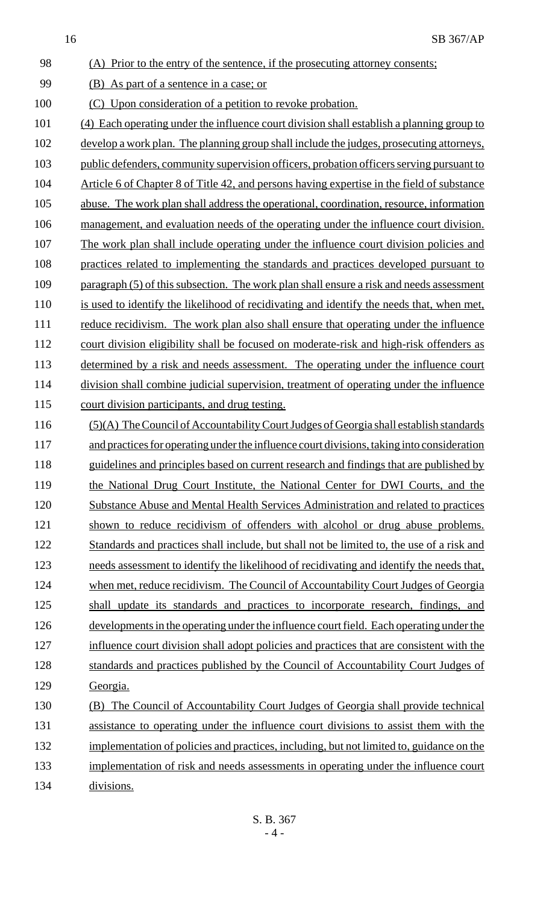98 (A) Prior to the entry of the sentence, if the prosecuting attorney consents; 99 (B) As part of a sentence in a case; or 100 (C) Upon consideration of a petition to revoke probation. 101 (4) Each operating under the influence court division shall establish a planning group to 102 develop a work plan. The planning group shall include the judges, prosecuting attorneys, 103 public defenders, community supervision officers, probation officers serving pursuant to 104 Article 6 of Chapter 8 of Title 42, and persons having expertise in the field of substance 105 abuse. The work plan shall address the operational, coordination, resource, information 106 management, and evaluation needs of the operating under the influence court division. 107 The work plan shall include operating under the influence court division policies and 108 practices related to implementing the standards and practices developed pursuant to 109 paragraph (5) of this subsection. The work plan shall ensure a risk and needs assessment 110 is used to identify the likelihood of recidivating and identify the needs that, when met, 111 reduce recidivism. The work plan also shall ensure that operating under the influence 112 court division eligibility shall be focused on moderate-risk and high-risk offenders as 113 determined by a risk and needs assessment. The operating under the influence court 114 division shall combine judicial supervision, treatment of operating under the influence 115 court division participants, and drug testing. 116 (5)(A) The Council of Accountability Court Judges of Georgia shall establish standards 117 and practices for operating under the influence court divisions, taking into consideration 118 guidelines and principles based on current research and findings that are published by 119 the National Drug Court Institute, the National Center for DWI Courts, and the 120 Substance Abuse and Mental Health Services Administration and related to practices 121 shown to reduce recidivism of offenders with alcohol or drug abuse problems. 122 Standards and practices shall include, but shall not be limited to, the use of a risk and 123 needs assessment to identify the likelihood of recidivating and identify the needs that, 124 when met, reduce recidivism. The Council of Accountability Court Judges of Georgia 125 shall update its standards and practices to incorporate research, findings, and 126 developments in the operating under the influence court field. Each operating under the 127 influence court division shall adopt policies and practices that are consistent with the 128 standards and practices published by the Council of Accountability Court Judges of 129 Georgia. 130 (B) The Council of Accountability Court Judges of Georgia shall provide technical 131 assistance to operating under the influence court divisions to assist them with the 132 implementation of policies and practices, including, but not limited to, guidance on the 133 implementation of risk and needs assessments in operating under the influence court 134 divisions.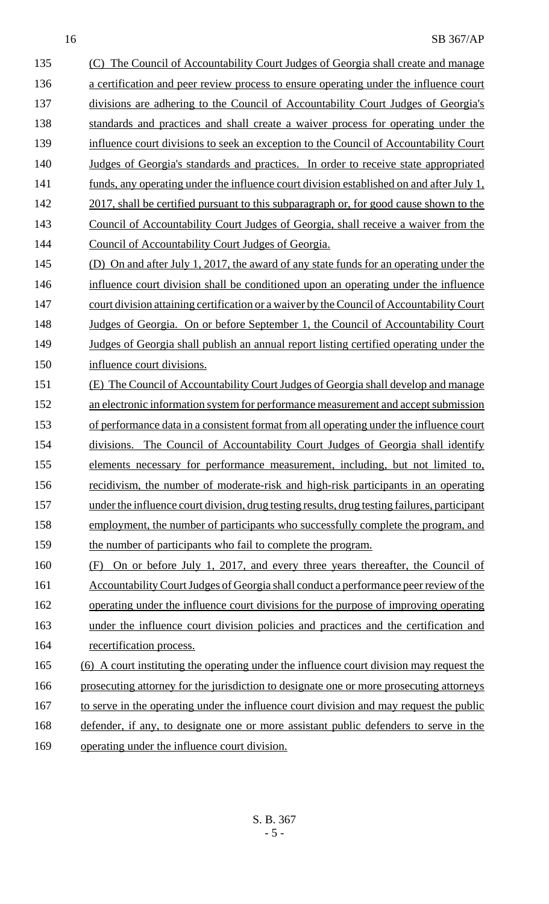135 (C) The Council of Accountability Court Judges of Georgia shall create and manage 136 a certification and peer review process to ensure operating under the influence court 137 divisions are adhering to the Council of Accountability Court Judges of Georgia's 138 standards and practices and shall create a waiver process for operating under the 139 influence court divisions to seek an exception to the Council of Accountability Court 140 Judges of Georgia's standards and practices. In order to receive state appropriated 141 funds, any operating under the influence court division established on and after July 1, 142 2017, shall be certified pursuant to this subparagraph or, for good cause shown to the 143 Council of Accountability Court Judges of Georgia, shall receive a waiver from the 144 Council of Accountability Court Judges of Georgia. 145 (D) On and after July 1, 2017, the award of any state funds for an operating under the 146 influence court division shall be conditioned upon an operating under the influence 147 court division attaining certification or a waiver by the Council of Accountability Court 148 Judges of Georgia. On or before September 1, the Council of Accountability Court 149 Judges of Georgia shall publish an annual report listing certified operating under the 150 influence court divisions. 151 (E) The Council of Accountability Court Judges of Georgia shall develop and manage 152 an electronic information system for performance measurement and accept submission 153 of performance data in a consistent format from all operating under the influence court 154 divisions. The Council of Accountability Court Judges of Georgia shall identify 155 elements necessary for performance measurement, including, but not limited to, 156 recidivism, the number of moderate-risk and high-risk participants in an operating 157 under the influence court division, drug testing results, drug testing failures, participant 158 employment, the number of participants who successfully complete the program, and 159 the number of participants who fail to complete the program. 160 (F) On or before July 1, 2017, and every three years thereafter, the Council of 161 Accountability Court Judges of Georgia shall conduct a performance peer review of the 162 operating under the influence court divisions for the purpose of improving operating 163 under the influence court division policies and practices and the certification and 164 recertification process. 165 (6) A court instituting the operating under the influence court division may request the 166 prosecuting attorney for the jurisdiction to designate one or more prosecuting attorneys 167 to serve in the operating under the influence court division and may request the public 168 defender, if any, to designate one or more assistant public defenders to serve in the

169 operating under the influence court division.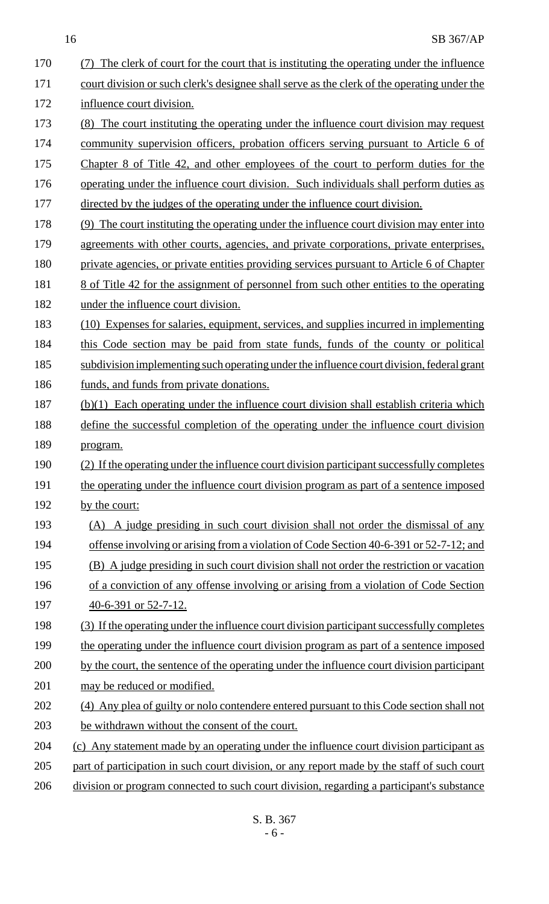| 170 | The clerk of court for the court that is instituting the operating under the influence         |
|-----|------------------------------------------------------------------------------------------------|
| 171 | court division or such clerk's designee shall serve as the clerk of the operating under the    |
| 172 | influence court division.                                                                      |
| 173 | The court instituting the operating under the influence court division may request<br>(8)      |
| 174 | community supervision officers, probation officers serving pursuant to Article 6 of            |
| 175 | Chapter 8 of Title 42, and other employees of the court to perform duties for the              |
| 176 | operating under the influence court division. Such individuals shall perform duties as         |
| 177 | directed by the judges of the operating under the influence court division.                    |
| 178 | (9) The court instituting the operating under the influence court division may enter into      |
| 179 | agreements with other courts, agencies, and private corporations, private enterprises,         |
| 180 | private agencies, or private entities providing services pursuant to Article 6 of Chapter      |
| 181 | <u>8 of Title 42 for the assignment of personnel from such other entities to the operating</u> |
| 182 | under the influence court division.                                                            |
| 183 | (10) Expenses for salaries, equipment, services, and supplies incurred in implementing         |
| 184 | this Code section may be paid from state funds, funds of the county or political               |
| 185 | subdivision implementing such operating under the influence court division, federal grant      |
| 186 | funds, and funds from private donations.                                                       |
| 187 | (b)(1) Each operating under the influence court division shall establish criteria which        |
| 188 | define the successful completion of the operating under the influence court division           |
| 189 | <u>program.</u>                                                                                |
| 190 | (2) If the operating under the influence court division participant successfully completes     |
| 191 | the operating under the influence court division program as part of a sentence imposed         |
| 192 | by the court:                                                                                  |
| 193 | A judge presiding in such court division shall not order the dismissal of any<br>(A)           |
| 194 | offense involving or arising from a violation of Code Section 40-6-391 or 52-7-12; and         |
| 195 | (B) A judge presiding in such court division shall not order the restriction or vacation       |
| 196 | of a conviction of any offense involving or arising from a violation of Code Section           |
| 197 | $\frac{40-6-391}{2}$ or 52-7-12.                                                               |
| 198 | (3) If the operating under the influence court division participant successfully completes     |
| 199 | the operating under the influence court division program as part of a sentence imposed         |
| 200 | by the court, the sentence of the operating under the influence court division participant     |
| 201 | may be reduced or modified.                                                                    |
| 202 | (4) Any plea of guilty or nolo contendere entered pursuant to this Code section shall not      |
| 203 | be withdrawn without the consent of the court.                                                 |
| 204 | (c) Any statement made by an operating under the influence court division participant as       |
| 205 | part of participation in such court division, or any report made by the staff of such court    |
| 206 | division or program connected to such court division, regarding a participant's substance      |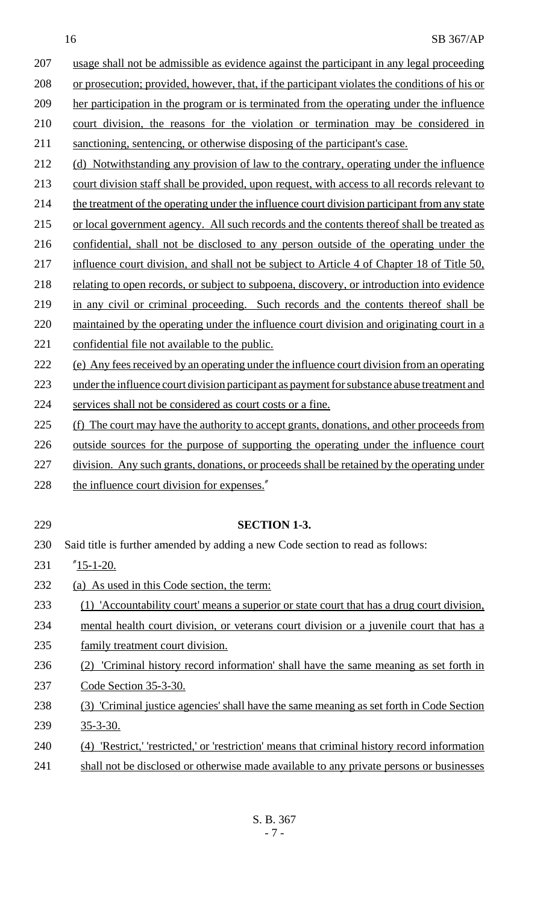usage shall not be admissible as evidence against the participant in any legal proceeding or prosecution; provided, however, that, if the participant violates the conditions of his or her participation in the program or is terminated from the operating under the influence court division, the reasons for the violation or termination may be considered in sanctioning, sentencing, or otherwise disposing of the participant's case.

- 212 (d) Notwithstanding any provision of law to the contrary, operating under the influence 213 court division staff shall be provided, upon request, with access to all records relevant to
- 214 the treatment of the operating under the influence court division participant from any state
- 215 or local government agency. All such records and the contents thereof shall be treated as
- 216 confidential, shall not be disclosed to any person outside of the operating under the
- 217 influence court division, and shall not be subject to Article 4 of Chapter 18 of Title 50,
- 218 relating to open records, or subject to subpoena, discovery, or introduction into evidence
- 219 in any civil or criminal proceeding. Such records and the contents thereof shall be
- 220 maintained by the operating under the influence court division and originating court in a
- 221 confidential file not available to the public.
- 222 (e) Any fees received by an operating under the influence court division from an operating
- 223 under the influence court division participant as payment for substance abuse treatment and
- 224 services shall not be considered as court costs or a fine.
- 225 (f) The court may have the authority to accept grants, donations, and other proceeds from
- 226 outside sources for the purpose of supporting the operating under the influence court
- 227 division. Any such grants, donations, or proceeds shall be retained by the operating under
- 228 the influence court division for expenses."
- 229 **SECTION 1-3.** 230 Said title is further amended by adding a new Code section to read as follows: 231  $\frac{15-1-20}{.}$ 232 (a) As used in this Code section, the term: 233 (1) 'Accountability court' means a superior or state court that has a drug court division, 234 mental health court division, or veterans court division or a juvenile court that has a 235 family treatment court division. 236 (2) 'Criminal history record information' shall have the same meaning as set forth in 237 Code Section 35-3-30. 238 (3) 'Criminal justice agencies' shall have the same meaning as set forth in Code Section 239 35-3-30. 240 (4) 'Restrict,' 'restricted,' or 'restriction' means that criminal history record information
- 241 shall not be disclosed or otherwise made available to any private persons or businesses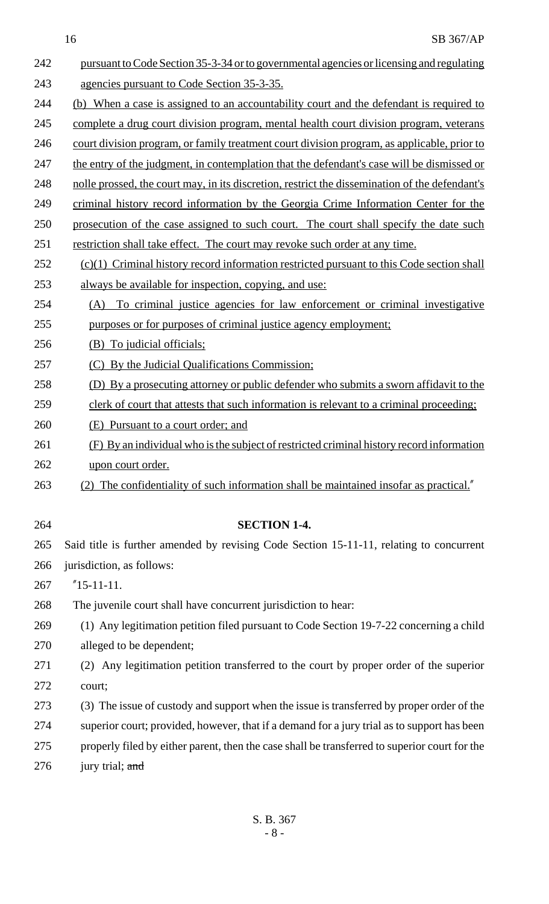| 242 | pursuant to Code Section 35-3-34 or to governmental agencies or licensing and regulating       |
|-----|------------------------------------------------------------------------------------------------|
| 243 | agencies pursuant to Code Section 35-3-35.                                                     |
| 244 | (b) When a case is assigned to an accountability court and the defendant is required to        |
| 245 | complete a drug court division program, mental health court division program, veterans         |
| 246 | court division program, or family treatment court division program, as applicable, prior to    |
| 247 | the entry of the judgment, in contemplation that the defendant's case will be dismissed or     |
| 248 | nolle prossed, the court may, in its discretion, restrict the dissemination of the defendant's |
| 249 | criminal history record information by the Georgia Crime Information Center for the            |
| 250 | prosecution of the case assigned to such court. The court shall specify the date such          |
| 251 | restriction shall take effect. The court may revoke such order at any time.                    |
| 252 | $(c)(1)$ Criminal history record information restricted pursuant to this Code section shall    |
| 253 | always be available for inspection, copying, and use:                                          |
| 254 | To criminal justice agencies for law enforcement or criminal investigative<br>(A)              |
| 255 | purposes or for purposes of criminal justice agency employment;                                |
| 256 | (B) To judicial officials;                                                                     |
| 257 | (C) By the Judicial Qualifications Commission;                                                 |
| 258 | (D) By a prosecuting attorney or public defender who submits a sworn affidavit to the          |
| 259 | clerk of court that attests that such information is relevant to a criminal proceeding;        |
| 260 | (E) Pursuant to a court order; and                                                             |
| 261 | (F) By an individual who is the subject of restricted criminal history record information      |
| 262 | <u>upon court order.</u>                                                                       |
| 263 | (2) The confidentiality of such information shall be maintained insofar as practical."         |
|     |                                                                                                |
| 264 | <b>SECTION 1-4.</b>                                                                            |
| 265 | Said title is further amended by revising Code Section 15-11-11, relating to concurrent        |
| 266 | jurisdiction, as follows:                                                                      |
| 267 | $"15-11-11.$                                                                                   |
| 268 | The juvenile court shall have concurrent jurisdiction to hear:                                 |
| 269 | (1) Any legitimation petition filed pursuant to Code Section 19-7-22 concerning a child        |
| 270 | alleged to be dependent;                                                                       |
| 271 | (2) Any legitimation petition transferred to the court by proper order of the superior         |
| 272 | court;                                                                                         |
| 273 | (3) The issue of custody and support when the issue is transferred by proper order of the      |
| 274 | superior court; provided, however, that if a demand for a jury trial as to support has been    |
| 275 | properly filed by either parent, then the case shall be transferred to superior court for the  |

276 jury trial; and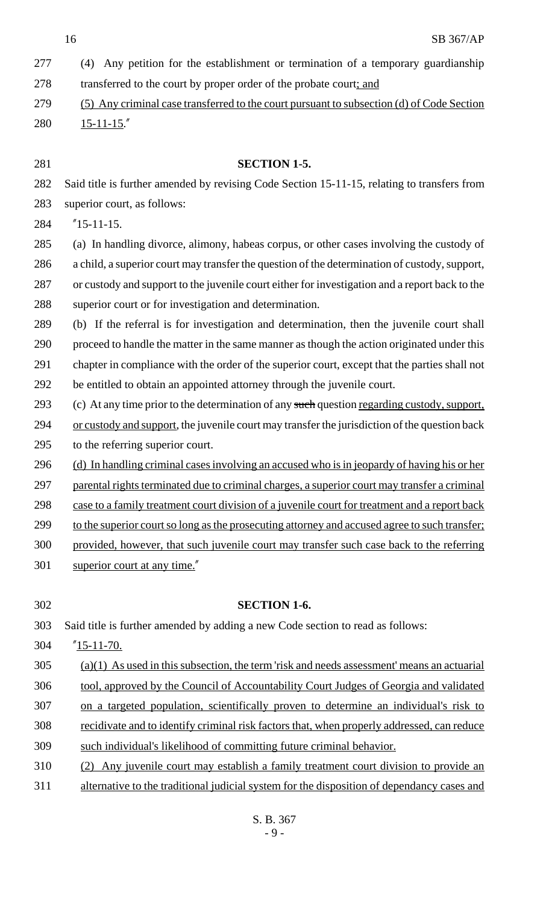| 277 | Any petition for the establishment or termination of a temporary guardianship<br>(4)           |
|-----|------------------------------------------------------------------------------------------------|
| 278 | transferred to the court by proper order of the probate court; and                             |
| 279 | (5) Any criminal case transferred to the court pursuant to subsection (d) of Code Section      |
| 280 | $15 - 11 - 15$ .                                                                               |
|     |                                                                                                |
| 281 | <b>SECTION 1-5.</b>                                                                            |
| 282 | Said title is further amended by revising Code Section 15-11-15, relating to transfers from    |
| 283 | superior court, as follows:                                                                    |
| 284 | $"15-11-15.$                                                                                   |
| 285 | (a) In handling divorce, alimony, habeas corpus, or other cases involving the custody of       |
| 286 | a child, a superior court may transfer the question of the determination of custody, support,  |
| 287 | or custody and support to the juvenile court either for investigation and a report back to the |
| 288 | superior court or for investigation and determination.                                         |
| 289 | (b) If the referral is for investigation and determination, then the juvenile court shall      |
| 290 | proceed to handle the matter in the same manner as though the action originated under this     |
| 291 | chapter in compliance with the order of the superior court, except that the parties shall not  |
| 292 | be entitled to obtain an appointed attorney through the juvenile court.                        |
| 293 | (c) At any time prior to the determination of any such question regarding custody, support,    |
| 294 | or custody and support, the juvenile court may transfer the jurisdiction of the question back  |
| 295 | to the referring superior court.                                                               |
| 296 | (d) In handling criminal cases involving an accused who is in jeopardy of having his or her    |
| 297 | parental rights terminated due to criminal charges, a superior court may transfer a criminal   |
| 298 | case to a family treatment court division of a juvenile court for treatment and a report back  |
| 299 | to the superior court so long as the prosecuting attorney and accused agree to such transfer;  |
| 300 | provided, however, that such juvenile court may transfer such case back to the referring       |
| 301 | superior court at any time."                                                                   |
|     |                                                                                                |
| 302 | <b>SECTION 1-6.</b>                                                                            |
| 303 | Said title is further amended by adding a new Code section to read as follows:                 |
| 304 | $^{\prime\prime}$ 15-11-70.                                                                    |
| 305 | $(a)(1)$ As used in this subsection, the term 'risk and needs assessment' means an actuarial   |
| 306 | tool, approved by the Council of Accountability Court Judges of Georgia and validated          |
| 307 | on a targeted population, scientifically proven to determine an individual's risk to           |
| 308 | recidivate and to identify criminal risk factors that, when properly addressed, can reduce     |
| 309 | such individual's likelihood of committing future criminal behavior.                           |
| 310 | Any juvenile court may establish a family treatment court division to provide an<br>(2)        |
| 311 | alternative to the traditional judicial system for the disposition of dependancy cases and     |
|     |                                                                                                |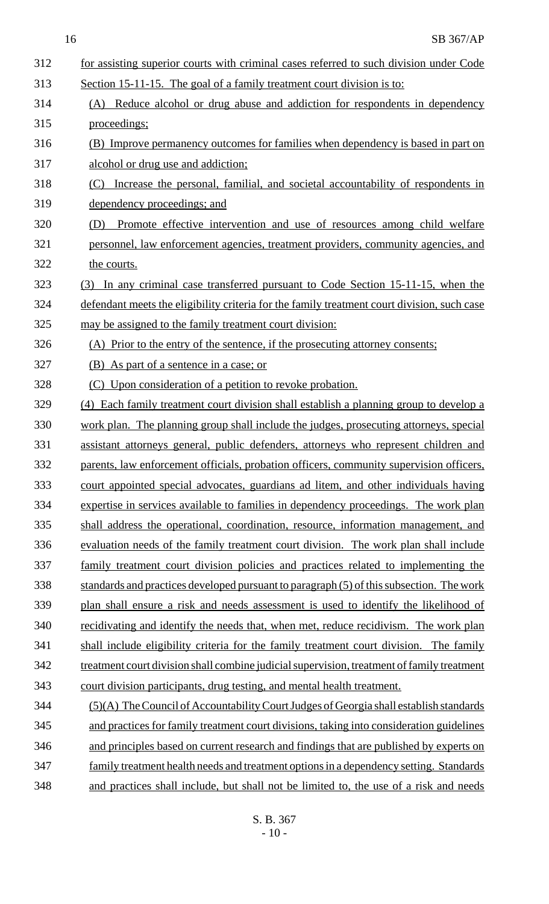| 312 | for assisting superior courts with criminal cases referred to such division under Code      |
|-----|---------------------------------------------------------------------------------------------|
| 313 | Section 15-11-15. The goal of a family treatment court division is to:                      |
| 314 | (A) Reduce alcohol or drug abuse and addiction for respondents in dependency                |
| 315 | proceedings;                                                                                |
| 316 | (B) Improve permanency outcomes for families when dependency is based in part on            |
| 317 | alcohol or drug use and addiction;                                                          |
| 318 | Increase the personal, familial, and societal accountability of respondents in<br>(C)       |
| 319 | dependency proceedings; and                                                                 |
| 320 | (D) Promote effective intervention and use of resources among child welfare                 |
| 321 | personnel, law enforcement agencies, treatment providers, community agencies, and           |
| 322 | the courts.                                                                                 |
| 323 | (3) In any criminal case transferred pursuant to Code Section 15-11-15, when the            |
| 324 | defendant meets the eligibility criteria for the family treatment court division, such case |
| 325 | may be assigned to the family treatment court division:                                     |
| 326 | (A) Prior to the entry of the sentence, if the prosecuting attorney consents;               |
| 327 | (B) As part of a sentence in a case; or                                                     |
| 328 | (C) Upon consideration of a petition to revoke probation.                                   |
| 329 | (4) Each family treatment court division shall establish a planning group to develop a      |
| 330 | work plan. The planning group shall include the judges, prosecuting attorneys, special      |
| 331 | assistant attorneys general, public defenders, attorneys who represent children and         |
| 332 | parents, law enforcement officials, probation officers, community supervision officers,     |
| 333 | court appointed special advocates, guardians ad litem, and other individuals having         |
| 334 | expertise in services available to families in dependency proceedings. The work plan        |
| 335 | shall address the operational, coordination, resource, information management, and          |
| 336 | evaluation needs of the family treatment court division. The work plan shall include        |
| 337 | family treatment court division policies and practices related to implementing the          |
| 338 | standards and practices developed pursuant to paragraph (5) of this subsection. The work    |
| 339 | plan shall ensure a risk and needs assessment is used to identify the likelihood of         |
| 340 | <u>recidivating and identify the needs that, when met, reduce recidivism. The work plan</u> |
| 341 | shall include eligibility criteria for the family treatment court division. The family      |
| 342 | treatment court division shall combine judicial supervision, treatment of family treatment  |
| 343 | court division participants, drug testing, and mental health treatment.                     |
| 344 | (5)(A) The Council of Accountability Court Judges of Georgia shall establish standards      |
| 345 | and practices for family treatment court divisions, taking into consideration guidelines    |
| 346 | and principles based on current research and findings that are published by experts on      |
| 347 | family treatment health needs and treatment options in a dependency setting. Standards      |
| 348 | and practices shall include, but shall not be limited to, the use of a risk and needs       |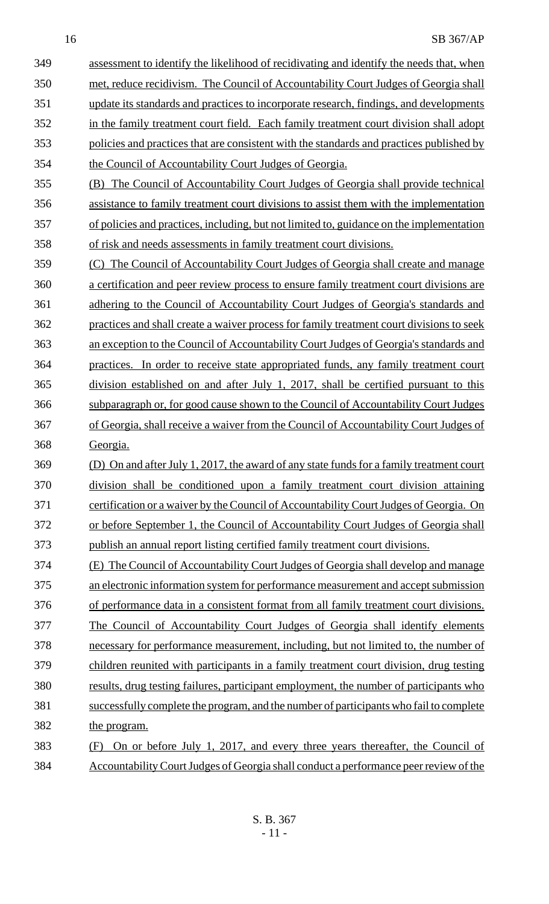assessment to identify the likelihood of recidivating and identify the needs that, when met, reduce recidivism. The Council of Accountability Court Judges of Georgia shall update its standards and practices to incorporate research, findings, and developments in the family treatment court field. Each family treatment court division shall adopt policies and practices that are consistent with the standards and practices published by the Council of Accountability Court Judges of Georgia. (B) The Council of Accountability Court Judges of Georgia shall provide technical assistance to family treatment court divisions to assist them with the implementation of policies and practices, including, but not limited to, guidance on the implementation

of risk and needs assessments in family treatment court divisions.

 (C) The Council of Accountability Court Judges of Georgia shall create and manage a certification and peer review process to ensure family treatment court divisions are adhering to the Council of Accountability Court Judges of Georgia's standards and practices and shall create a waiver process for family treatment court divisions to seek an exception to the Council of Accountability Court Judges of Georgia's standards and practices. In order to receive state appropriated funds, any family treatment court division established on and after July 1, 2017, shall be certified pursuant to this subparagraph or, for good cause shown to the Council of Accountability Court Judges of Georgia, shall receive a waiver from the Council of Accountability Court Judges of Georgia.

 (D) On and after July 1, 2017, the award of any state funds for a family treatment court division shall be conditioned upon a family treatment court division attaining 371 certification or a waiver by the Council of Accountability Court Judges of Georgia. On or before September 1, the Council of Accountability Court Judges of Georgia shall publish an annual report listing certified family treatment court divisions.

 (E) The Council of Accountability Court Judges of Georgia shall develop and manage an electronic information system for performance measurement and accept submission

 of performance data in a consistent format from all family treatment court divisions. The Council of Accountability Court Judges of Georgia shall identify elements necessary for performance measurement, including, but not limited to, the number of children reunited with participants in a family treatment court division, drug testing 380 results, drug testing failures, participant employment, the number of participants who successfully complete the program, and the number of participants who fail to complete the program.

# (F) On or before July 1, 2017, and every three years thereafter, the Council of Accountability Court Judges of Georgia shall conduct a performance peer review of the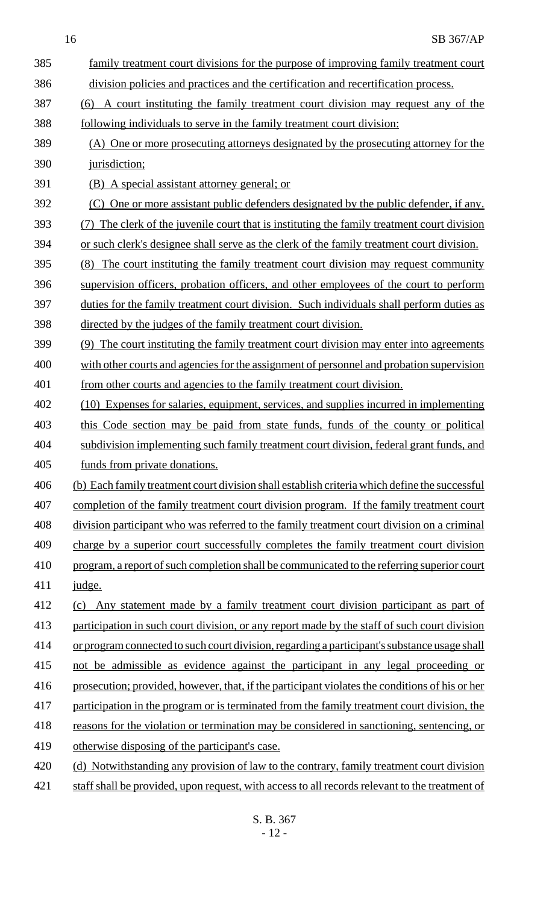| 385 | family treatment court divisions for the purpose of improving family treatment court           |
|-----|------------------------------------------------------------------------------------------------|
| 386 | division policies and practices and the certification and recertification process.             |
| 387 | A court instituting the family treatment court division may request any of the<br>(6)          |
| 388 | following individuals to serve in the family treatment court division:                         |
| 389 | (A) One or more prosecuting attorneys designated by the prosecuting attorney for the           |
| 390 | jurisdiction;                                                                                  |
| 391 | (B) A special assistant attorney general; or                                                   |
| 392 | (C) One or more assistant public defenders designated by the public defender, if any.          |
| 393 | (7) The clerk of the juvenile court that is instituting the family treatment court division    |
| 394 | or such clerk's designee shall serve as the clerk of the family treatment court division.      |
| 395 | (8) The court instituting the family treatment court division may request community            |
| 396 | supervision officers, probation officers, and other employees of the court to perform          |
| 397 | duties for the family treatment court division. Such individuals shall perform duties as       |
| 398 | directed by the judges of the family treatment court division.                                 |
| 399 | (9) The court instituting the family treatment court division may enter into agreements        |
| 400 | with other courts and agencies for the assignment of personnel and probation supervision       |
| 401 | from other courts and agencies to the family treatment court division.                         |
| 402 | (10) Expenses for salaries, equipment, services, and supplies incurred in implementing         |
| 403 | this Code section may be paid from state funds, funds of the county or political               |
| 404 | subdivision implementing such family treatment court division, federal grant funds, and        |
| 405 | funds from private donations.                                                                  |
| 406 | (b) Each family treatment court division shall establish criteria which define the successful  |
| 407 | completion of the family treatment court division program. If the family treatment court       |
| 408 | division participant who was referred to the family treatment court division on a criminal     |
| 409 | charge by a superior court successfully completes the family treatment court division          |
| 410 | program, a report of such completion shall be communicated to the referring superior court     |
| 411 | judge.                                                                                         |
| 412 | (c) Any statement made by a family treatment court division participant as part of             |
| 413 | participation in such court division, or any report made by the staff of such court division   |
| 414 | or program connected to such court division, regarding a participant's substance usage shall   |
| 415 | not be admissible as evidence against the participant in any legal proceeding or               |
| 416 | prosecution; provided, however, that, if the participant violates the conditions of his or her |
| 417 | participation in the program or is terminated from the family treatment court division, the    |
| 418 | reasons for the violation or termination may be considered in sanctioning, sentencing, or      |
| 419 | otherwise disposing of the participant's case.                                                 |
| 420 | (d) Notwithstanding any provision of law to the contrary, family treatment court division      |
| 421 | staff shall be provided, upon request, with access to all records relevant to the treatment of |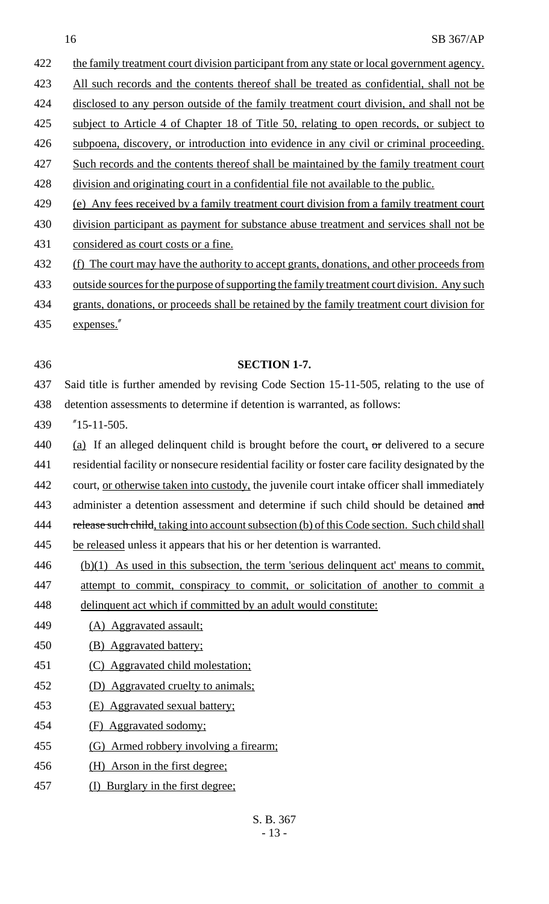| 422 | the family treatment court division participant from any state or local government agency.       |
|-----|--------------------------------------------------------------------------------------------------|
| 423 | All such records and the contents thereof shall be treated as confidential, shall not be         |
| 424 | disclosed to any person outside of the family treatment court division, and shall not be         |
| 425 | subject to Article 4 of Chapter 18 of Title 50, relating to open records, or subject to          |
| 426 | subpoena, discovery, or introduction into evidence in any civil or criminal proceeding.          |
| 427 | Such records and the contents thereof shall be maintained by the family treatment court          |
| 428 | division and originating court in a confidential file not available to the public.               |
| 429 | (e) Any fees received by a family treatment court division from a family treatment court         |
| 430 | division participant as payment for substance abuse treatment and services shall not be          |
| 431 | considered as court costs or a fine.                                                             |
| 432 | (f) The court may have the authority to accept grants, donations, and other proceeds from        |
| 433 | outside sources for the purpose of supporting the family treatment court division. Any such      |
| 434 | grants, donations, or proceeds shall be retained by the family treatment court division for      |
| 435 | expenses."                                                                                       |
|     |                                                                                                  |
| 436 | <b>SECTION 1-7.</b>                                                                              |
| 437 | Said title is further amended by revising Code Section 15-11-505, relating to the use of         |
| 438 | detention assessments to determine if detention is warranted, as follows:                        |
| 439 | $"15-11-505.$                                                                                    |
| 440 | (a) If an alleged delinquent child is brought before the court, $\sigma$ r delivered to a secure |
| 441 | residential facility or nonsecure residential facility or foster care facility designated by the |
| 442 | court, or otherwise taken into custody, the juvenile court intake officer shall immediately      |
| 443 | administer a detention assessment and determine if such child should be detained and             |
| 444 | release such child, taking into account subsection (b) of this Code section. Such child shall    |
| 445 | be released unless it appears that his or her detention is warranted.                            |
| 446 | $(b)(1)$ As used in this subsection, the term 'serious delinquent act' means to commit,          |
| 447 | attempt to commit, conspiracy to commit, or solicitation of another to commit a                  |
| 448 | delinquent act which if committed by an adult would constitute:                                  |
| 449 | (A) Aggravated assault:                                                                          |
| 450 | <b>Aggravated battery:</b><br>(B)                                                                |
| 451 | (C) Aggravated child molestation;                                                                |
| 452 | Aggravated cruelty to animals;                                                                   |
| 453 | <b>Aggravated sexual battery:</b><br>(E)                                                         |
| 454 | Aggravated sodomy:<br>(F)                                                                        |
| 455 | (G) Armed robbery involving a firearm;                                                           |
| 456 | (H) Arson in the first degree;                                                                   |
| 457 | Burglary in the first degree;<br>(1)                                                             |
|     |                                                                                                  |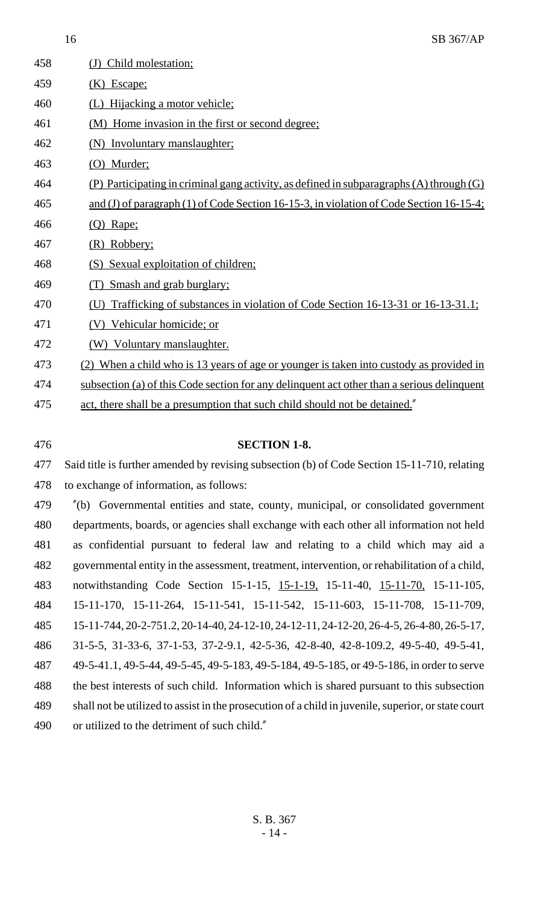| 458 | Child molestation;<br>$\left( \mathrm{J}\right)$                                             |
|-----|----------------------------------------------------------------------------------------------|
| 459 | $(K)$ Escape;                                                                                |
| 460 | Hijacking a motor vehicle:                                                                   |
| 461 | (M) Home invasion in the first or second degree;                                             |
| 462 | (N) Involuntary manslaughter;                                                                |
| 463 | (O) Murder;                                                                                  |
| 464 | (P) Participating in criminal gang activity, as defined in subparagraphs $(A)$ through $(G)$ |
| 465 | and (J) of paragraph (1) of Code Section 16-15-3, in violation of Code Section 16-15-4;      |
| 466 | $(Q)$ Rape;                                                                                  |
| 467 | (R) Robbery;                                                                                 |
| 468 | (S) Sexual exploitation of children;                                                         |
| 469 | Smash and grab burglary;                                                                     |
| 470 | Trafficking of substances in violation of Code Section 16-13-31 or 16-13-31.1;               |
| 471 | Vehicular homicide; or                                                                       |
| 472 | (W) Voluntary manslaughter.                                                                  |
| 473 | (2) When a child who is 13 years of age or younger is taken into custody as provided in      |
| 474 | subsection (a) of this Code section for any delinquent act other than a serious delinquent   |
| 475 | act, there shall be a presumption that such child should not be detained."                   |
|     |                                                                                              |

#### **SECTION 1-8.**

 Said title is further amended by revising subsection (b) of Code Section 15-11-710, relating to exchange of information, as follows:

 "(b) Governmental entities and state, county, municipal, or consolidated government departments, boards, or agencies shall exchange with each other all information not held as confidential pursuant to federal law and relating to a child which may aid a governmental entity in the assessment, treatment, intervention, or rehabilitation of a child, notwithstanding Code Section 15-1-15, 15-1-19, 15-11-40, 15-11-70, 15-11-105, 15-11-170, 15-11-264, 15-11-541, 15-11-542, 15-11-603, 15-11-708, 15-11-709, 15-11-744, 20-2-751.2, 20-14-40, 24-12-10, 24-12-11, 24-12-20, 26-4-5, 26-4-80, 26-5-17, 31-5-5, 31-33-6, 37-1-53, 37-2-9.1, 42-5-36, 42-8-40, 42-8-109.2, 49-5-40, 49-5-41, 49-5-41.1, 49-5-44, 49-5-45, 49-5-183, 49-5-184, 49-5-185, or 49-5-186, in order to serve the best interests of such child. Information which is shared pursuant to this subsection shall not be utilized to assist in the prosecution of a child in juvenile, superior, or state court or utilized to the detriment of such child."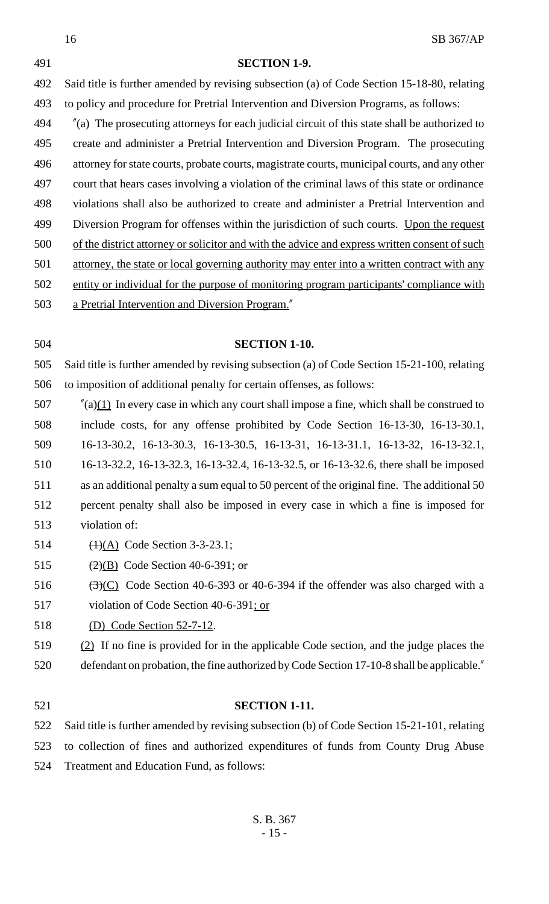|     | 16<br>SB 367/AP                                                                                   |
|-----|---------------------------------------------------------------------------------------------------|
| 491 | <b>SECTION 1-9.</b>                                                                               |
| 492 | Said title is further amended by revising subsection (a) of Code Section 15-18-80, relating       |
| 493 | to policy and procedure for Pretrial Intervention and Diversion Programs, as follows:             |
| 494 | $\alpha$ The prosecuting attorneys for each judicial circuit of this state shall be authorized to |
| 495 | create and administer a Pretrial Intervention and Diversion Program. The prosecuting              |
| 496 | attorney for state courts, probate courts, magistrate courts, municipal courts, and any other     |
| 497 | court that hears cases involving a violation of the criminal laws of this state or ordinance      |
| 498 | violations shall also be authorized to create and administer a Pretrial Intervention and          |
| 499 | Diversion Program for offenses within the jurisdiction of such courts. Upon the request           |
| 500 | of the district attorney or solicitor and with the advice and express written consent of such     |
| 501 | attorney, the state or local governing authority may enter into a written contract with any       |
| 502 | entity or individual for the purpose of monitoring program participants' compliance with          |
| 503 | a Pretrial Intervention and Diversion Program."                                                   |
|     |                                                                                                   |
| 504 | <b>SECTION 1-10.</b>                                                                              |
| 505 | Said title is further amended by revising subsection (a) of Code Section 15-21-100, relating      |
| 506 | to imposition of additional penalty for certain offenses, as follows:                             |
| 507 | $\pi$ (a)(1) In every case in which any court shall impose a fine, which shall be construed to    |
| 508 | include costs, for any offense prohibited by Code Section 16-13-30, 16-13-30.1,                   |
| 509 | 16-13-30.2, 16-13-30.3, 16-13-30.5, 16-13-31, 16-13-31.1, 16-13-32, 16-13-32.1,                   |
| 510 | 16-13-32.2, 16-13-32.3, 16-13-32.4, 16-13-32.5, or 16-13-32.6, there shall be imposed             |
| 511 | as an additional penalty a sum equal to 50 percent of the original fine. The additional 50        |
| 512 | percent penalty shall also be imposed in every case in which a fine is imposed for                |
| 513 | violation of:                                                                                     |
| 514 | $\overline{(1)(A)}$ Code Section 3-3-23.1;                                                        |
| 515 | $\left(\frac{2}{2}\right)$ Code Section 40-6-391; or                                              |
| 516 | $\bigoplus$ Code Section 40-6-393 or 40-6-394 if the offender was also charged with a             |
| 517 | violation of Code Section 40-6-391; or                                                            |
| 518 | <u>(D) Code Section 52-7-12.</u>                                                                  |
| 519 | $(2)$ If no fine is provided for in the applicable Code section, and the judge places the         |

#### **SECTION 1-11.**

defendant on probation, the fine authorized by Code Section 17-10-8 shall be applicable."

 Said title is further amended by revising subsection (b) of Code Section 15-21-101, relating to collection of fines and authorized expenditures of funds from County Drug Abuse Treatment and Education Fund, as follows: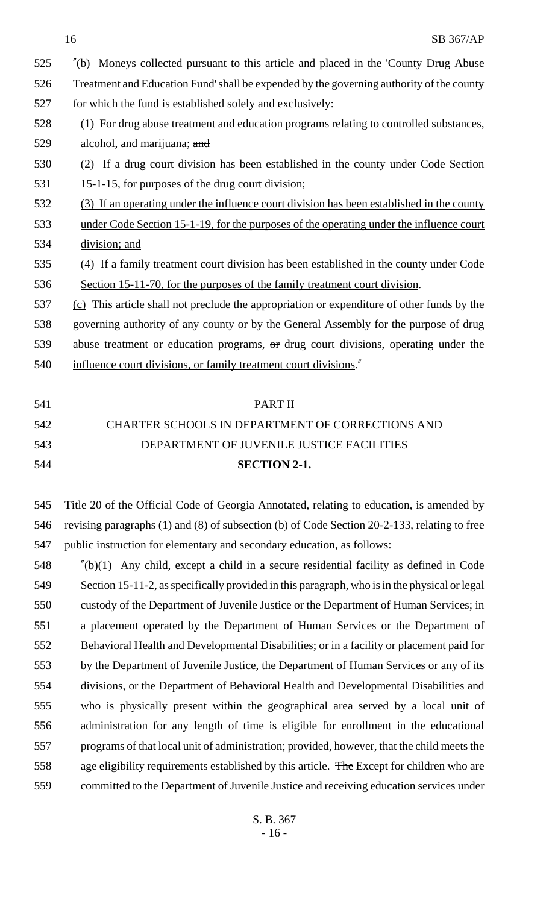| 525 | "(b) Moneys collected pursuant to this article and placed in the 'County Drug Abuse            |
|-----|------------------------------------------------------------------------------------------------|
| 526 | Treatment and Education Fund's hall be expended by the governing authority of the county       |
| 527 | for which the fund is established solely and exclusively:                                      |
| 528 | (1) For drug abuse treatment and education programs relating to controlled substances,         |
| 529 | alcohol, and marijuana; and                                                                    |
| 530 | (2) If a drug court division has been established in the county under Code Section             |
| 531 | 15-1-15, for purposes of the drug court division;                                              |
| 532 | (3) If an operating under the influence court division has been established in the county      |
| 533 | <u>under Code Section 15-1-19, for the purposes of the operating under the influence court</u> |
| 534 | division; and                                                                                  |
| 535 | (4) If a family treatment court division has been established in the county under Code         |
| 536 | Section 15-11-70, for the purposes of the family treatment court division.                     |
| 537 | (c) This article shall not preclude the appropriation or expenditure of other funds by the     |
| 538 | governing authority of any county or by the General Assembly for the purpose of drug           |
| 539 | abuse treatment or education programs, or drug court divisions, operating under the            |
| 540 | influence court divisions, or family treatment court divisions."                               |

# PART II CHARTER SCHOOLS IN DEPARTMENT OF CORRECTIONS AND DEPARTMENT OF JUVENILE JUSTICE FACILITIES **SECTION 2-1.**

 Title 20 of the Official Code of Georgia Annotated, relating to education, is amended by revising paragraphs (1) and (8) of subsection (b) of Code Section 20-2-133, relating to free public instruction for elementary and secondary education, as follows:

 "(b)(1) Any child, except a child in a secure residential facility as defined in Code Section 15-11-2, as specifically provided in this paragraph, who is in the physical or legal custody of the Department of Juvenile Justice or the Department of Human Services; in a placement operated by the Department of Human Services or the Department of Behavioral Health and Developmental Disabilities; or in a facility or placement paid for by the Department of Juvenile Justice, the Department of Human Services or any of its divisions, or the Department of Behavioral Health and Developmental Disabilities and who is physically present within the geographical area served by a local unit of administration for any length of time is eligible for enrollment in the educational programs of that local unit of administration; provided, however, that the child meets the 558 age eligibility requirements established by this article. The Except for children who are committed to the Department of Juvenile Justice and receiving education services under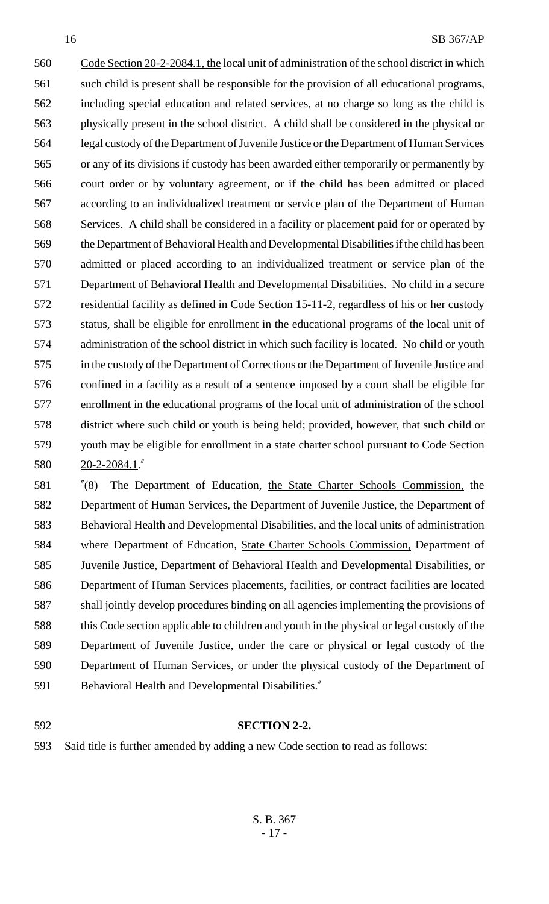Code Section 20-2-2084.1, the local unit of administration of the school district in which such child is present shall be responsible for the provision of all educational programs, including special education and related services, at no charge so long as the child is physically present in the school district. A child shall be considered in the physical or legal custody of the Department of Juvenile Justice or the Department of Human Services or any of its divisions if custody has been awarded either temporarily or permanently by court order or by voluntary agreement, or if the child has been admitted or placed according to an individualized treatment or service plan of the Department of Human Services. A child shall be considered in a facility or placement paid for or operated by the Department of Behavioral Health and Developmental Disabilities if the child has been admitted or placed according to an individualized treatment or service plan of the Department of Behavioral Health and Developmental Disabilities. No child in a secure residential facility as defined in Code Section 15-11-2, regardless of his or her custody status, shall be eligible for enrollment in the educational programs of the local unit of administration of the school district in which such facility is located. No child or youth in the custody of the Department of Corrections or the Department of Juvenile Justice and confined in a facility as a result of a sentence imposed by a court shall be eligible for enrollment in the educational programs of the local unit of administration of the school district where such child or youth is being held; provided, however, that such child or youth may be eligible for enrollment in a state charter school pursuant to Code Section 20-2-2084.1."

 "(8) The Department of Education, the State Charter Schools Commission, the Department of Human Services, the Department of Juvenile Justice, the Department of Behavioral Health and Developmental Disabilities, and the local units of administration where Department of Education, State Charter Schools Commission, Department of Juvenile Justice, Department of Behavioral Health and Developmental Disabilities, or Department of Human Services placements, facilities, or contract facilities are located shall jointly develop procedures binding on all agencies implementing the provisions of this Code section applicable to children and youth in the physical or legal custody of the Department of Juvenile Justice, under the care or physical or legal custody of the Department of Human Services, or under the physical custody of the Department of Behavioral Health and Developmental Disabilities."

### **SECTION 2-2.**

Said title is further amended by adding a new Code section to read as follows: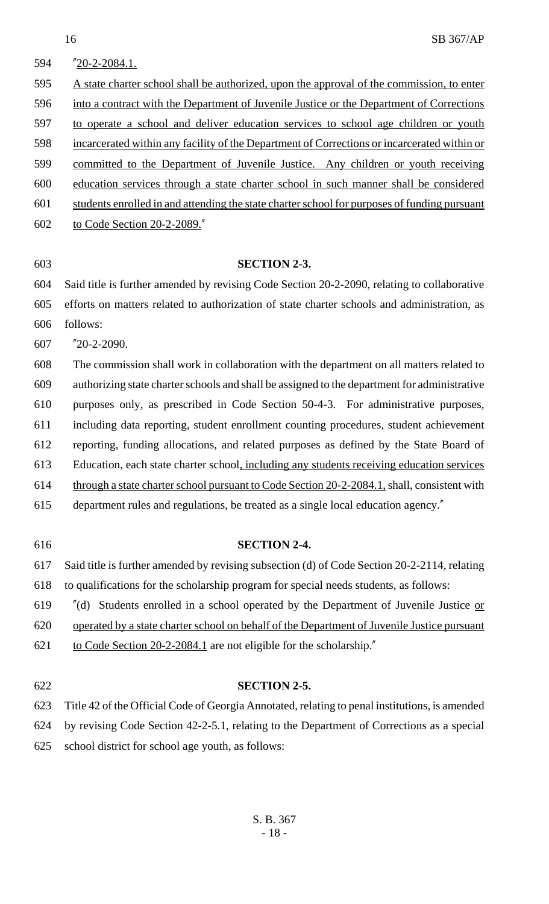| 594 | "20-2-2084.1.                                                                                  |
|-----|------------------------------------------------------------------------------------------------|
| 595 | A state charter school shall be authorized, upon the approval of the commission, to enter      |
| 596 | into a contract with the Department of Juvenile Justice or the Department of Corrections       |
| 597 | to operate a school and deliver education services to school age children or youth             |
| 598 | incarcerated within any facility of the Department of Corrections or incarcerated within or    |
| 599 | committed to the Department of Juvenile Justice. Any children or youth receiving               |
| 600 | education services through a state charter school in such manner shall be considered           |
| 601 | students enrolled in and attending the state charter school for purposes of funding pursuant   |
| 602 | to Code Section 20-2-2089.                                                                     |
|     |                                                                                                |
| 603 | <b>SECTION 2-3.</b>                                                                            |
| 604 | Said title is further amended by revising Code Section 20-2-2090, relating to collaborative    |
| 605 | efforts on matters related to authorization of state charter schools and administration, as    |
| 606 | follows:                                                                                       |
| 607 | $"20-2-2090.$                                                                                  |
| 608 | The commission shall work in collaboration with the department on all matters related to       |
| 609 | authorizing state charter schools and shall be assigned to the department for administrative   |
| 610 | purposes only, as prescribed in Code Section 50-4-3. For administrative purposes,              |
| 611 | including data reporting, student enrollment counting procedures, student achievement          |
| 612 | reporting, funding allocations, and related purposes as defined by the State Board of          |
| 613 | Education, each state charter school, including any students receiving education services      |
| 614 | through a state charter school pursuant to Code Section 20-2-2084.1, shall, consistent with    |
| 615 | department rules and regulations, be treated as a single local education agency."              |
|     |                                                                                                |
| 616 | <b>SECTION 2-4.</b>                                                                            |
| 617 | Said title is further amended by revising subsection (d) of Code Section 20-2-2114, relating   |
| 618 | to qualifications for the scholarship program for special needs students, as follows:          |
| 619 | Students enrolled in a school operated by the Department of Juvenile Justice or<br>''(d)       |
| 620 | operated by a state charter school on behalf of the Department of Juvenile Justice pursuant    |
| 621 | to Code Section 20-2-2084.1 are not eligible for the scholarship."                             |
|     |                                                                                                |
| 622 | <b>SECTION 2-5.</b>                                                                            |
| 623 | Title 42 of the Official Code of Georgia Annotated, relating to penal institutions, is amended |
| 624 | by revising Code Section 42-2-5.1, relating to the Department of Corrections as a special      |

625 school district for school age youth, as follows: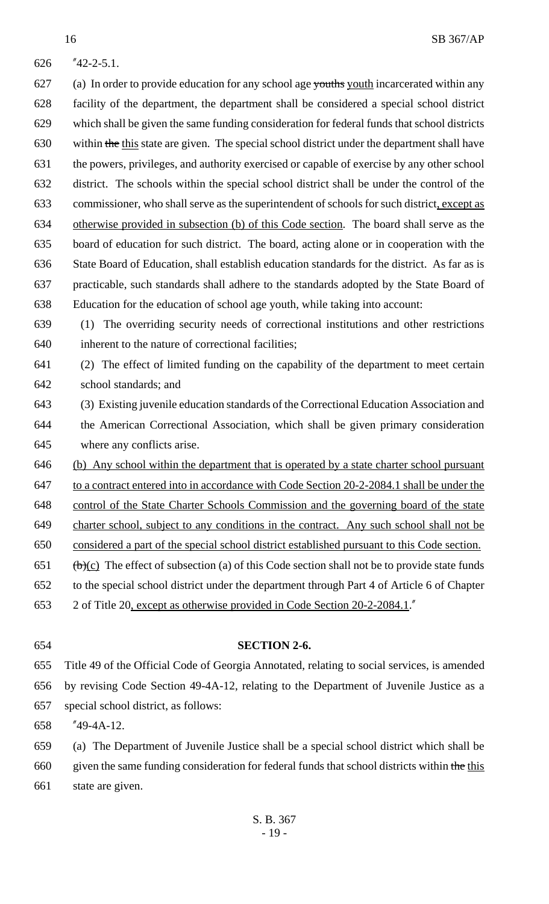"42-2-5.1.

627 (a) In order to provide education for any school age youths youth incarcerated within any facility of the department, the department shall be considered a special school district which shall be given the same funding consideration for federal funds that school districts 630 within the this state are given. The special school district under the department shall have the powers, privileges, and authority exercised or capable of exercise by any other school district. The schools within the special school district shall be under the control of the commissioner, who shall serve as the superintendent of schools for such district, except as otherwise provided in subsection (b) of this Code section. The board shall serve as the board of education for such district. The board, acting alone or in cooperation with the State Board of Education, shall establish education standards for the district. As far as is practicable, such standards shall adhere to the standards adopted by the State Board of Education for the education of school age youth, while taking into account:

 (1) The overriding security needs of correctional institutions and other restrictions inherent to the nature of correctional facilities;

 (2) The effect of limited funding on the capability of the department to meet certain school standards; and

 (3) Existing juvenile education standards of the Correctional Education Association and the American Correctional Association, which shall be given primary consideration where any conflicts arise.

(b) Any school within the department that is operated by a state charter school pursuant

to a contract entered into in accordance with Code Section 20-2-2084.1 shall be under the

control of the State Charter Schools Commission and the governing board of the state

- charter school, subject to any conditions in the contract. Any such school shall not be
- considered a part of the special school district established pursuant to this Code section.
- 651 (b)(c) The effect of subsection (a) of this Code section shall not be to provide state funds
- to the special school district under the department through Part 4 of Article 6 of Chapter

2 of Title 20, except as otherwise provided in Code Section 20-2-2084.1."

#### **SECTION 2-6.**

 Title 49 of the Official Code of Georgia Annotated, relating to social services, is amended by revising Code Section 49-4A-12, relating to the Department of Juvenile Justice as a special school district, as follows:

"49-4A-12.

 (a) The Department of Juvenile Justice shall be a special school district which shall be given the same funding consideration for federal funds that school districts within the this state are given.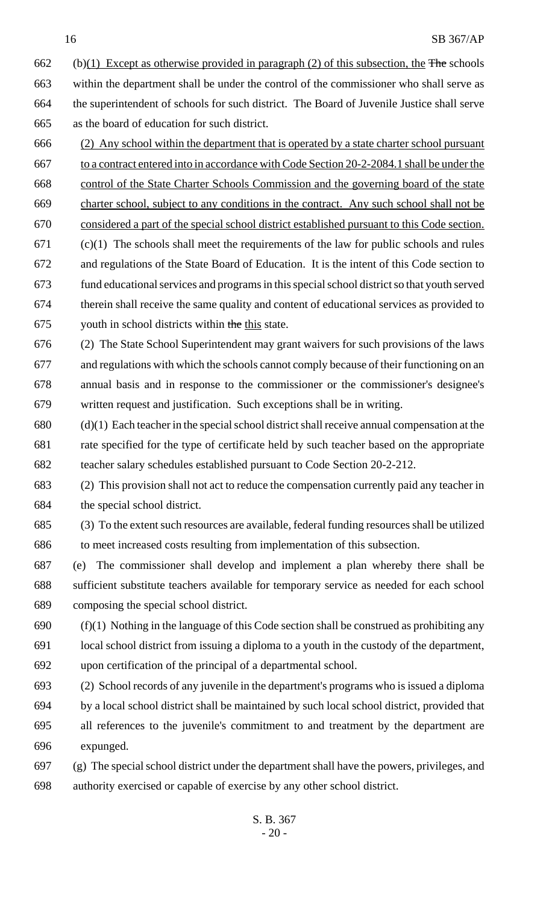662 (b)(1) Except as otherwise provided in paragraph (2) of this subsection, the The schools within the department shall be under the control of the commissioner who shall serve as the superintendent of schools for such district. The Board of Juvenile Justice shall serve as the board of education for such district.

- (2) Any school within the department that is operated by a state charter school pursuant to a contract entered into in accordance with Code Section 20-2-2084.1 shall be under the control of the State Charter Schools Commission and the governing board of the state charter school, subject to any conditions in the contract. Any such school shall not be considered a part of the special school district established pursuant to this Code section. (c)(1) The schools shall meet the requirements of the law for public schools and rules and regulations of the State Board of Education. It is the intent of this Code section to
- fund educational services and programs in this special school district so that youth served therein shall receive the same quality and content of educational services as provided to 675 youth in school districts within the this state.
- (2) The State School Superintendent may grant waivers for such provisions of the laws and regulations with which the schools cannot comply because of their functioning on an annual basis and in response to the commissioner or the commissioner's designee's written request and justification. Such exceptions shall be in writing.
- (d)(1) Each teacher in the special school district shall receive annual compensation at the rate specified for the type of certificate held by such teacher based on the appropriate teacher salary schedules established pursuant to Code Section 20-2-212.
- (2) This provision shall not act to reduce the compensation currently paid any teacher in the special school district.

(3) To the extent such resources are available, federal funding resources shall be utilized

to meet increased costs resulting from implementation of this subsection.

- (e) The commissioner shall develop and implement a plan whereby there shall be sufficient substitute teachers available for temporary service as needed for each school composing the special school district.
- (f)(1) Nothing in the language of this Code section shall be construed as prohibiting any local school district from issuing a diploma to a youth in the custody of the department, upon certification of the principal of a departmental school.
- (2) School records of any juvenile in the department's programs who is issued a diploma by a local school district shall be maintained by such local school district, provided that all references to the juvenile's commitment to and treatment by the department are expunged.
- (g) The special school district under the department shall have the powers, privileges, and authority exercised or capable of exercise by any other school district.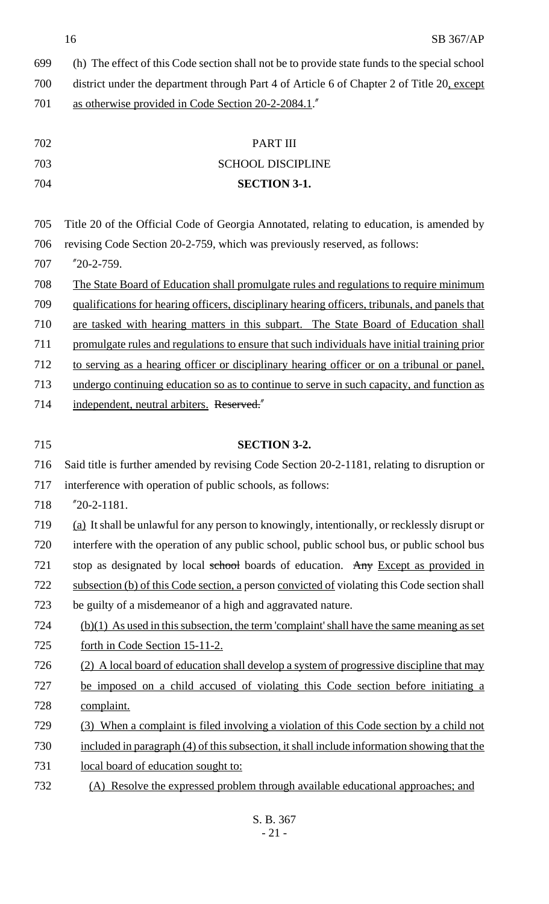16 SB 367/AP

| 699 | (h) The effect of this Code section shall not be to provide state funds to the special school  |
|-----|------------------------------------------------------------------------------------------------|
| 700 | district under the department through Part 4 of Article 6 of Chapter 2 of Title 20, except     |
| 701 | as otherwise provided in Code Section 20-2-2084.1.                                             |
|     |                                                                                                |
| 702 | <b>PART III</b>                                                                                |
| 703 | <b>SCHOOL DISCIPLINE</b>                                                                       |
| 704 | <b>SECTION 3-1.</b>                                                                            |
| 705 | Title 20 of the Official Code of Georgia Annotated, relating to education, is amended by       |
| 706 | revising Code Section 20-2-759, which was previously reserved, as follows:                     |
| 707 | $"20-2-759.$                                                                                   |
| 708 | The State Board of Education shall promulgate rules and regulations to require minimum         |
| 709 | qualifications for hearing officers, disciplinary hearing officers, tribunals, and panels that |
| 710 | are tasked with hearing matters in this subpart. The State Board of Education shall            |
| 711 | promulgate rules and regulations to ensure that such individuals have initial training prior   |
| 712 | to serving as a hearing officer or disciplinary hearing officer or on a tribunal or panel,     |
| 713 | undergo continuing education so as to continue to serve in such capacity, and function as      |
| 714 | independent, neutral arbiters. Reserved."                                                      |
|     |                                                                                                |
| 715 | <b>SECTION 3-2.</b>                                                                            |
| 716 | Said title is further amended by revising Code Section 20-2-1181, relating to disruption or    |
| 717 | interference with operation of public schools, as follows:                                     |
| 718 | $"20-2-1181.$                                                                                  |
| 719 | (a) It shall be unlawful for any person to knowingly, intentionally, or recklessly disrupt or  |
| 720 | interfere with the operation of any public school, public school bus, or public school bus     |
| 721 | stop as designated by local school boards of education. Any Except as provided in              |
| 722 | subsection (b) of this Code section, a person convicted of violating this Code section shall   |
| 723 | be guilty of a misdemeanor of a high and aggravated nature.                                    |
| 724 | $(b)(1)$ As used in this subsection, the term 'complaint' shall have the same meaning as set   |
| 725 | forth in Code Section 15-11-2.                                                                 |
| 726 | (2) A local board of education shall develop a system of progressive discipline that may       |
| 727 | be imposed on a child accused of violating this Code section before initiating a               |
| 728 |                                                                                                |
|     | complaint.                                                                                     |
| 729 | (3) When a complaint is filed involving a violation of this Code section by a child not        |
| 730 | included in paragraph (4) of this subsection, it shall include information showing that the    |
| 731 | local board of education sought to:                                                            |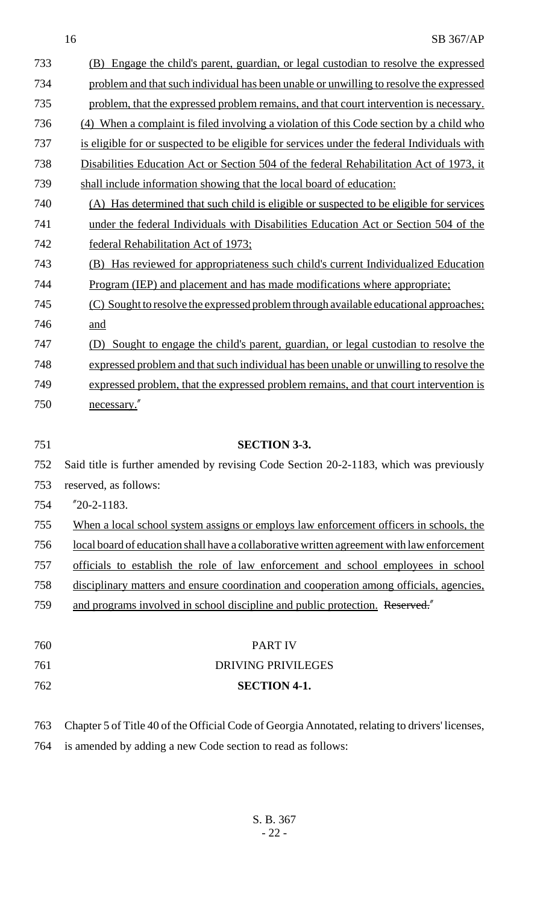| 733 | (B) Engage the child's parent, guardian, or legal custodian to resolve the expressed            |
|-----|-------------------------------------------------------------------------------------------------|
| 734 | problem and that such individual has been unable or unwilling to resolve the expressed          |
| 735 | problem, that the expressed problem remains, and that court intervention is necessary.          |
| 736 | (4) When a complaint is filed involving a violation of this Code section by a child who         |
| 737 | is eligible for or suspected to be eligible for services under the federal Individuals with     |
| 738 | Disabilities Education Act or Section 504 of the federal Rehabilitation Act of 1973, it         |
| 739 | shall include information showing that the local board of education:                            |
| 740 | (A) Has determined that such child is eligible or suspected to be eligible for services         |
| 741 | under the federal Individuals with Disabilities Education Act or Section 504 of the             |
| 742 | federal Rehabilitation Act of 1973;                                                             |
| 743 | (B) Has reviewed for appropriateness such child's current Individualized Education              |
| 744 | <u>Program (IEP) and placement and has made modifications where appropriate:</u>                |
| 745 | (C) Sought to resolve the expressed problem through available educational approaches;           |
| 746 | and                                                                                             |
| 747 | Sought to engage the child's parent, guardian, or legal custodian to resolve the<br>(D)         |
| 748 | expressed problem and that such individual has been unable or unwilling to resolve the          |
| 749 | expressed problem, that the expressed problem remains, and that court intervention is           |
| 750 | necessary."                                                                                     |
|     |                                                                                                 |
| 751 | <b>SECTION 3-3.</b>                                                                             |
| 752 | Said title is further amended by revising Code Section 20-2-1183, which was previously          |
| 753 | reserved, as follows:                                                                           |
| 754 | $"20-2-1183.$                                                                                   |
| 755 | When a local school system assigns or employs law enforcement officers in schools, the          |
| 756 | local board of education shall have a collaborative written agreement with law enforcement      |
| 757 | officials to establish the role of law enforcement and school employees in school               |
| 758 | disciplinary matters and ensure coordination and cooperation among officials, agencies,         |
| 759 | and programs involved in school discipline and public protection. Reserved."                    |
|     |                                                                                                 |
| 760 | <b>PART IV</b>                                                                                  |
| 761 | <b>DRIVING PRIVILEGES</b>                                                                       |
| 762 | <b>SECTION 4-1.</b>                                                                             |
|     |                                                                                                 |
| 763 |                                                                                                 |
|     | Chapter 5 of Title 40 of the Official Code of Georgia Annotated, relating to drivers' licenses, |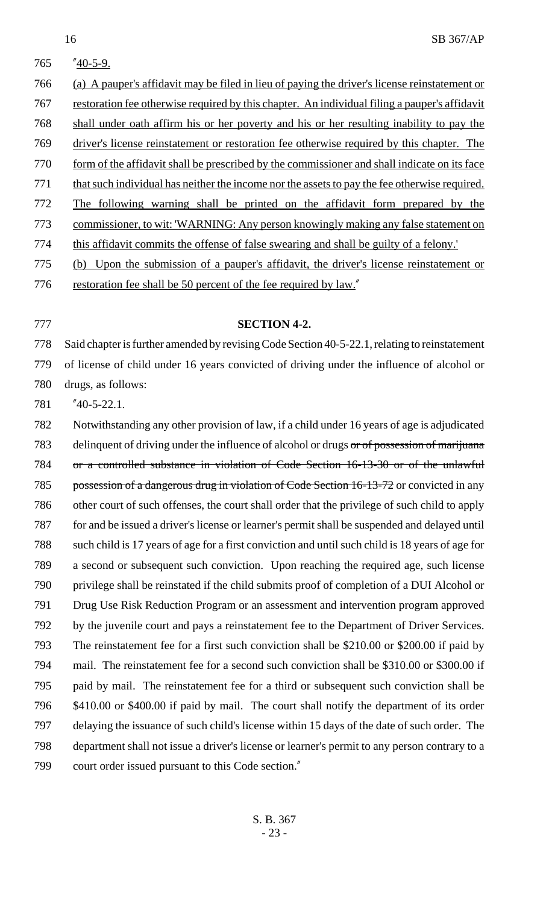- "40-5-9. (a) A pauper's affidavit may be filed in lieu of paying the driver's license reinstatement or restoration fee otherwise required by this chapter. An individual filing a pauper's affidavit shall under oath affirm his or her poverty and his or her resulting inability to pay the driver's license reinstatement or restoration fee otherwise required by this chapter. The 770 form of the affidavit shall be prescribed by the commissioner and shall indicate on its face 771 that such individual has neither the income nor the assets to pay the fee otherwise required. The following warning shall be printed on the affidavit form prepared by the commissioner, to wit: 'WARNING: Any person knowingly making any false statement on 774 this affidavit commits the offense of false swearing and shall be guilty of a felony.' (b) Upon the submission of a pauper's affidavit, the driver's license reinstatement or
- 776 restoration fee shall be 50 percent of the fee required by law."
- 

### **SECTION 4-2.**

 Said chapter is further amended by revising Code Section 40-5-22.1, relating to reinstatement of license of child under 16 years convicted of driving under the influence of alcohol or drugs, as follows:

"40-5-22.1.

 Notwithstanding any other provision of law, if a child under 16 years of age is adjudicated 783 delinquent of driving under the influence of alcohol or drugs or of possession of marijuana or a controlled substance in violation of Code Section 16-13-30 or of the unlawful 785 possession of a dangerous drug in violation of Code Section 16-13-72 or convicted in any other court of such offenses, the court shall order that the privilege of such child to apply for and be issued a driver's license or learner's permit shall be suspended and delayed until such child is 17 years of age for a first conviction and until such child is 18 years of age for a second or subsequent such conviction. Upon reaching the required age, such license privilege shall be reinstated if the child submits proof of completion of a DUI Alcohol or Drug Use Risk Reduction Program or an assessment and intervention program approved 792 by the juvenile court and pays a reinstatement fee to the Department of Driver Services. The reinstatement fee for a first such conviction shall be \$210.00 or \$200.00 if paid by mail. The reinstatement fee for a second such conviction shall be \$310.00 or \$300.00 if paid by mail. The reinstatement fee for a third or subsequent such conviction shall be \$410.00 or \$400.00 if paid by mail. The court shall notify the department of its order delaying the issuance of such child's license within 15 days of the date of such order. The department shall not issue a driver's license or learner's permit to any person contrary to a court order issued pursuant to this Code section."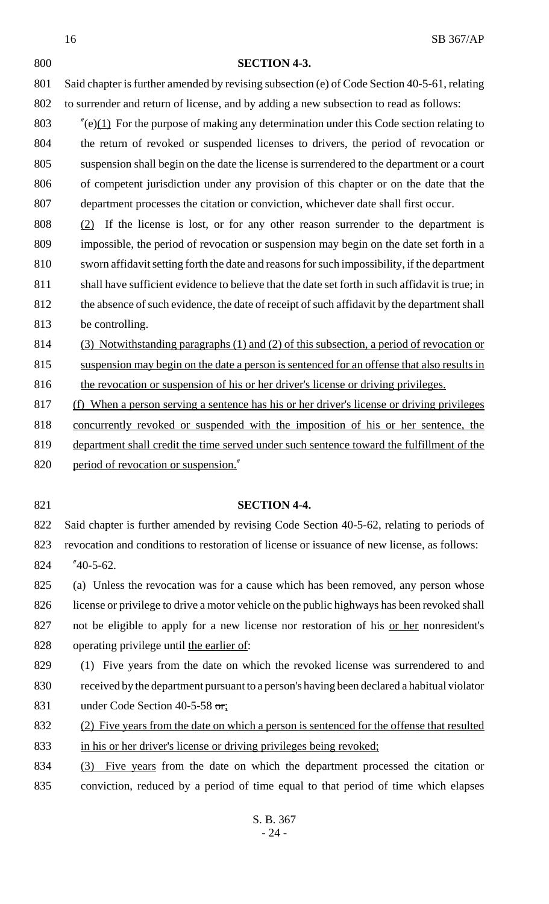#### **SECTION 4-3.**

801 Said chapter is further amended by revising subsection (e) of Code Section 40-5-61, relating to surrender and return of license, and by adding a new subsection to read as follows:

 $\frac{\pi}{e}(1)$  For the purpose of making any determination under this Code section relating to the return of revoked or suspended licenses to drivers, the period of revocation or suspension shall begin on the date the license is surrendered to the department or a court 806 of competent jurisdiction under any provision of this chapter or on the date that the department processes the citation or conviction, whichever date shall first occur.

 (2) If the license is lost, or for any other reason surrender to the department is impossible, the period of revocation or suspension may begin on the date set forth in a sworn affidavit setting forth the date and reasons for such impossibility, if the department shall have sufficient evidence to believe that the date set forth in such affidavit is true; in the absence of such evidence, the date of receipt of such affidavit by the department shall be controlling.

(3) Notwithstanding paragraphs (1) and (2) of this subsection, a period of revocation or

815 suspension may begin on the date a person is sentenced for an offense that also results in 816 the revocation or suspension of his or her driver's license or driving privileges.

(f) When a person serving a sentence has his or her driver's license or driving privileges

concurrently revoked or suspended with the imposition of his or her sentence, the

 department shall credit the time served under such sentence toward the fulfillment of the 820 period of revocation or suspension."

#### **SECTION 4-4.**

 Said chapter is further amended by revising Code Section 40-5-62, relating to periods of revocation and conditions to restoration of license or issuance of new license, as follows:

"40-5-62.

 (a) Unless the revocation was for a cause which has been removed, any person whose license or privilege to drive a motor vehicle on the public highways has been revoked shall 827 not be eligible to apply for a new license nor restoration of his <u>or here</u> nonresident's operating privilege until the earlier of:

 (1) Five years from the date on which the revoked license was surrendered to and received by the department pursuant to a person's having been declared a habitual violator 831 under Code Section 40-5-58 or;

 (2) Five years from the date on which a person is sentenced for the offense that resulted in his or her driver's license or driving privileges being revoked;

 (3) Five years from the date on which the department processed the citation or conviction, reduced by a period of time equal to that period of time which elapses

> S. B. 367 - 24 -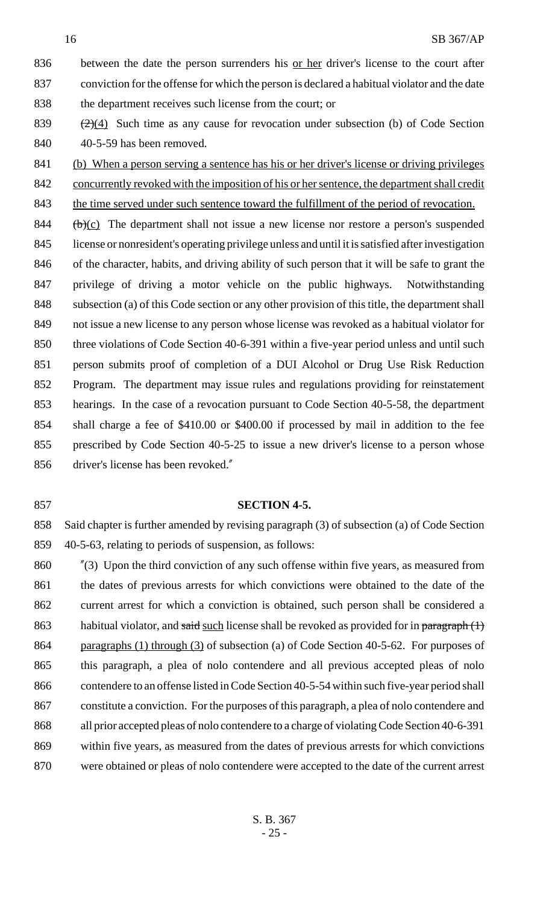836 between the date the person surrenders his <u>or her</u> driver's license to the court after conviction for the offense for which the person is declared a habitual violator and the date the department receives such license from the court; or

839  $\frac{(2)(4)}{2}$  Such time as any cause for revocation under subsection (b) of Code Section 40-5-59 has been removed.

 (b) When a person serving a sentence has his or her driver's license or driving privileges 842 concurrently revoked with the imposition of his or her sentence, the department shall credit 843 the time served under such sentence toward the fulfillment of the period of revocation.

844 (b) $(c)$  The department shall not issue a new license nor restore a person's suspended license or nonresident's operating privilege unless and until it is satisfied after investigation of the character, habits, and driving ability of such person that it will be safe to grant the privilege of driving a motor vehicle on the public highways. Notwithstanding 848 subsection (a) of this Code section or any other provision of this title, the department shall not issue a new license to any person whose license was revoked as a habitual violator for three violations of Code Section 40-6-391 within a five-year period unless and until such person submits proof of completion of a DUI Alcohol or Drug Use Risk Reduction Program. The department may issue rules and regulations providing for reinstatement hearings. In the case of a revocation pursuant to Code Section 40-5-58, the department shall charge a fee of \$410.00 or \$400.00 if processed by mail in addition to the fee prescribed by Code Section 40-5-25 to issue a new driver's license to a person whose driver's license has been revoked."

#### **SECTION 4-5.**

 Said chapter is further amended by revising paragraph (3) of subsection (a) of Code Section 40-5-63, relating to periods of suspension, as follows:

 "(3) Upon the third conviction of any such offense within five years, as measured from 861 the dates of previous arrests for which convictions were obtained to the date of the current arrest for which a conviction is obtained, such person shall be considered a 863 habitual violator, and said such license shall be revoked as provided for in paragraph  $(1)$ 864 paragraphs (1) through (3) of subsection (a) of Code Section 40-5-62. For purposes of this paragraph, a plea of nolo contendere and all previous accepted pleas of nolo 866 contendere to an offense listed in Code Section 40-5-54 within such five-year period shall constitute a conviction. For the purposes of this paragraph, a plea of nolo contendere and all prior accepted pleas of nolo contendere to a charge of violating Code Section 40-6-391 within five years, as measured from the dates of previous arrests for which convictions were obtained or pleas of nolo contendere were accepted to the date of the current arrest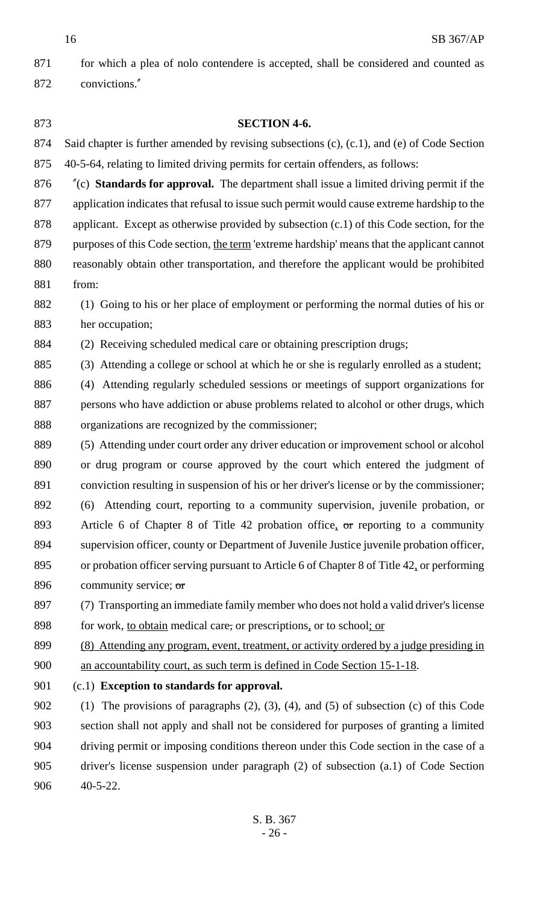SB 367/AP

871 for which a plea of nolo contendere is accepted, shall be considered and counted as convictions."

 **SECTION 4-6.** Said chapter is further amended by revising subsections (c), (c.1), and (e) of Code Section 40-5-64, relating to limited driving permits for certain offenders, as follows: "(c) **Standards for approval.** The department shall issue a limited driving permit if the application indicates that refusal to issue such permit would cause extreme hardship to the applicant. Except as otherwise provided by subsection (c.1) of this Code section, for the purposes of this Code section, the term 'extreme hardship' means that the applicant cannot reasonably obtain other transportation, and therefore the applicant would be prohibited from: (1) Going to his or her place of employment or performing the normal duties of his or her occupation; (2) Receiving scheduled medical care or obtaining prescription drugs; (3) Attending a college or school at which he or she is regularly enrolled as a student; (4) Attending regularly scheduled sessions or meetings of support organizations for persons who have addiction or abuse problems related to alcohol or other drugs, which organizations are recognized by the commissioner; (5) Attending under court order any driver education or improvement school or alcohol or drug program or course approved by the court which entered the judgment of conviction resulting in suspension of his or her driver's license or by the commissioner; (6) Attending court, reporting to a community supervision, juvenile probation, or 893 Article 6 of Chapter 8 of Title 42 probation office, or reporting to a community supervision officer, county or Department of Juvenile Justice juvenile probation officer, or probation officer serving pursuant to Article 6 of Chapter 8 of Title 42, or performing 896 community service; or (7) Transporting an immediate family member who does not hold a valid driver's license 898 for work, <u>to obtain</u> medical care, or prescriptions, or to school; or (8) Attending any program, event, treatment, or activity ordered by a judge presiding in an accountability court, as such term is defined in Code Section 15-1-18. (c.1) **Exception to standards for approval.** 902 (1) The provisions of paragraphs (2), (3), (4), and (5) of subsection (c) of this Code section shall not apply and shall not be considered for purposes of granting a limited

 driver's license suspension under paragraph (2) of subsection (a.1) of Code Section 40-5-22.

driving permit or imposing conditions thereon under this Code section in the case of a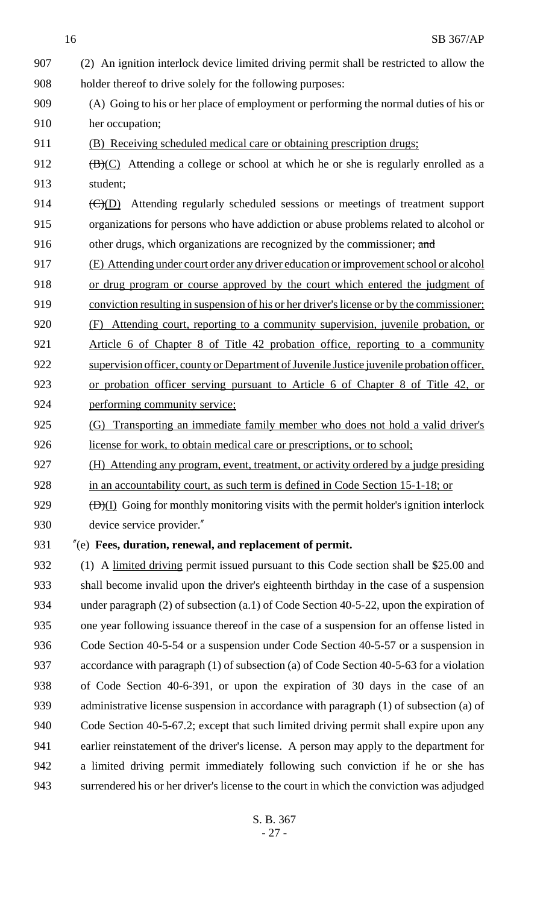(2) An ignition interlock device limited driving permit shall be restricted to allow the holder thereof to drive solely for the following purposes: (A) Going to his or her place of employment or performing the normal duties of his or her occupation; (B) Receiving scheduled medical care or obtaining prescription drugs;  $(B)(C)$  Attending a college or school at which he or she is regularly enrolled as a student; 914 (C)(D) Attending regularly scheduled sessions or meetings of treatment support organizations for persons who have addiction or abuse problems related to alcohol or 916 other drugs, which organizations are recognized by the commissioner; and (E) Attending under court order any driver education or improvement school or alcohol 918 or drug program or course approved by the court which entered the judgment of conviction resulting in suspension of his or her driver's license or by the commissioner; (F) Attending court, reporting to a community supervision, juvenile probation, or Article 6 of Chapter 8 of Title 42 probation office, reporting to a community 922 supervision officer, county or Department of Juvenile Justice juvenile probation officer, or probation officer serving pursuant to Article 6 of Chapter 8 of Title 42, or performing community service; (G) Transporting an immediate family member who does not hold a valid driver's license for work, to obtain medical care or prescriptions, or to school; 927 (H) Attending any program, event, treatment, or activity ordered by a judge presiding in an accountability court, as such term is defined in Code Section 15-1-18; or  $\left(\frac{D}{I}\right)$  Going for monthly monitoring visits with the permit holder's ignition interlock device service provider." "(e) **Fees, duration, renewal, and replacement of permit.** (1) A limited driving permit issued pursuant to this Code section shall be \$25.00 and shall become invalid upon the driver's eighteenth birthday in the case of a suspension under paragraph (2) of subsection (a.1) of Code Section 40-5-22, upon the expiration of one year following issuance thereof in the case of a suspension for an offense listed in Code Section 40-5-54 or a suspension under Code Section 40-5-57 or a suspension in accordance with paragraph (1) of subsection (a) of Code Section 40-5-63 for a violation of Code Section 40-6-391, or upon the expiration of 30 days in the case of an 939 administrative license suspension in accordance with paragraph (1) of subsection (a) of Code Section 40-5-67.2; except that such limited driving permit shall expire upon any earlier reinstatement of the driver's license. A person may apply to the department for a limited driving permit immediately following such conviction if he or she has surrendered his or her driver's license to the court in which the conviction was adjudged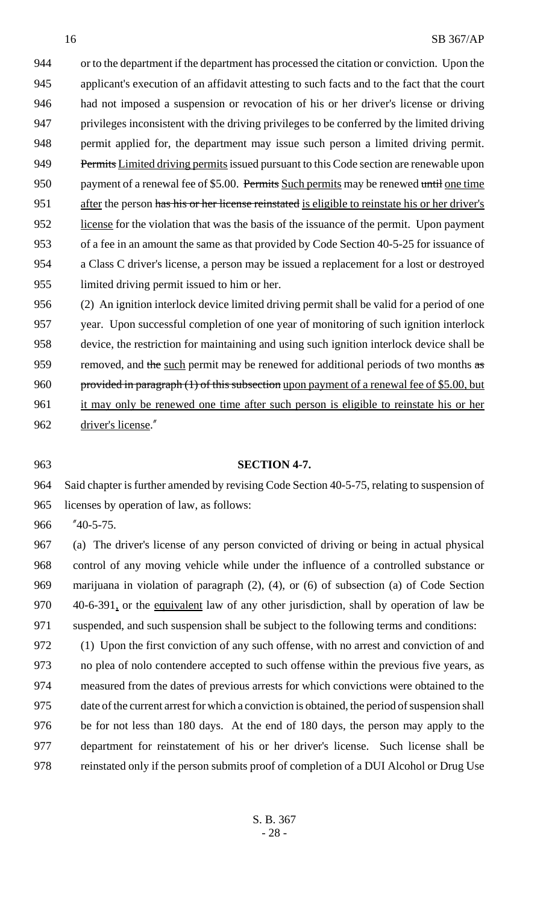or to the department if the department has processed the citation or conviction. Upon the applicant's execution of an affidavit attesting to such facts and to the fact that the court had not imposed a suspension or revocation of his or her driver's license or driving privileges inconsistent with the driving privileges to be conferred by the limited driving permit applied for, the department may issue such person a limited driving permit. 949 Permits Limited driving permits issued pursuant to this Code section are renewable upon 950 payment of a renewal fee of \$5.00. Permits Such permits may be renewed until one time 951 after the person has his or her license reinstated is eligible to reinstate his or her driver's license for the violation that was the basis of the issuance of the permit. Upon payment of a fee in an amount the same as that provided by Code Section 40-5-25 for issuance of a Class C driver's license, a person may be issued a replacement for a lost or destroyed limited driving permit issued to him or her.

 (2) An ignition interlock device limited driving permit shall be valid for a period of one year. Upon successful completion of one year of monitoring of such ignition interlock device, the restriction for maintaining and using such ignition interlock device shall be 959 removed, and the such permit may be renewed for additional periods of two months as 960 provided in paragraph (1) of this subsection upon payment of a renewal fee of \$5.00, but 961 it may only be renewed one time after such person is eligible to reinstate his or her driver's license."

#### **SECTION 4-7.**

 Said chapter is further amended by revising Code Section 40-5-75, relating to suspension of licenses by operation of law, as follows:

"40-5-75.

 (a) The driver's license of any person convicted of driving or being in actual physical control of any moving vehicle while under the influence of a controlled substance or marijuana in violation of paragraph (2), (4), or (6) of subsection (a) of Code Section 970 40-6-391, or the equivalent law of any other jurisdiction, shall by operation of law be suspended, and such suspension shall be subject to the following terms and conditions:

 (1) Upon the first conviction of any such offense, with no arrest and conviction of and no plea of nolo contendere accepted to such offense within the previous five years, as measured from the dates of previous arrests for which convictions were obtained to the date of the current arrest for which a conviction is obtained, the period of suspension shall be for not less than 180 days. At the end of 180 days, the person may apply to the department for reinstatement of his or her driver's license. Such license shall be reinstated only if the person submits proof of completion of a DUI Alcohol or Drug Use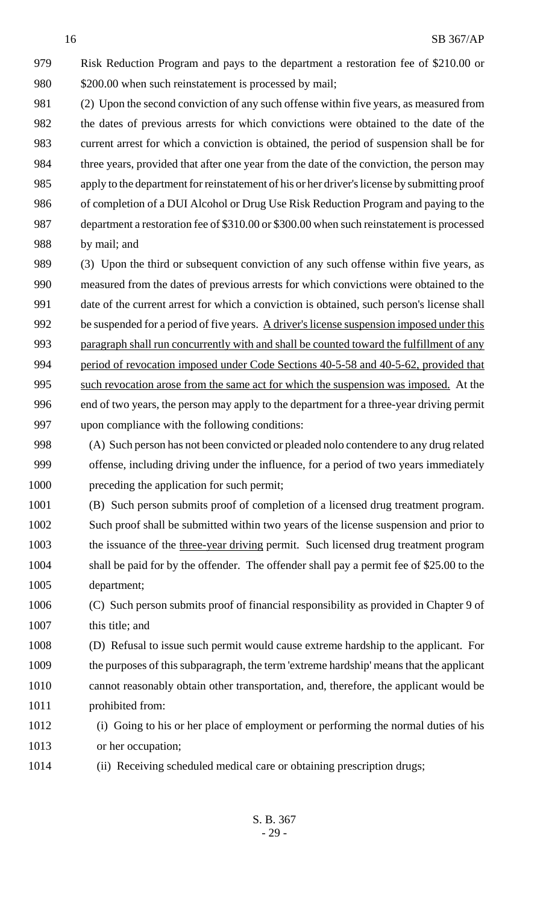Risk Reduction Program and pays to the department a restoration fee of \$210.00 or 980 \$200.00 when such reinstatement is processed by mail;

 (2) Upon the second conviction of any such offense within five years, as measured from the dates of previous arrests for which convictions were obtained to the date of the current arrest for which a conviction is obtained, the period of suspension shall be for three years, provided that after one year from the date of the conviction, the person may apply to the department for reinstatement of his or her driver's license by submitting proof of completion of a DUI Alcohol or Drug Use Risk Reduction Program and paying to the department a restoration fee of \$310.00 or \$300.00 when such reinstatement is processed by mail; and

 (3) Upon the third or subsequent conviction of any such offense within five years, as measured from the dates of previous arrests for which convictions were obtained to the date of the current arrest for which a conviction is obtained, such person's license shall 992 be suspended for a period of five years. A driver's license suspension imposed under this paragraph shall run concurrently with and shall be counted toward the fulfillment of any 994 period of revocation imposed under Code Sections 40-5-58 and 40-5-62, provided that such revocation arose from the same act for which the suspension was imposed. At the end of two years, the person may apply to the department for a three-year driving permit upon compliance with the following conditions:

 (A) Such person has not been convicted or pleaded nolo contendere to any drug related offense, including driving under the influence, for a period of two years immediately 1000 preceding the application for such permit;

 (B) Such person submits proof of completion of a licensed drug treatment program. Such proof shall be submitted within two years of the license suspension and prior to 1003 the issuance of the three-year driving permit. Such licensed drug treatment program shall be paid for by the offender. The offender shall pay a permit fee of \$25.00 to the department;

 (C) Such person submits proof of financial responsibility as provided in Chapter 9 of 1007 this title; and

 (D) Refusal to issue such permit would cause extreme hardship to the applicant. For the purposes of this subparagraph, the term 'extreme hardship' means that the applicant cannot reasonably obtain other transportation, and, therefore, the applicant would be prohibited from:

- (i) Going to his or her place of employment or performing the normal duties of his or her occupation;
- (ii) Receiving scheduled medical care or obtaining prescription drugs;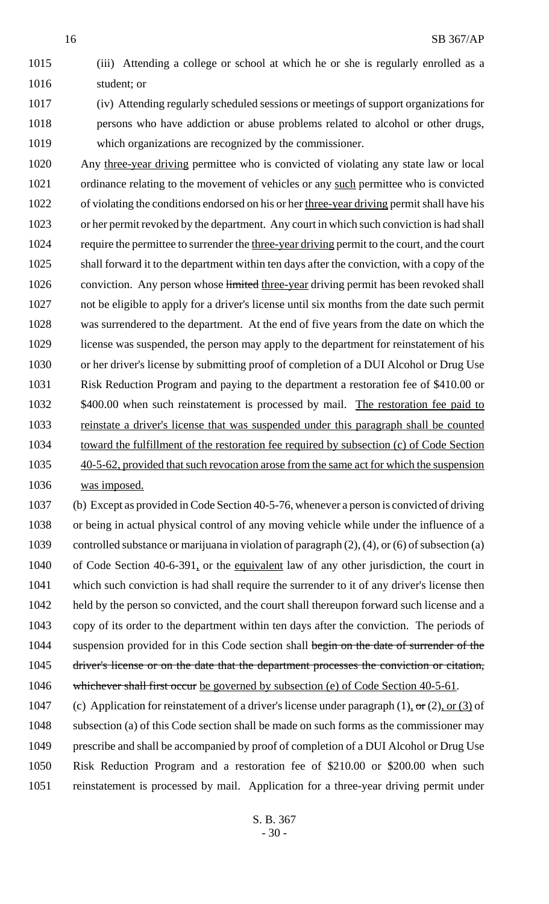(iii) Attending a college or school at which he or she is regularly enrolled as a student; or

 (iv) Attending regularly scheduled sessions or meetings of support organizations for persons who have addiction or abuse problems related to alcohol or other drugs, which organizations are recognized by the commissioner.

 Any three-year driving permittee who is convicted of violating any state law or local ordinance relating to the movement of vehicles or any such permittee who is convicted of violating the conditions endorsed on his or her three-year driving permit shall have his or her permit revoked by the department. Any court in which such conviction is had shall 1024 require the permittee to surrender the three-year driving permit to the court, and the court shall forward it to the department within ten days after the conviction, with a copy of the 1026 conviction. Any person whose limited three-year driving permit has been revoked shall not be eligible to apply for a driver's license until six months from the date such permit was surrendered to the department. At the end of five years from the date on which the license was suspended, the person may apply to the department for reinstatement of his or her driver's license by submitting proof of completion of a DUI Alcohol or Drug Use Risk Reduction Program and paying to the department a restoration fee of \$410.00 or 1032 \$400.00 when such reinstatement is processed by mail. The restoration fee paid to 1033 reinstate a driver's license that was suspended under this paragraph shall be counted 1034 toward the fulfillment of the restoration fee required by subsection (c) of Code Section 40-5-62, provided that such revocation arose from the same act for which the suspension was imposed.

 (b) Except as provided in Code Section 40-5-76, whenever a person is convicted of driving or being in actual physical control of any moving vehicle while under the influence of a controlled substance or marijuana in violation of paragraph (2), (4), or (6) of subsection (a) of Code Section 40-6-391, or the equivalent law of any other jurisdiction, the court in which such conviction is had shall require the surrender to it of any driver's license then 1042 held by the person so convicted, and the court shall thereupon forward such license and a copy of its order to the department within ten days after the conviction. The periods of 1044 suspension provided for in this Code section shall begin on the date of surrender of the 1045 driver's license or on the date that the department processes the conviction or citation, 1046 whichever shall first occur be governed by subsection (e) of Code Section 40-5-61.

1047 (c) Application for reinstatement of a driver's license under paragraph  $(1)$ , or  $(2)$ , or  $(3)$  of 1048 subsection (a) of this Code section shall be made on such forms as the commissioner may prescribe and shall be accompanied by proof of completion of a DUI Alcohol or Drug Use Risk Reduction Program and a restoration fee of \$210.00 or \$200.00 when such reinstatement is processed by mail. Application for a three-year driving permit under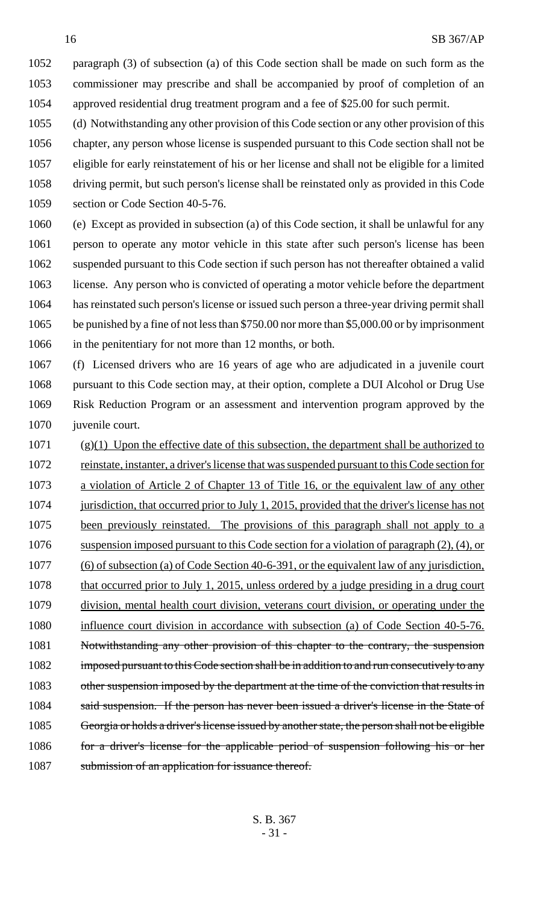paragraph (3) of subsection (a) of this Code section shall be made on such form as the commissioner may prescribe and shall be accompanied by proof of completion of an approved residential drug treatment program and a fee of \$25.00 for such permit.

 (d) Notwithstanding any other provision of this Code section or any other provision of this chapter, any person whose license is suspended pursuant to this Code section shall not be eligible for early reinstatement of his or her license and shall not be eligible for a limited driving permit, but such person's license shall be reinstated only as provided in this Code section or Code Section 40-5-76.

 (e) Except as provided in subsection (a) of this Code section, it shall be unlawful for any person to operate any motor vehicle in this state after such person's license has been suspended pursuant to this Code section if such person has not thereafter obtained a valid license. Any person who is convicted of operating a motor vehicle before the department has reinstated such person's license or issued such person a three-year driving permit shall be punished by a fine of not less than \$750.00 nor more than \$5,000.00 or by imprisonment in the penitentiary for not more than 12 months, or both.

 (f) Licensed drivers who are 16 years of age who are adjudicated in a juvenile court pursuant to this Code section may, at their option, complete a DUI Alcohol or Drug Use Risk Reduction Program or an assessment and intervention program approved by the juvenile court.

 (g)(1) Upon the effective date of this subsection, the department shall be authorized to reinstate, instanter, a driver's license that was suspended pursuant to this Code section for a violation of Article 2 of Chapter 13 of Title 16, or the equivalent law of any other 1074 jurisdiction, that occurred prior to July 1, 2015, provided that the driver's license has not been previously reinstated. The provisions of this paragraph shall not apply to a suspension imposed pursuant to this Code section for a violation of paragraph (2), (4), or (6) of subsection (a) of Code Section 40-6-391, or the equivalent law of any jurisdiction, 1078 that occurred prior to July 1, 2015, unless ordered by a judge presiding in a drug court division, mental health court division, veterans court division, or operating under the 1080 influence court division in accordance with subsection (a) of Code Section 40-5-76. 1081 Notwithstanding any other provision of this chapter to the contrary, the suspension imposed pursuant to this Code section shall be in addition to and run consecutively to any 1083 other suspension imposed by the department at the time of the conviction that results in 1084 said suspension. If the person has never been issued a driver's license in the State of Georgia or holds a driver's license issued by another state, the person shall not be eligible 1086 for a driver's license for the applicable period of suspension following his or her 1087 submission of an application for issuance thereof.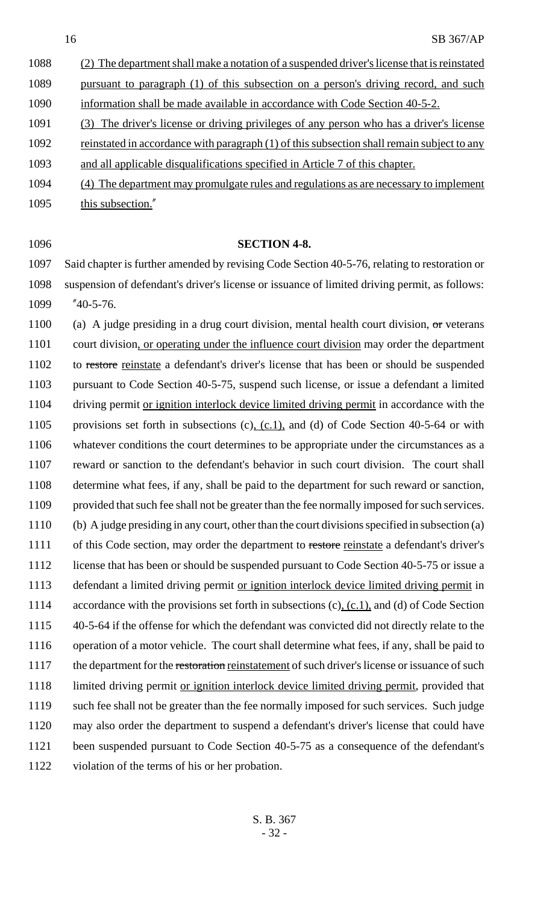| 1088                       | (2) The department shall make a notation of a suspended driver's license that is reinstated |
|----------------------------|---------------------------------------------------------------------------------------------|
| 1089                       | pursuant to paragraph (1) of this subsection on a person's driving record, and such         |
| 1090                       | information shall be made available in accordance with Code Section 40-5-2.                 |
| 1091                       | (3) The driver's license or driving privileges of any person who has a driver's license     |
| 1092                       | reinstated in accordance with paragraph (1) of this subsection shall remain subject to any  |
| 1093                       | and all applicable disqualifications specified in Article 7 of this chapter.                |
| $\lambda$ $\sim$ $\lambda$ |                                                                                             |

- 1094 (4) The department may promulgate rules and regulations as are necessary to implement 1095 this subsection."
- 

#### **SECTION 4-8.**

 Said chapter is further amended by revising Code Section 40-5-76, relating to restoration or suspension of defendant's driver's license or issuance of limited driving permit, as follows: "40-5-76.

1100 (a) A judge presiding in a drug court division, mental health court division,  $\sigma$ r veterans 1101 court division, or operating under the influence court division may order the department 1102 to restore reinstate a defendant's driver's license that has been or should be suspended pursuant to Code Section 40-5-75, suspend such license, or issue a defendant a limited 1104 driving permit or ignition interlock device limited driving permit in accordance with the 1105 provisions set forth in subsections (c), (c.1), and (d) of Code Section 40-5-64 or with whatever conditions the court determines to be appropriate under the circumstances as a reward or sanction to the defendant's behavior in such court division. The court shall determine what fees, if any, shall be paid to the department for such reward or sanction, provided that such fee shall not be greater than the fee normally imposed for such services. (b) A judge presiding in any court, other than the court divisions specified in subsection (a) 1111 of this Code section, may order the department to restore reinstate a defendant's driver's 1112 license that has been or should be suspended pursuant to Code Section 40-5-75 or issue a 1113 defendant a limited driving permit or ignition interlock device limited driving permit in 1114 accordance with the provisions set forth in subsections (c), (c.1), and (d) of Code Section 40-5-64 if the offense for which the defendant was convicted did not directly relate to the operation of a motor vehicle. The court shall determine what fees, if any, shall be paid to 1117 the department for the restoration reinstatement of such driver's license or issuance of such 1118 limited driving permit or ignition interlock device limited driving permit, provided that such fee shall not be greater than the fee normally imposed for such services. Such judge may also order the department to suspend a defendant's driver's license that could have been suspended pursuant to Code Section 40-5-75 as a consequence of the defendant's violation of the terms of his or her probation.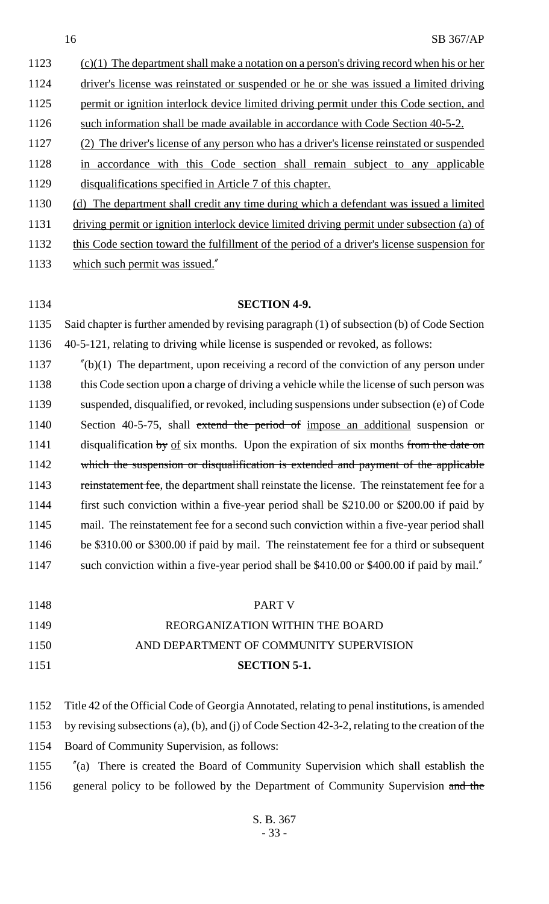1123 (c)(1) The department shall make a notation on a person's driving record when his or her 1124 driver's license was reinstated or suspended or he or she was issued a limited driving 1125 permit or ignition interlock device limited driving permit under this Code section, and 1126 such information shall be made available in accordance with Code Section 40-5-2. (2) The driver's license of any person who has a driver's license reinstated or suspended in accordance with this Code section shall remain subject to any applicable disqualifications specified in Article 7 of this chapter. (d) The department shall credit any time during which a defendant was issued a limited driving permit or ignition interlock device limited driving permit under subsection (a) of

this Code section toward the fulfillment of the period of a driver's license suspension for

which such permit was issued."

**SECTION 4-9.**

 Said chapter is further amended by revising paragraph (1) of subsection (b) of Code Section 40-5-121, relating to driving while license is suspended or revoked, as follows:

 "(b)(1) The department, upon receiving a record of the conviction of any person under 1138 this Code section upon a charge of driving a vehicle while the license of such person was suspended, disqualified, or revoked, including suspensions under subsection (e) of Code 1140 Section 40-5-75, shall extend the period of impose an additional suspension or 1141 disqualification by of six months. Upon the expiration of six months from the date on 1142 which the suspension or disqualification is extended and payment of the applicable 1143 reinstatement fee, the department shall reinstate the license. The reinstatement fee for a first such conviction within a five-year period shall be \$210.00 or \$200.00 if paid by mail. The reinstatement fee for a second such conviction within a five-year period shall be \$310.00 or \$300.00 if paid by mail. The reinstatement fee for a third or subsequent 1147 such conviction within a five-year period shall be \$410.00 or \$400.00 if paid by mail."

| 1148                                             | PART V                                                                                                                                                                                                                                                                         |
|--------------------------------------------------|--------------------------------------------------------------------------------------------------------------------------------------------------------------------------------------------------------------------------------------------------------------------------------|
| 1149                                             | REORGANIZATION WITHIN THE BOARD                                                                                                                                                                                                                                                |
| $\rightarrow$ $\rightarrow$ $\rightarrow$ $\sim$ | $\overline{111}$ $\overline{11}$ $\overline{111}$ $\overline{111}$ $\overline{111}$ $\overline{111}$ $\overline{111}$ $\overline{111}$ $\overline{111}$ $\overline{111}$ $\overline{111}$ $\overline{111}$ $\overline{111}$ $\overline{111}$ $\overline{111}$ $\overline{111}$ |

## AND DEPARTMENT OF COMMUNITY SUPERVISION

- **SECTION 5-1.**
- Title 42 of the Official Code of Georgia Annotated, relating to penal institutions, is amended by revising subsections (a), (b), and (j) of Code Section 42-3-2, relating to the creation of the Board of Community Supervision, as follows:

 "(a) There is created the Board of Community Supervision which shall establish the 1156 general policy to be followed by the Department of Community Supervision and the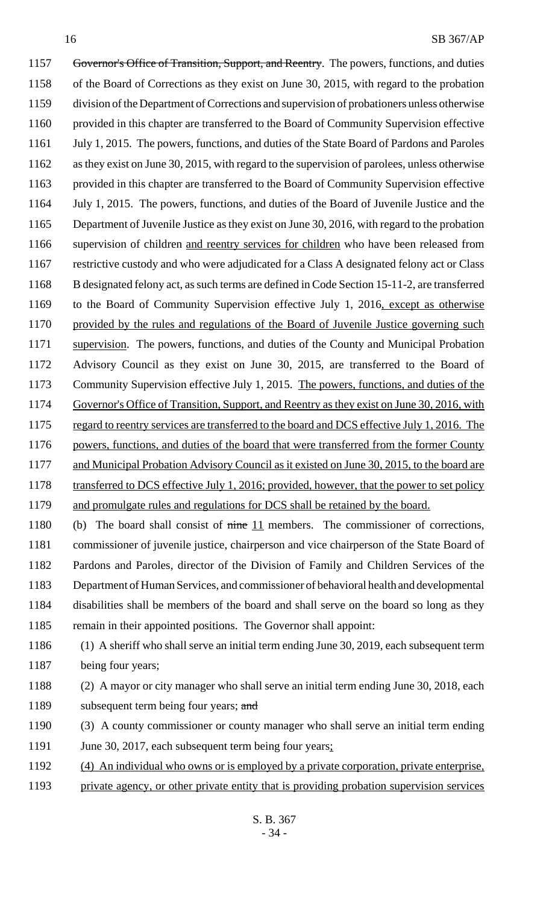1157 Governor's Office of Transition, Support, and Reentry. The powers, functions, and duties of the Board of Corrections as they exist on June 30, 2015, with regard to the probation division of the Department of Corrections and supervision of probationers unless otherwise provided in this chapter are transferred to the Board of Community Supervision effective July 1, 2015. The powers, functions, and duties of the State Board of Pardons and Paroles as they exist on June 30, 2015, with regard to the supervision of parolees, unless otherwise provided in this chapter are transferred to the Board of Community Supervision effective July 1, 2015. The powers, functions, and duties of the Board of Juvenile Justice and the Department of Juvenile Justice as they exist on June 30, 2016, with regard to the probation supervision of children and reentry services for children who have been released from restrictive custody and who were adjudicated for a Class A designated felony act or Class B designated felony act, as such terms are defined in Code Section 15-11-2, are transferred 1169 to the Board of Community Supervision effective July 1, 2016, except as otherwise provided by the rules and regulations of the Board of Juvenile Justice governing such supervision. The powers, functions, and duties of the County and Municipal Probation Advisory Council as they exist on June 30, 2015, are transferred to the Board of 1173 Community Supervision effective July 1, 2015. The powers, functions, and duties of the Governor's Office of Transition, Support, and Reentry as they exist on June 30, 2016, with 1175 regard to reentry services are transferred to the board and DCS effective July 1, 2016. The 1176 powers, functions, and duties of the board that were transferred from the former County 1177 and Municipal Probation Advisory Council as it existed on June 30, 2015, to the board are 1178 transferred to DCS effective July 1, 2016; provided, however, that the power to set policy 1179 and promulgate rules and regulations for DCS shall be retained by the board.

1180 (b) The board shall consist of nine 11 members. The commissioner of corrections, commissioner of juvenile justice, chairperson and vice chairperson of the State Board of Pardons and Paroles, director of the Division of Family and Children Services of the Department of Human Services, and commissioner of behavioral health and developmental disabilities shall be members of the board and shall serve on the board so long as they remain in their appointed positions. The Governor shall appoint:

- (1) A sheriff who shall serve an initial term ending June 30, 2019, each subsequent term 1187 being four years;
- (2) A mayor or city manager who shall serve an initial term ending June 30, 2018, each 1189 subsequent term being four years; and
- (3) A county commissioner or county manager who shall serve an initial term ending 1191 June 30, 2017, each subsequent term being four years;
- (4) An individual who owns or is employed by a private corporation, private enterprise,
- private agency, or other private entity that is providing probation supervision services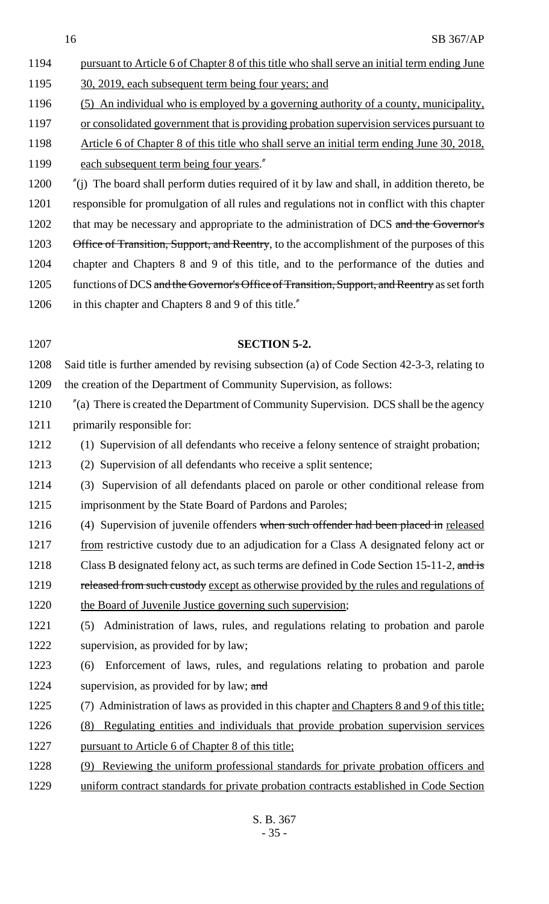- 16 SB 367/AP 1194 pursuant to Article 6 of Chapter 8 of this title who shall serve an initial term ending June 1195 30, 2019, each subsequent term being four years; and 1196 (5) An individual who is employed by a governing authority of a county, municipality, 1197 or consolidated government that is providing probation supervision services pursuant to 1198 Article 6 of Chapter 8 of this title who shall serve an initial term ending June 30, 2018, 1199 each subsequent term being four years." 1200 "(j) The board shall perform duties required of it by law and shall, in addition thereto, be 1201 responsible for promulgation of all rules and regulations not in conflict with this chapter 1202 that may be necessary and appropriate to the administration of DCS and the Governor's 1203 Office of Transition, Support, and Reentry, to the accomplishment of the purposes of this 1204 chapter and Chapters 8 and 9 of this title, and to the performance of the duties and 1205 functions of DCS and the Governor's Office of Transition, Support, and Reentry as set forth 1206 in this chapter and Chapters 8 and 9 of this title." 1207 **SECTION 5-2.** 1208 Said title is further amended by revising subsection (a) of Code Section 42-3-3, relating to 1209 the creation of the Department of Community Supervision, as follows: 1210 "(a) There is created the Department of Community Supervision. DCS shall be the agency 1211 primarily responsible for: 1212 (1) Supervision of all defendants who receive a felony sentence of straight probation; 1213 (2) Supervision of all defendants who receive a split sentence; 1214 (3) Supervision of all defendants placed on parole or other conditional release from 1215 imprisonment by the State Board of Pardons and Paroles; 1216 (4) Supervision of juvenile offenders when such offender had been placed in released 1217 from restrictive custody due to an adjudication for a Class A designated felony act or 1218 Class B designated felony act, as such terms are defined in Code Section 15-11-2, and is 1219 released from such custody except as otherwise provided by the rules and regulations of 1220 the Board of Juvenile Justice governing such supervision; 1221 (5) Administration of laws, rules, and regulations relating to probation and parole 1222 supervision, as provided for by law; 1223 (6) Enforcement of laws, rules, and regulations relating to probation and parole 1224 supervision, as provided for by law; and 1225 (7) Administration of laws as provided in this chapter and Chapters 8 and 9 of this title; 1226 (8) Regulating entities and individuals that provide probation supervision services 1227 pursuant to Article 6 of Chapter 8 of this title;
	- 1228 (9) Reviewing the uniform professional standards for private probation officers and 1229 uniform contract standards for private probation contracts established in Code Section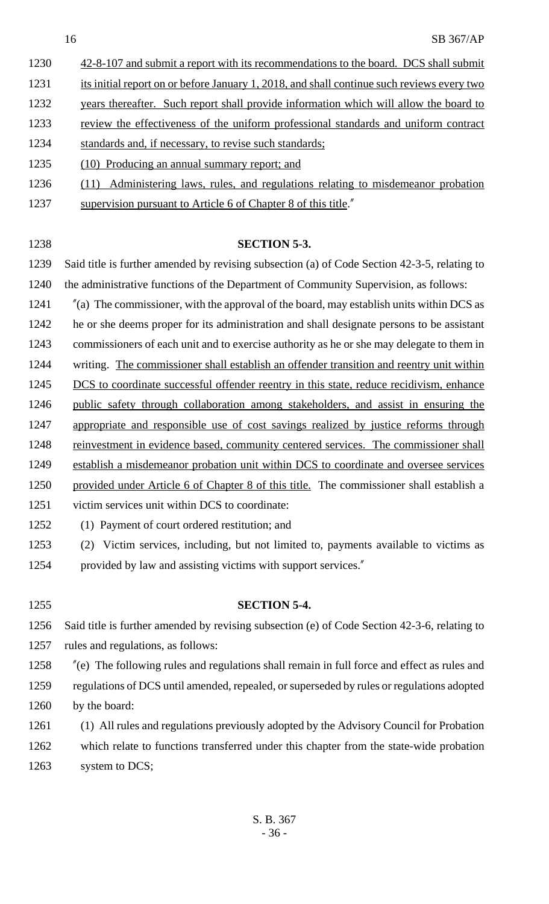- 1230 42-8-107 and submit a report with its recommendations to the board. DCS shall submit
- 1231 its initial report on or before January 1, 2018, and shall continue such reviews every two
- 1232 years thereafter. Such report shall provide information which will allow the board to
- 1233 review the effectiveness of the uniform professional standards and uniform contract
- standards and, if necessary, to revise such standards;
- (10) Producing an annual summary report; and
- (11) Administering laws, rules, and regulations relating to misdemeanor probation
- 1237 supervision pursuant to Article 6 of Chapter 8 of this title.

## **SECTION 5-3.**

- Said title is further amended by revising subsection (a) of Code Section 42-3-5, relating to the administrative functions of the Department of Community Supervision, as follows:
- "(a) The commissioner, with the approval of the board, may establish units within DCS as
- he or she deems proper for its administration and shall designate persons to be assistant
- commissioners of each unit and to exercise authority as he or she may delegate to them in
- 1244 writing. The commissioner shall establish an offender transition and reentry unit within
- 1245 DCS to coordinate successful offender reentry in this state, reduce recidivism, enhance
- public safety through collaboration among stakeholders, and assist in ensuring the
- appropriate and responsible use of cost savings realized by justice reforms through
- 1248 reinvestment in evidence based, community centered services. The commissioner shall
- establish a misdemeanor probation unit within DCS to coordinate and oversee services
- 1250 provided under Article 6 of Chapter 8 of this title. The commissioner shall establish a
- victim services unit within DCS to coordinate:
- (1) Payment of court ordered restitution; and

**SECTION 5-4.**

 (2) Victim services, including, but not limited to, payments available to victims as provided by law and assisting victims with support services."

 Said title is further amended by revising subsection (e) of Code Section 42-3-6, relating to rules and regulations, as follows:

- "(e) The following rules and regulations shall remain in full force and effect as rules and regulations of DCS until amended, repealed, or superseded by rules or regulations adopted
- 1260 by the board:
- (1) All rules and regulations previously adopted by the Advisory Council for Probation which relate to functions transferred under this chapter from the state-wide probation
- 1263 system to DCS;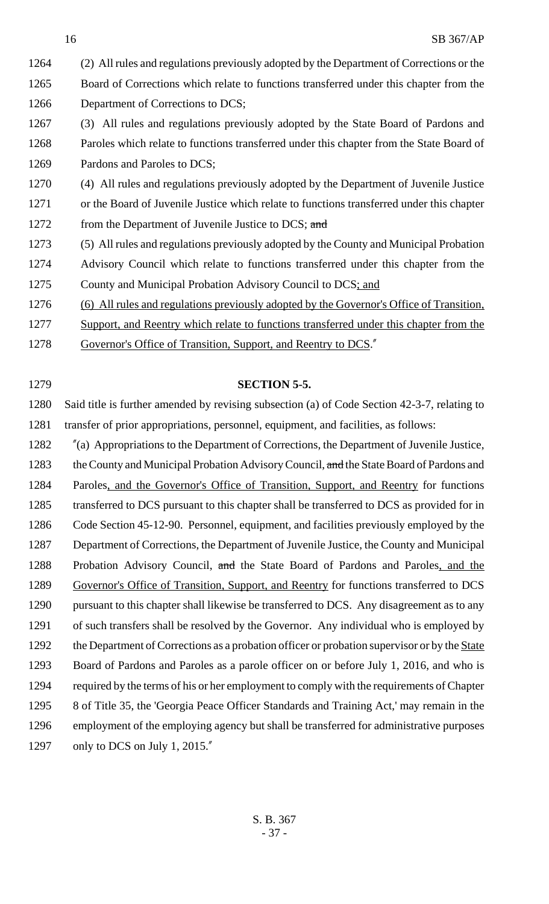- 1264 (2) All rules and regulations previously adopted by the Department of Corrections or the 1265 Board of Corrections which relate to functions transferred under this chapter from the 1266 Department of Corrections to DCS;
- 1267 (3) All rules and regulations previously adopted by the State Board of Pardons and 1268 Paroles which relate to functions transferred under this chapter from the State Board of 1269 Pardons and Paroles to DCS;
- 1270 (4) All rules and regulations previously adopted by the Department of Juvenile Justice 1271 or the Board of Juvenile Justice which relate to functions transferred under this chapter 1272 from the Department of Juvenile Justice to DCS; and
- 1273 (5) All rules and regulations previously adopted by the County and Municipal Probation 1274 Advisory Council which relate to functions transferred under this chapter from the 1275 County and Municipal Probation Advisory Council to DCS; and
- 1276 (6) All rules and regulations previously adopted by the Governor's Office of Transition,
- 1277 Support, and Reentry which relate to functions transferred under this chapter from the
- 1278 Governor's Office of Transition, Support, and Reentry to DCS."
- 1279 **SECTION 5-5.**

1280 Said title is further amended by revising subsection (a) of Code Section 42-3-7, relating to 1281 transfer of prior appropriations, personnel, equipment, and facilities, as follows:

1282 "(a) Appropriations to the Department of Corrections, the Department of Juvenile Justice, 1283 the County and Municipal Probation Advisory Council, and the State Board of Pardons and 1284 Paroles, and the Governor's Office of Transition, Support, and Reentry for functions 1285 transferred to DCS pursuant to this chapter shall be transferred to DCS as provided for in 1286 Code Section 45-12-90. Personnel, equipment, and facilities previously employed by the 1287 Department of Corrections, the Department of Juvenile Justice, the County and Municipal 1288 Probation Advisory Council, and the State Board of Pardons and Paroles, and the 1289 Governor's Office of Transition, Support, and Reentry for functions transferred to DCS 1290 pursuant to this chapter shall likewise be transferred to DCS. Any disagreement as to any 1291 of such transfers shall be resolved by the Governor. Any individual who is employed by 1292 the Department of Corrections as a probation officer or probation supervisor or by the State 1293 Board of Pardons and Paroles as a parole officer on or before July 1, 2016, and who is 1294 required by the terms of his or her employment to comply with the requirements of Chapter 1295 8 of Title 35, the 'Georgia Peace Officer Standards and Training Act,' may remain in the 1296 employment of the employing agency but shall be transferred for administrative purposes 1297 only to DCS on July 1, 2015."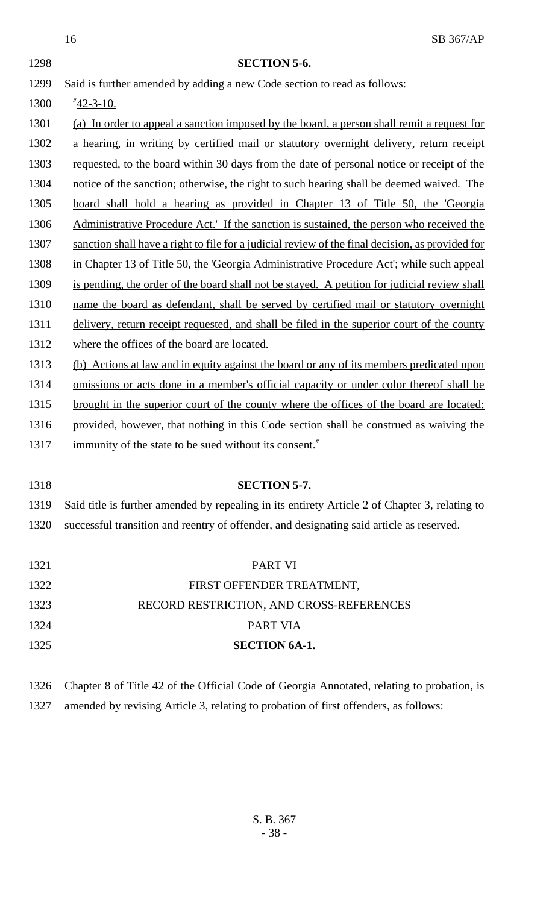|      | 16<br>SB 367/AP                                                                                  |
|------|--------------------------------------------------------------------------------------------------|
| 1298 | <b>SECTION 5-6.</b>                                                                              |
| 1299 | Said is further amended by adding a new Code section to read as follows:                         |
| 1300 | $^{\prime\prime}$ 42-3-10.                                                                       |
| 1301 | (a) In order to appeal a sanction imposed by the board, a person shall remit a request for       |
| 1302 | a hearing, in writing by certified mail or statutory overnight delivery, return receipt          |
| 1303 | requested, to the board within 30 days from the date of personal notice or receipt of the        |
| 1304 | notice of the sanction; otherwise, the right to such hearing shall be deemed waived. The         |
| 1305 | board shall hold a hearing as provided in Chapter 13 of Title 50, the 'Georgia                   |
| 1306 | Administrative Procedure Act.' If the sanction is sustained, the person who received the         |
| 1307 | sanction shall have a right to file for a judicial review of the final decision, as provided for |
| 1308 | in Chapter 13 of Title 50, the 'Georgia Administrative Procedure Act'; while such appeal         |
| 1309 | is pending, the order of the board shall not be stayed. A petition for judicial review shall     |
| 1310 | name the board as defendant, shall be served by certified mail or statutory overnight            |
| 1311 | delivery, return receipt requested, and shall be filed in the superior court of the county       |
| 1312 | where the offices of the board are located.                                                      |
| 1313 | (b) Actions at law and in equity against the board or any of its members predicated upon         |
| 1314 | omissions or acts done in a member's official capacity or under color thereof shall be           |
| 1315 | brought in the superior court of the county where the offices of the board are located;          |
| 1316 | provided, however, that nothing in this Code section shall be construed as waiving the           |
| 1317 | immunity of the state to be sued without its consent."                                           |
|      |                                                                                                  |
| 1318 | <b>SECTION 5-7.</b>                                                                              |
| 1319 | Said title is further amended by repealing in its entirety Article 2 of Chapter 3, relating to   |
| 1320 | successful transition and reentry of offender, and designating said article as reserved.         |
|      |                                                                                                  |
| 1321 | <b>PART VI</b>                                                                                   |
| 1322 | FIRST OFFENDER TREATMENT,                                                                        |
| 1323 | RECORD RESTRICTION, AND CROSS-REFERENCES                                                         |
| 1324 | PART VIA                                                                                         |
| 1325 | <b>SECTION 6A-1.</b>                                                                             |
|      |                                                                                                  |
| 1326 | Chapter 8 of Title 42 of the Official Code of Georgia Annotated, relating to probation, is       |

1327 amended by revising Article 3, relating to probation of first offenders, as follows: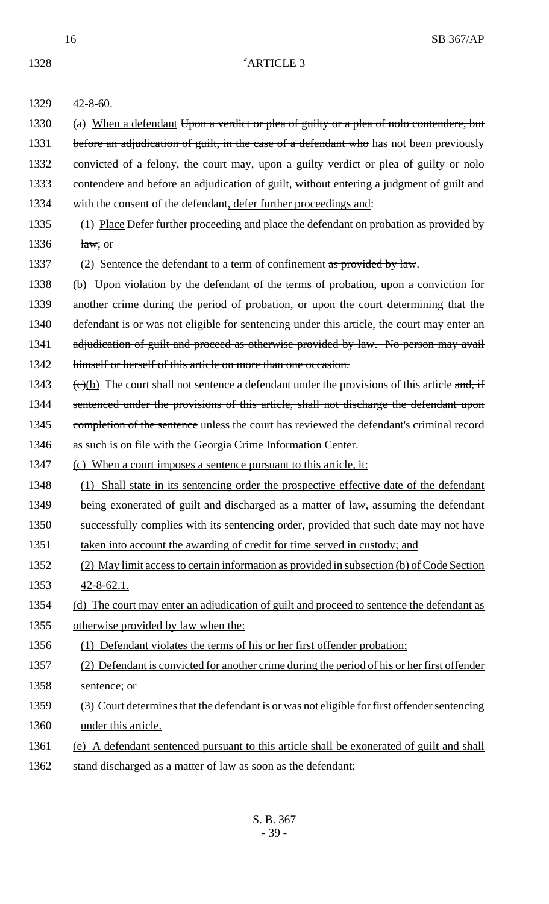| 1329 | $42 - 8 - 60.$                                                                                            |
|------|-----------------------------------------------------------------------------------------------------------|
| 1330 | (a) When a defendant Upon a verdict or plea of guilty or a plea of nolo contendere, but                   |
| 1331 | before an adjudication of guilt, in the case of a defendant who has not been previously                   |
| 1332 | convicted of a felony, the court may, upon a guilty verdict or plea of guilty or nolo                     |
| 1333 | contendere and before an adjudication of guilt, without entering a judgment of guilt and                  |
| 1334 | with the consent of the defendant, defer further proceedings and:                                         |
| 1335 | (1) Place Defer further proceeding and place the defendant on probation as provided by                    |
| 1336 | $\frac{\text{law}}{\text{law}}$ ; or                                                                      |
| 1337 | (2) Sentence the defendant to a term of confinement as provided by law.                                   |
| 1338 | (b) Upon violation by the defendant of the terms of probation, upon a conviction for                      |
| 1339 | another crime during the period of probation, or upon the court determining that the                      |
| 1340 | defendant is or was not eligible for sentencing under this article, the court may enter an                |
| 1341 | adjudication of guilt and proceed as otherwise provided by law. No person may avail                       |
| 1342 | himself or herself of this article on more than one occasion.                                             |
| 1343 | $\overline{(e)(b)}$ The court shall not sentence a defendant under the provisions of this article and, if |
| 1344 | sentenced under the provisions of this article, shall not discharge the defendant upon                    |
| 1345 | completion of the sentence unless the court has reviewed the defendant's criminal record                  |
| 1346 | as such is on file with the Georgia Crime Information Center.                                             |
| 1347 | (c) When a court imposes a sentence pursuant to this article, it:                                         |
| 1348 | Shall state in its sentencing order the prospective effective date of the defendant<br>(1)                |
| 1349 | being exonerated of guilt and discharged as a matter of law, assuming the defendant                       |

- 1350 successfully complies with its sentencing order, provided that such date may not have
- 1351 taken into account the awarding of credit for time served in custody; and
- 1352 (2) May limit access to certain information as provided in subsection (b) of Code Section 1353 42-8-62.1.
- 1354 (d) The court may enter an adjudication of guilt and proceed to sentence the defendant as 1355 otherwise provided by law when the:

# 1356 (1) Defendant violates the terms of his or her first offender probation;

- 1357 (2) Defendant is convicted for another crime during the period of his or her first offender 1358 sentence; or
- 1359 (3) Court determines that the defendant is or was not eligible for first offender sentencing 1360 under this article.
- 1361 (e) A defendant sentenced pursuant to this article shall be exonerated of guilt and shall
- 1362 stand discharged as a matter of law as soon as the defendant: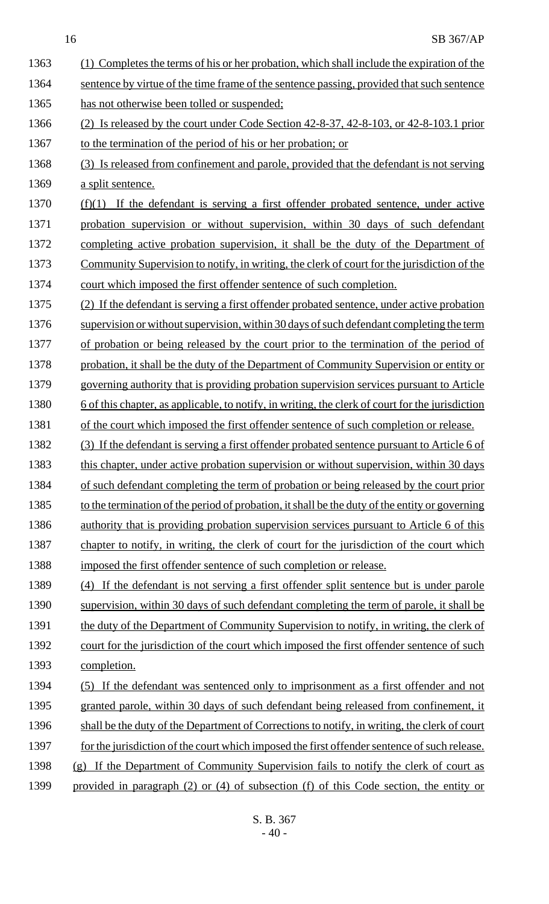1363 (1) Completes the terms of his or her probation, which shall include the expiration of the 1364 sentence by virtue of the time frame of the sentence passing, provided that such sentence 1365 has not otherwise been tolled or suspended; 1366 (2) Is released by the court under Code Section 42-8-37, 42-8-103, or 42-8-103.1 prior 1367 to the termination of the period of his or her probation; or 1368 (3) Is released from confinement and parole, provided that the defendant is not serving 1369 a split sentence. 1370  $(f)(1)$  If the defendant is serving a first offender probated sentence, under active 1371 probation supervision or without supervision, within 30 days of such defendant 1372 completing active probation supervision, it shall be the duty of the Department of 1373 Community Supervision to notify, in writing, the clerk of court for the jurisdiction of the 1374 court which imposed the first offender sentence of such completion. 1375 (2) If the defendant is serving a first offender probated sentence, under active probation 1376 supervision or without supervision, within 30 days of such defendant completing the term 1377 of probation or being released by the court prior to the termination of the period of 1378 probation, it shall be the duty of the Department of Community Supervision or entity or 1379 governing authority that is providing probation supervision services pursuant to Article 1380 6 of this chapter, as applicable, to notify, in writing, the clerk of court for the jurisdiction 1381 of the court which imposed the first offender sentence of such completion or release. 1382 (3) If the defendant is serving a first offender probated sentence pursuant to Article 6 of 1383 this chapter, under active probation supervision or without supervision, within 30 days 1384 of such defendant completing the term of probation or being released by the court prior 1385 to the termination of the period of probation, it shall be the duty of the entity or governing 1386 authority that is providing probation supervision services pursuant to Article 6 of this 1387 chapter to notify, in writing, the clerk of court for the jurisdiction of the court which 1388 imposed the first offender sentence of such completion or release. 1389 (4) If the defendant is not serving a first offender split sentence but is under parole 1390 supervision, within 30 days of such defendant completing the term of parole, it shall be 1391 the duty of the Department of Community Supervision to notify, in writing, the clerk of 1392 court for the jurisdiction of the court which imposed the first offender sentence of such 1393 completion. 1394 (5) If the defendant was sentenced only to imprisonment as a first offender and not 1395 granted parole, within 30 days of such defendant being released from confinement, it 1396 shall be the duty of the Department of Corrections to notify, in writing, the clerk of court 1397 for the jurisdiction of the court which imposed the first offender sentence of such release. 1398 (g) If the Department of Community Supervision fails to notify the clerk of court as 1399 provided in paragraph (2) or (4) of subsection (f) of this Code section, the entity or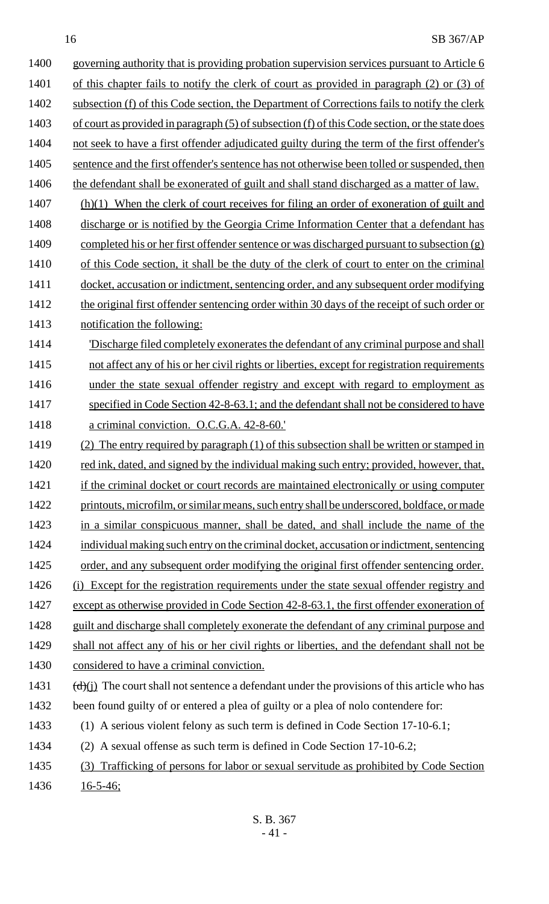1400 governing authority that is providing probation supervision services pursuant to Article 6 1401 of this chapter fails to notify the clerk of court as provided in paragraph (2) or (3) of 1402 subsection (f) of this Code section, the Department of Corrections fails to notify the clerk 1403 of court as provided in paragraph (5) of subsection (f) of this Code section, or the state does 1404 not seek to have a first offender adjudicated guilty during the term of the first offender's 1405 sentence and the first offender's sentence has not otherwise been tolled or suspended, then 1406 the defendant shall be exonerated of guilt and shall stand discharged as a matter of law. 1407 (h)(1) When the clerk of court receives for filing an order of exoneration of guilt and 1408 discharge or is notified by the Georgia Crime Information Center that a defendant has 1409 completed his or her first offender sentence or was discharged pursuant to subsection (g) 1410 of this Code section, it shall be the duty of the clerk of court to enter on the criminal 1411 docket, accusation or indictment, sentencing order, and any subsequent order modifying 1412 the original first offender sentencing order within 30 days of the receipt of such order or 1413 notification the following: 1414 **Discharge filed completely exonerates the defendant of any criminal purpose and shall** 1415 not affect any of his or her civil rights or liberties, except for registration requirements 1416 under the state sexual offender registry and except with regard to employment as 1417 specified in Code Section 42-8-63.1; and the defendant shall not be considered to have 1418 a criminal conviction. O.C.G.A. 42-8-60.' 1419 (2) The entry required by paragraph (1) of this subsection shall be written or stamped in 1420 red ink, dated, and signed by the individual making such entry; provided, however, that, 1421 if the criminal docket or court records are maintained electronically or using computer 1422 printouts, microfilm, or similar means, such entry shall be underscored, boldface, or made 1423 in a similar conspicuous manner, shall be dated, and shall include the name of the 1424 individual making such entry on the criminal docket, accusation or indictment, sentencing 1425 order, and any subsequent order modifying the original first offender sentencing order. 1426 (i) Except for the registration requirements under the state sexual offender registry and 1427 except as otherwise provided in Code Section 42-8-63.1, the first offender exoneration of 1428 guilt and discharge shall completely exonerate the defendant of any criminal purpose and 1429 shall not affect any of his or her civil rights or liberties, and the defendant shall not be 1430 considered to have a criminal conviction. 1431  $(d)(j)$  The court shall not sentence a defendant under the provisions of this article who has 1432 been found guilty of or entered a plea of guilty or a plea of nolo contendere for: 1433 (1) A serious violent felony as such term is defined in Code Section 17-10-6.1; 1434 (2) A sexual offense as such term is defined in Code Section 17-10-6.2; 1435 (3) Trafficking of persons for labor or sexual servitude as prohibited by Code Section 1436 <u>16-5-46;</u>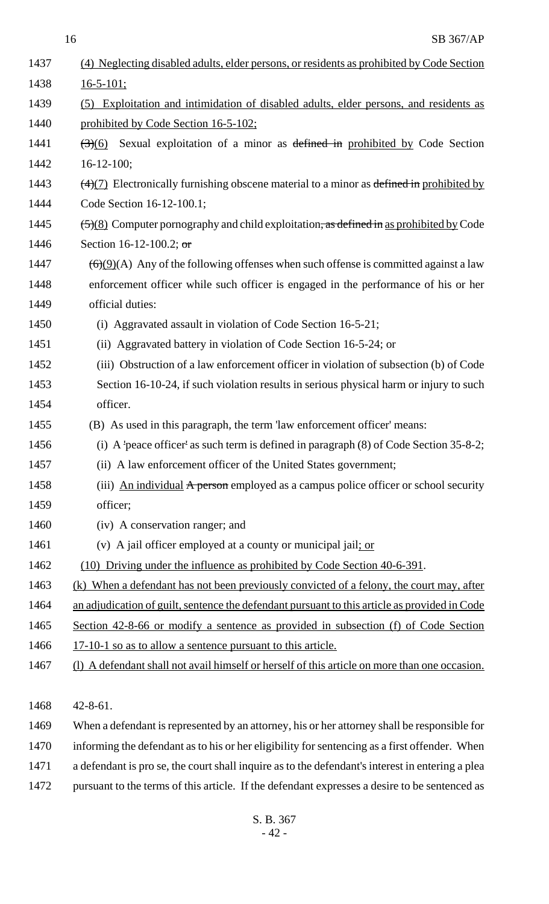| 1437 | (4) Neglecting disabled adults, elder persons, or residents as prohibited by Code Section                    |  |
|------|--------------------------------------------------------------------------------------------------------------|--|
| 1438 | $16 - 5 - 101$ ;                                                                                             |  |
| 1439 | (5) Exploitation and intimidation of disabled adults, elder persons, and residents as                        |  |
| 1440 | prohibited by Code Section 16-5-102;                                                                         |  |
| 1441 | $\left(\frac{1}{2}\right)(6)$ Sexual exploitation of a minor as defined in prohibited by Code Section        |  |
| 1442 | $16 - 12 - 100;$                                                                                             |  |
| 1443 | $\left(\frac{4}{7}\right)$ Electronically furnishing obscene material to a minor as defined in prohibited by |  |
| 1444 | Code Section 16-12-100.1;                                                                                    |  |
| 1445 | $\frac{5}{8}$ Computer pornography and child exploitation, as defined in as prohibited by Code               |  |
| 1446 | Section 16-12-100.2; or                                                                                      |  |
| 1447 | $\left(\frac{6}{9}(9)(A)$ Any of the following offenses when such offense is committed against a law         |  |
| 1448 | enforcement officer while such officer is engaged in the performance of his or her                           |  |
| 1449 | official duties:                                                                                             |  |
| 1450 | (i) Aggravated assault in violation of Code Section 16-5-21;                                                 |  |
| 1451 | (ii) Aggravated battery in violation of Code Section 16-5-24; or                                             |  |
| 1452 | (iii) Obstruction of a law enforcement officer in violation of subsection (b) of Code                        |  |
| 1453 | Section 16-10-24, if such violation results in serious physical harm or injury to such                       |  |
| 1454 | officer.                                                                                                     |  |
| 1455 | (B) As used in this paragraph, the term 'law enforcement officer' means:                                     |  |
| 1456 | (i) A 'peace officer' as such term is defined in paragraph $(8)$ of Code Section 35-8-2;                     |  |
| 1457 | (ii) A law enforcement officer of the United States government;                                              |  |
| 1458 | (iii) An individual A person employed as a campus police officer or school security                          |  |
| 1459 | officer;                                                                                                     |  |
| 1460 | (iv) A conservation ranger; and                                                                              |  |
| 1461 | (v) A jail officer employed at a county or municipal jail; or                                                |  |
| 1462 | (10) Driving under the influence as prohibited by Code Section 40-6-391.                                     |  |
| 1463 | <u>(k) When a defendant has not been previously convicted of a felony, the court may, after</u>              |  |
| 1464 | an adjudication of guilt, sentence the defendant pursuant to this article as provided in Code                |  |
| 1465 | Section 42-8-66 or modify a sentence as provided in subsection (f) of Code Section                           |  |
| 1466 | <u>17-10-1 so as to allow a sentence pursuant to this article.</u>                                           |  |
| 1467 | (1) A defendant shall not avail himself or herself of this article on more than one occasion.                |  |
|      |                                                                                                              |  |
| 1468 | $42 - 8 - 61$ .                                                                                              |  |
| 1469 | When a defendant is represented by an attorney, his or her attorney shall be responsible for                 |  |
| 1470 | informing the defendant as to his or her eligibility for sentencing as a first offender. When                |  |
| 1471 | a defendant is pro se, the court shall inquire as to the defendant's interest in entering a plea             |  |
| 1472 | pursuant to the terms of this article. If the defendant expresses a desire to be sentenced as                |  |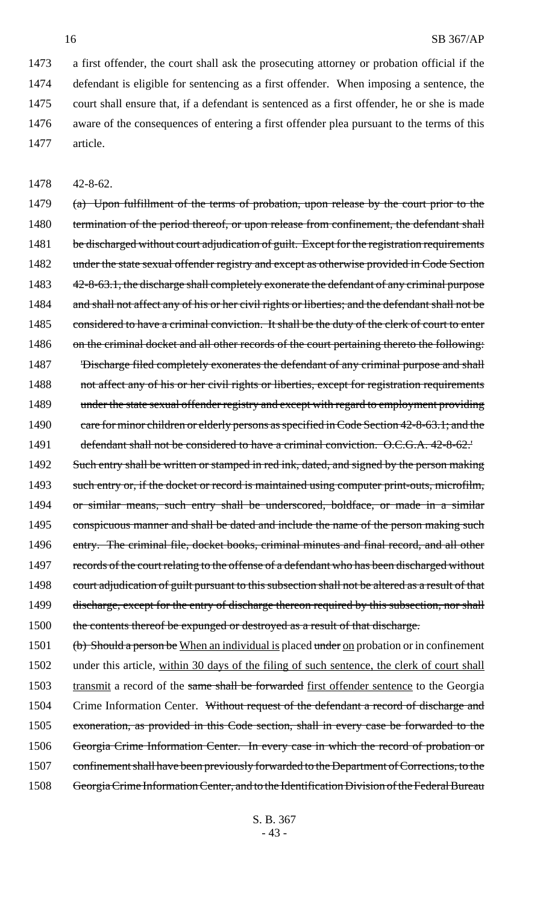a first offender, the court shall ask the prosecuting attorney or probation official if the defendant is eligible for sentencing as a first offender. When imposing a sentence, the court shall ensure that, if a defendant is sentenced as a first offender, he or she is made aware of the consequences of entering a first offender plea pursuant to the terms of this 1477 article.

1478 42-8-62.

1479 (a) Upon fulfillment of the terms of probation, upon release by the court prior to the 1480 termination of the period thereof, or upon release from confinement, the defendant shall 1481 be discharged without court adjudication of guilt. Except for the registration requirements 1482 under the state sexual offender registry and except as otherwise provided in Code Section 1483 42-8-63.1, the discharge shall completely exonerate the defendant of any criminal purpose 1484 and shall not affect any of his or her civil rights or liberties; and the defendant shall not be 1485 considered to have a criminal conviction. It shall be the duty of the clerk of court to enter 1486 on the criminal docket and all other records of the court pertaining thereto the following: 1487 'Discharge filed completely exonerates the defendant of any criminal purpose and shall 1488 not affect any of his or her civil rights or liberties, except for registration requirements 1489 under the state sexual offender registry and except with regard to employment providing 1490 care for minor children or elderly persons as specified in Code Section 42-8-63.1; and the 1491 defendant shall not be considered to have a criminal conviction. O.C.G.A. 42-8-62.

1492 Such entry shall be written or stamped in red ink, dated, and signed by the person making 1493 such entry or, if the docket or record is maintained using computer print-outs, microfilm, 1494 or similar means, such entry shall be underscored, boldface, or made in a similar 1495 conspicuous manner and shall be dated and include the name of the person making such 1496 entry. The criminal file, docket books, criminal minutes and final record, and all other 1497 records of the court relating to the offense of a defendant who has been discharged without 1498 court adjudication of guilt pursuant to this subsection shall not be altered as a result of that 1499 discharge, except for the entry of discharge thereon required by this subsection, nor shall 1500 the contents thereof be expunged or destroyed as a result of that discharge.

1501 (b) Should a person be When an individual is placed under on probation or in confinement 1502 under this article, within 30 days of the filing of such sentence, the clerk of court shall 1503 transmit a record of the same shall be forwarded first offender sentence to the Georgia 1504 Crime Information Center. Without request of the defendant a record of discharge and 1505 exoneration, as provided in this Code section, shall in every case be forwarded to the 1506 Georgia Crime Information Center. In every case in which the record of probation or 1507 confinement shall have been previously forwarded to the Department of Corrections, to the 1508 Georgia Crime Information Center, and to the Identification Division of the Federal Bureau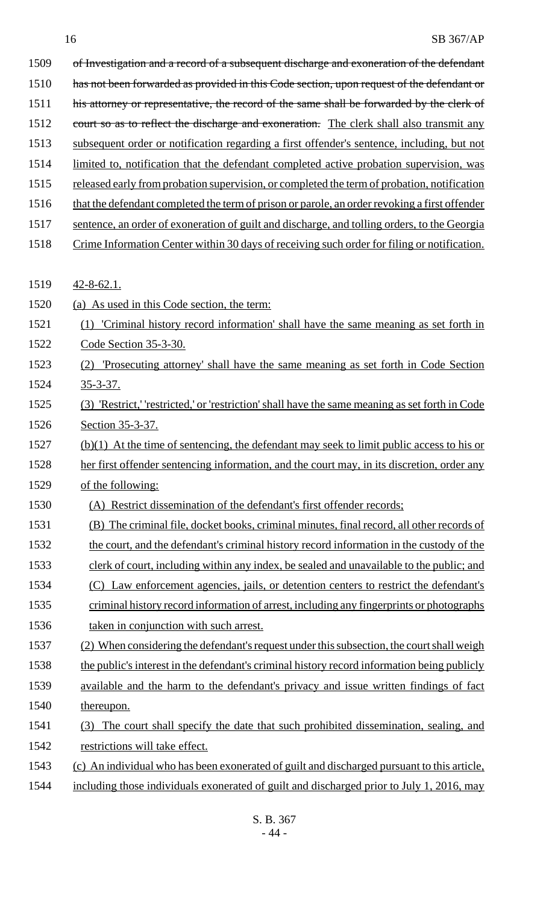| 1509 | of Investigation and a record of a subsequent discharge and exoneration of the defendant        |
|------|-------------------------------------------------------------------------------------------------|
| 1510 | has not been forwarded as provided in this Code section, upon request of the defendant or       |
| 1511 | his attorney or representative, the record of the same shall be forwarded by the clerk of       |
| 1512 | court so as to reflect the discharge and exoneration. The clerk shall also transmit any         |
| 1513 | subsequent order or notification regarding a first offender's sentence, including, but not      |
| 1514 | limited to, notification that the defendant completed active probation supervision, was         |
| 1515 | released early from probation supervision, or completed the term of probation, notification     |
| 1516 | that the defendant completed the term of prison or parole, an order revoking a first offender   |
| 1517 | sentence, an order of exoneration of guilt and discharge, and tolling orders, to the Georgia    |
| 1518 | Crime Information Center within 30 days of receiving such order for filing or notification.     |
| 1519 | $42 - 8 - 62.1$ .                                                                               |
| 1520 | (a) As used in this Code section, the term:                                                     |
| 1521 | 'Criminal history record information' shall have the same meaning as set forth in<br>(1)        |
| 1522 | Code Section 35-3-30.                                                                           |
| 1523 | 'Prosecuting attorney' shall have the same meaning as set forth in Code Section<br>(2)          |
| 1524 | $35 - 3 - 37$ .                                                                                 |
| 1525 | (3) 'Restrict,' 'restricted,' or 'restriction' shall have the same meaning as set forth in Code |
| 1526 | Section 35-3-37.                                                                                |
| 1527 | $(b)(1)$ At the time of sentencing, the defendant may seek to limit public access to his or     |
| 1528 | her first offender sentencing information, and the court may, in its discretion, order any      |
| 1529 | of the following:                                                                               |
| 1530 | (A) Restrict dissemination of the defendant's first offender records;                           |
| 1531 | (B) The criminal file, docket books, criminal minutes, final record, all other records of       |
| 1532 | the court, and the defendant's criminal history record information in the custody of the        |
| 1533 | clerk of court, including within any index, be sealed and unavailable to the public; and        |
| 1534 | (C) Law enforcement agencies, jails, or detention centers to restrict the defendant's           |
| 1535 | criminal history record information of arrest, including any fingerprints or photographs        |
| 1536 | taken in conjunction with such arrest.                                                          |
| 1537 | (2) When considering the defendant's request under this subsection, the court shall weigh       |
| 1538 | the public's interest in the defendant's criminal history record information being publicly     |
| 1539 | available and the harm to the defendant's privacy and issue written findings of fact            |
| 1540 | thereupon.                                                                                      |
| 1541 | The court shall specify the date that such prohibited dissemination, sealing, and<br>(3)        |
| 1542 | restrictions will take effect.                                                                  |
| 1543 | (c) An individual who has been exonerated of guilt and discharged pursuant to this article,     |
| 1544 | including those individuals exonerated of guilt and discharged prior to July 1, 2016, may       |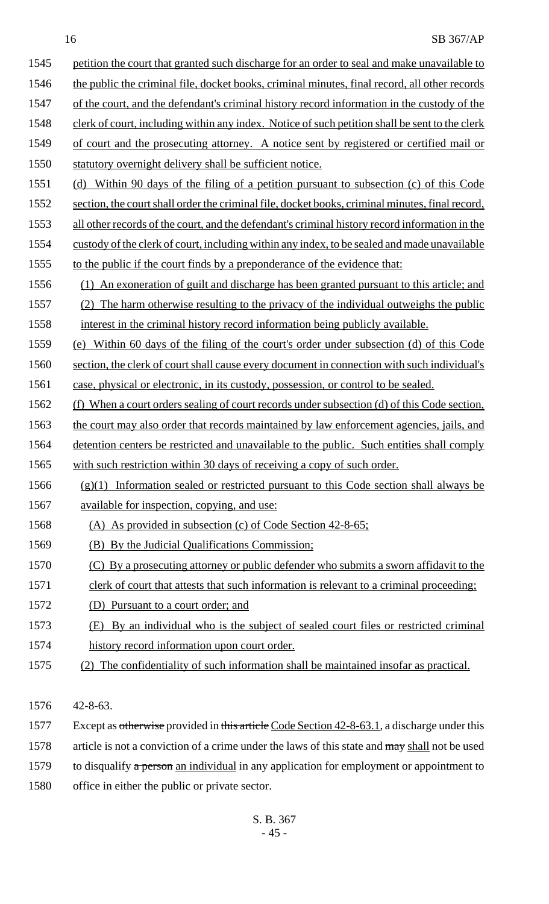| SB 367/AP<br>16                                                                                 |      |
|-------------------------------------------------------------------------------------------------|------|
| petition the court that granted such discharge for an order to seal and make unavailable to     | 1545 |
| the public the criminal file, docket books, criminal minutes, final record, all other records   | 1546 |
| of the court, and the defendant's criminal history record information in the custody of the     | 1547 |
| clerk of court, including within any index. Notice of such petition shall be sent to the clerk  | 1548 |
| of court and the prosecuting attorney. A notice sent by registered or certified mail or         | 1549 |
| statutory overnight delivery shall be sufficient notice.                                        | 1550 |
| Within 90 days of the filing of a petition pursuant to subsection (c) of this Code<br>(d)       | 1551 |
| section, the court shall order the criminal file, docket books, criminal minutes, final record, | 1552 |
| all other records of the court, and the defendant's criminal history record information in the  | 1553 |
| custody of the clerk of court, including within any index, to be sealed and made unavailable    | 1554 |
| to the public if the court finds by a preponderance of the evidence that:                       | 1555 |
| (1) An exoneration of guilt and discharge has been granted pursuant to this article; and        | 1556 |
| (2) The harm otherwise resulting to the privacy of the individual outweighs the public          | 1557 |
| interest in the criminal history record information being publicly available.                   | 1558 |
| (e) Within 60 days of the filing of the court's order under subsection (d) of this Code         | 1559 |
| section, the clerk of court shall cause every document in connection with such individual's     | 1560 |
| case, physical or electronic, in its custody, possession, or control to be sealed.              | 1561 |
| (f) When a court orders sealing of court records under subsection (d) of this Code section,     | 1562 |
| the court may also order that records maintained by law enforcement agencies, jails, and        | 1563 |
| detention centers be restricted and unavailable to the public. Such entities shall comply       | 1564 |
| with such restriction within 30 days of receiving a copy of such order.                         | 1565 |
| $(g)(1)$ Information sealed or restricted pursuant to this Code section shall always be         | 1566 |

- 1567 available for inspection, copying, and use:
- (A) As provided in subsection (c) of Code Section 42-8-65;
- (B) By the Judicial Qualifications Commission;
- (C) By a prosecuting attorney or public defender who submits a sworn affidavit to the
- 1571 clerk of court that attests that such information is relevant to a criminal proceeding;
- (D) Pursuant to a court order; and
- (E) By an individual who is the subject of sealed court files or restricted criminal history record information upon court order.
- (2) The confidentiality of such information shall be maintained insofar as practical.
- 42-8-63.
- 1577 Except as otherwise provided in this article Code Section 42-8-63.1, a discharge under this 1578 article is not a conviction of a crime under the laws of this state and may shall not be used 1579 to disqualify  $\alpha$  person an individual in any application for employment or appointment to
- office in either the public or private sector.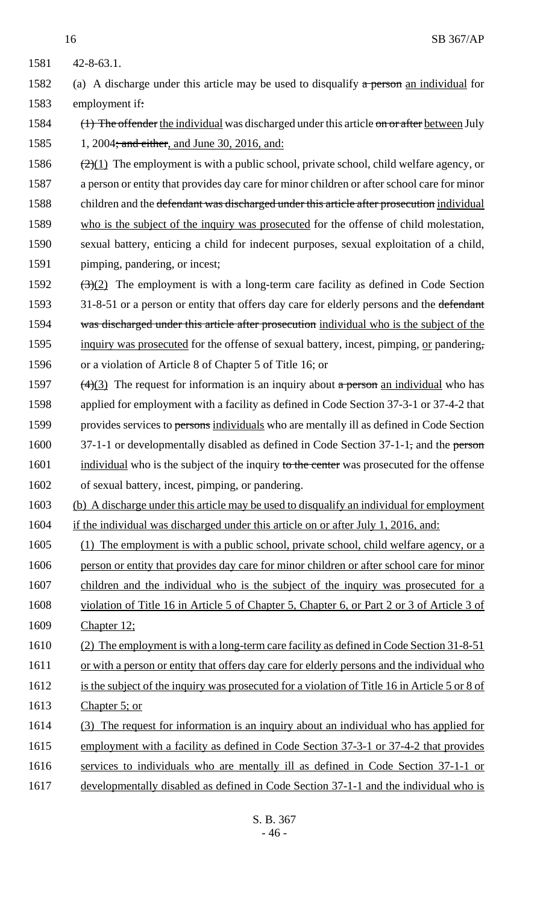1581 42-8-63.1.

- 1582 (a) A discharge under this article may be used to disqualify  $\alpha$  person an individual for 1583 employment if:
- 1584 (1) The offender the individual was discharged under this article on or after between July 1585 1, 2004<del>; and either</del>, and June 30, 2016, and:
- 1586  $\left(\frac{2}{1}\right)$  The employment is with a public school, private school, child welfare agency, or 1587 a person or entity that provides day care for minor children or after school care for minor 1588 children and the defendant was discharged under this article after prosecution individual 1589 who is the subject of the inquiry was prosecuted for the offense of child molestation, 1590 sexual battery, enticing a child for indecent purposes, sexual exploitation of a child, 1591 pimping, pandering, or incest;
- 1592  $(3)(2)$  The employment is with a long-term care facility as defined in Code Section 1593 31-8-51 or a person or entity that offers day care for elderly persons and the defendant 1594 was discharged under this article after prosecution individual who is the subject of the 1595 inquiry was prosecuted for the offense of sexual battery, incest, pimping, or pandering, 1596 or a violation of Article 8 of Chapter 5 of Title 16; or
- 1597 (4)(3) The request for information is an inquiry about a person an individual who has 1598 applied for employment with a facility as defined in Code Section 37-3-1 or 37-4-2 that 1599 provides services to persons individuals who are mentally ill as defined in Code Section 1600 37-1-1 or developmentally disabled as defined in Code Section 37-1-1, and the person 1601 individual who is the subject of the inquiry to the center was prosecuted for the offense 1602 of sexual battery, incest, pimping, or pandering.
- 1603 (b) A discharge under this article may be used to disqualify an individual for employment
- 1604 if the individual was discharged under this article on or after July 1, 2016, and:
- 1605 (1) The employment is with a public school, private school, child welfare agency, or a 1606 person or entity that provides day care for minor children or after school care for minor 1607 children and the individual who is the subject of the inquiry was prosecuted for a 1608 violation of Title 16 in Article 5 of Chapter 5, Chapter 6, or Part 2 or 3 of Article 3 of 1609 Chapter 12;
- 1610 (2) The employment is with a long-term care facility as defined in Code Section 31-8-51
- 1611 or with a person or entity that offers day care for elderly persons and the individual who
- 1612 is the subject of the inquiry was prosecuted for a violation of Title 16 in Article 5 or 8 of 1613 Chapter 5; or
- 1614 (3) The request for information is an inquiry about an individual who has applied for 1615 employment with a facility as defined in Code Section 37-3-1 or 37-4-2 that provides 1616 services to individuals who are mentally ill as defined in Code Section 37-1-1 or 1617 developmentally disabled as defined in Code Section 37-1-1 and the individual who is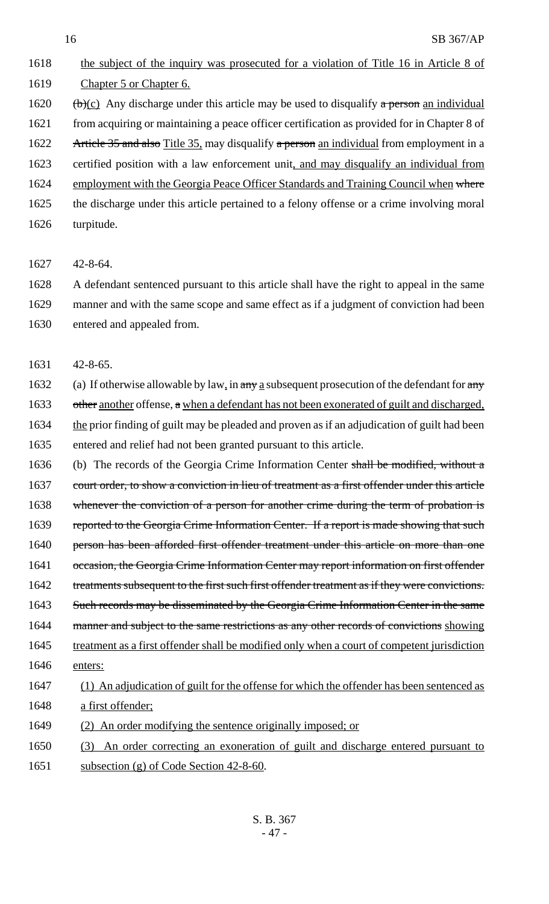1618 the subject of the inquiry was prosecuted for a violation of Title 16 in Article 8 of 1619 Chapter 5 or Chapter 6. 1620 (b)(c) Any discharge under this article may be used to disqualify a person an individual 1621 from acquiring or maintaining a peace officer certification as provided for in Chapter 8 of 1622 Article 35 and also Title 35, may disqualify a person an individual from employment in a 1623 certified position with a law enforcement unit, and may disqualify an individual from 1624 employment with the Georgia Peace Officer Standards and Training Council when where 1625 the discharge under this article pertained to a felony offense or a crime involving moral 1626 turpitude.

1627 42-8-64.

1628 A defendant sentenced pursuant to this article shall have the right to appeal in the same 1629 manner and with the same scope and same effect as if a judgment of conviction had been 1630 entered and appealed from.

1631 42-8-65.

1632 (a) If otherwise allowable by law, in any a subsequent prosecution of the defendant for any 1633 other another offense, a when a defendant has not been exonerated of guilt and discharged, 1634 the prior finding of guilt may be pleaded and proven as if an adjudication of guilt had been 1635 entered and relief had not been granted pursuant to this article.

1636 (b) The records of the Georgia Crime Information Center shall be modified, without a 1637 court order, to show a conviction in lieu of treatment as a first offender under this article 1638 whenever the conviction of a person for another crime during the term of probation is 1639 reported to the Georgia Crime Information Center. If a report is made showing that such 1640 person has been afforded first offender treatment under this article on more than one 1641 occasion, the Georgia Crime Information Center may report information on first offender 1642 treatments subsequent to the first such first offender treatment as if they were convictions. 1643 Such records may be disseminated by the Georgia Crime Information Center in the same 1644 manner and subject to the same restrictions as any other records of convictions showing 1645 treatment as a first offender shall be modified only when a court of competent jurisdiction 1646 enters: 1647 (1) An adjudication of guilt for the offense for which the offender has been sentenced as 1648 a first offender;

1649 (2) An order modifying the sentence originally imposed; or

1650 (3) An order correcting an exoneration of guilt and discharge entered pursuant to 1651 subsection (g) of Code Section 42-8-60.

> S. B. 367 - 47 -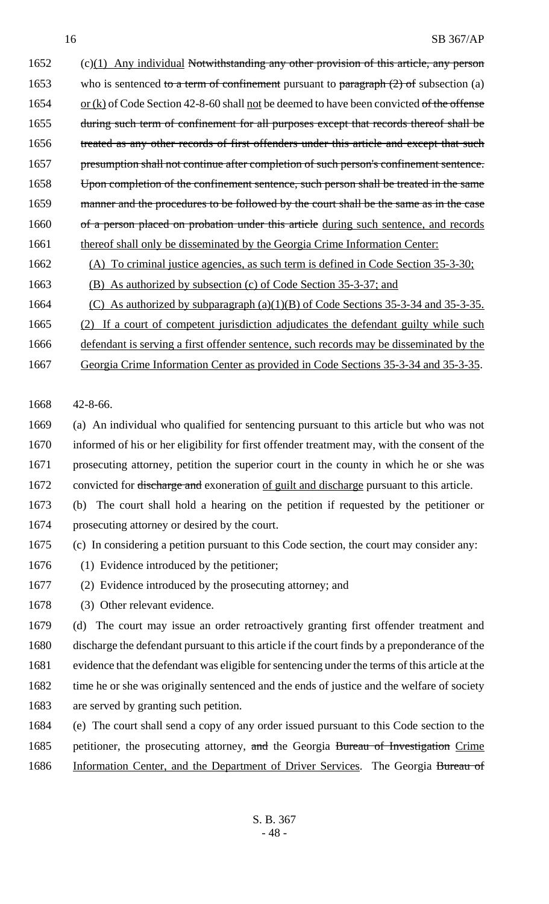1652 (c)(1) Any individual Notwithstanding any other provision of this article, any person 1653 who is sentenced to a term of confinement pursuant to paragraph  $(2)$  of subsection (a) 1654 or  $(k)$  of Code Section 42-8-60 shall <u>not</u> be deemed to have been convicted of the offense 1655 during such term of confinement for all purposes except that records thereof shall be 1656 treated as any other records of first offenders under this article and except that such 1657 presumption shall not continue after completion of such person's confinement sentence. 1658 Upon completion of the confinement sentence, such person shall be treated in the same 1659 manner and the procedures to be followed by the court shall be the same as in the case 1660 of a person placed on probation under this article during such sentence, and records 1661 thereof shall only be disseminated by the Georgia Crime Information Center:

1662 (A) To criminal justice agencies, as such term is defined in Code Section 35-3-30;

1663 (B) As authorized by subsection (c) of Code Section 35-3-37; and

1664 (C) As authorized by subparagraph (a)(1)(B) of Code Sections 35-3-34 and 35-3-35.

1665 (2) If a court of competent jurisdiction adjudicates the defendant guilty while such

1666 defendant is serving a first offender sentence, such records may be disseminated by the

1667 Georgia Crime Information Center as provided in Code Sections 35-3-34 and 35-3-35.

1668 42-8-66.

 (a) An individual who qualified for sentencing pursuant to this article but who was not informed of his or her eligibility for first offender treatment may, with the consent of the prosecuting attorney, petition the superior court in the county in which he or she was 1672 convicted for discharge and exoneration of guilt and discharge pursuant to this article.

- 1673 (b) The court shall hold a hearing on the petition if requested by the petitioner or 1674 prosecuting attorney or desired by the court.
- 1675 (c) In considering a petition pursuant to this Code section, the court may consider any:
- 1676 (1) Evidence introduced by the petitioner;
- 1677 (2) Evidence introduced by the prosecuting attorney; and
- 1678 (3) Other relevant evidence.

 (d) The court may issue an order retroactively granting first offender treatment and discharge the defendant pursuant to this article if the court finds by a preponderance of the evidence that the defendant was eligible for sentencing under the terms of this article at the 1682 time he or she was originally sentenced and the ends of justice and the welfare of society are served by granting such petition.

1684 (e) The court shall send a copy of any order issued pursuant to this Code section to the 1685 petitioner, the prosecuting attorney, and the Georgia Bureau of Investigation Crime 1686 Information Center, and the Department of Driver Services. The Georgia Bureau of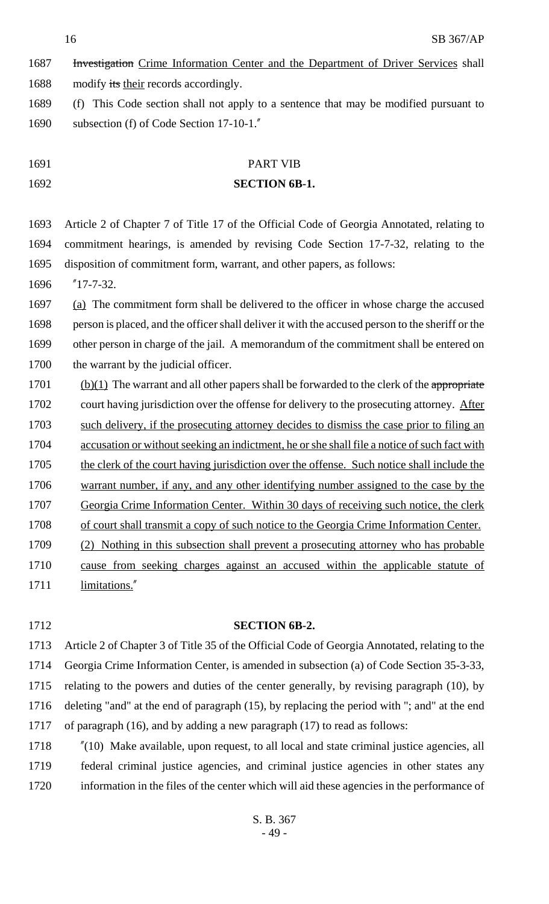16 SB 367/AP

- 1687 Investigation Crime Information Center and the Department of Driver Services shall
- 1688 modify its their records accordingly.
- (f) This Code section shall not apply to a sentence that may be modified pursuant to subsection (f) of Code Section 17-10-1."

PART VIB

# **SECTION 6B-1.**

- Article 2 of Chapter 7 of Title 17 of the Official Code of Georgia Annotated, relating to commitment hearings, is amended by revising Code Section 17-7-32, relating to the disposition of commitment form, warrant, and other papers, as follows:
- "17-7-32.

 (a) The commitment form shall be delivered to the officer in whose charge the accused person is placed, and the officer shall deliver it with the accused person to the sheriff or the other person in charge of the jail. A memorandum of the commitment shall be entered on 1700 the warrant by the judicial officer.

- (b)(1) The warrant and all other papers shall be forwarded to the clerk of the appropriate 1702 court having jurisdiction over the offense for delivery to the prosecuting attorney. After such delivery, if the prosecuting attorney decides to dismiss the case prior to filing an accusation or without seeking an indictment, he or she shall file a notice of such fact with 1705 the clerk of the court having jurisdiction over the offense. Such notice shall include the warrant number, if any, and any other identifying number assigned to the case by the Georgia Crime Information Center. Within 30 days of receiving such notice, the clerk 1708 of court shall transmit a copy of such notice to the Georgia Crime Information Center. (2) Nothing in this subsection shall prevent a prosecuting attorney who has probable cause from seeking charges against an accused within the applicable statute of 1711 limitations."
- 

#### **SECTION 6B-2.**

 Article 2 of Chapter 3 of Title 35 of the Official Code of Georgia Annotated, relating to the Georgia Crime Information Center, is amended in subsection (a) of Code Section 35-3-33, relating to the powers and duties of the center generally, by revising paragraph (10), by deleting "and" at the end of paragraph (15), by replacing the period with "; and" at the end of paragraph (16), and by adding a new paragraph (17) to read as follows:

 "(10) Make available, upon request, to all local and state criminal justice agencies, all federal criminal justice agencies, and criminal justice agencies in other states any information in the files of the center which will aid these agencies in the performance of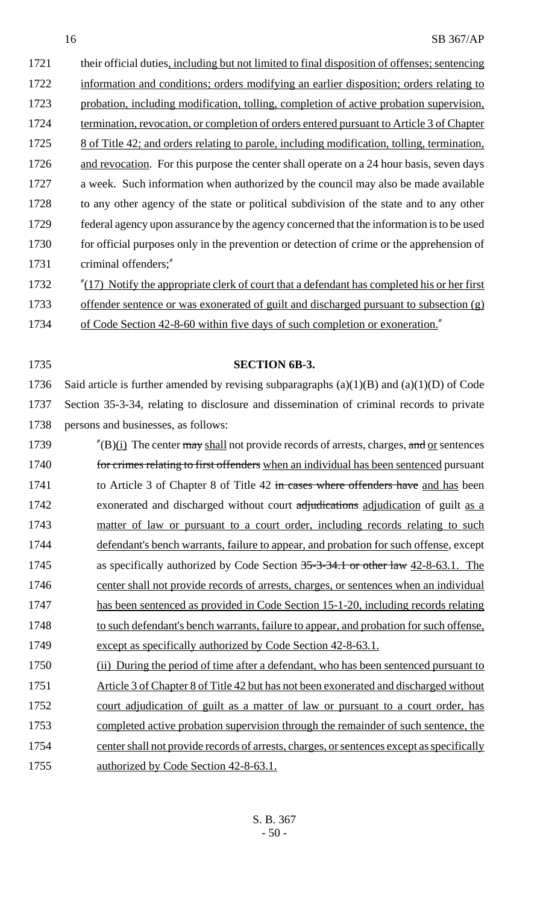1721 their official duties, including but not limited to final disposition of offenses; sentencing 1722 information and conditions; orders modifying an earlier disposition; orders relating to 1723 probation, including modification, tolling, completion of active probation supervision, 1724 termination, revocation, or completion of orders entered pursuant to Article 3 of Chapter 1725 8 of Title 42; and orders relating to parole, including modification, tolling, termination, 1726 and revocation. For this purpose the center shall operate on a 24 hour basis, seven days 1727 a week. Such information when authorized by the council may also be made available 1728 to any other agency of the state or political subdivision of the state and to any other 1729 federal agency upon assurance by the agency concerned that the information is to be used 1730 for official purposes only in the prevention or detection of crime or the apprehension of 1731 criminal offenders;"

1732 "(17) Notify the appropriate clerk of court that a defendant has completed his or her first 1733 offender sentence or was exonerated of guilt and discharged pursuant to subsection (g)

1734 of Code Section 42-8-60 within five days of such completion or exoneration."

# 1735 **SECTION 6B-3.**

1736 Said article is further amended by revising subparagraphs  $(a)(1)(B)$  and  $(a)(1)(D)$  of Code 1737 Section 35-3-34, relating to disclosure and dissemination of criminal records to private 1738 persons and businesses, as follows:

1739  $\frac{1739}{2}$  The center  $\frac{\text{max}}{\text{shell}}$  not provide records of arrests, charges, and <u>or</u> sentences 1740 for crimes relating to first offenders when an individual has been sentenced pursuant 1741 to Article 3 of Chapter 8 of Title 42 in cases where offenders have and has been 1742 exonerated and discharged without court adjudications adjudication of guilt as a 1743 matter of law or pursuant to a court order, including records relating to such 1744 defendant's bench warrants, failure to appear, and probation for such offense, except 1745 as specifically authorized by Code Section 35-3-34.1 or other law 42-8-63.1. The 1746 center shall not provide records of arrests, charges, or sentences when an individual 1747 has been sentenced as provided in Code Section 15-1-20, including records relating 1748 to such defendant's bench warrants, failure to appear, and probation for such offense, 1749 except as specifically authorized by Code Section 42-8-63.1.

1750 (ii) During the period of time after a defendant, who has been sentenced pursuant to

1751 Article 3 of Chapter 8 of Title 42 but has not been exonerated and discharged without

1752 court adjudication of guilt as a matter of law or pursuant to a court order, has 1753 completed active probation supervision through the remainder of such sentence, the 1754 center shall not provide records of arrests, charges, or sentences except as specifically 1755 authorized by Code Section 42-8-63.1.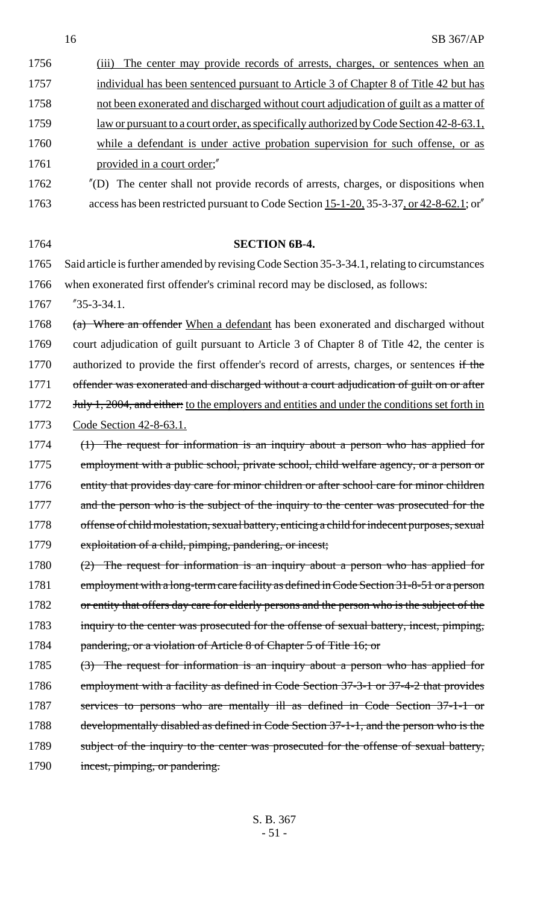| 1756 | (iii) The center may provide records of arrests, charges, or sentences when an          |
|------|-----------------------------------------------------------------------------------------|
| 1757 | individual has been sentenced pursuant to Article 3 of Chapter 8 of Title 42 but has    |
| 1758 | not been exonerated and discharged without court adjudication of guilt as a matter of   |
| 1759 | law or pursuant to a court order, as specifically authorized by Code Section 42-8-63.1, |
| 1760 | while a defendant is under active probation supervision for such offense, or as         |
| 1761 | provided in a court order;"                                                             |

1762 "(D) The center shall not provide records of arrests, charges, or dispositions when 1763 access has been restricted pursuant to Code Section 15-1-20, 35-3-37, or 42-8-62.1; or

 **SECTION 6B-4.** Said article is further amended by revising Code Section 35-3-34.1, relating to circumstances when exonerated first offender's criminal record may be disclosed, as follows: "35-3-34.1. 1768 (a) Where an offender When a defendant has been exonerated and discharged without court adjudication of guilt pursuant to Article 3 of Chapter 8 of Title 42, the center is 1770 authorized to provide the first offender's record of arrests, charges, or sentences if the 1771 offender was exonerated and discharged without a court adjudication of guilt on or after

1772 **July 1, 2004, and either:** to the employers and entities and under the conditions set forth in 1773 Code Section 42-8-63.1.

- 1774 (1) The request for information is an inquiry about a person who has applied for 1775 employment with a public school, private school, child welfare agency, or a person or 1776 entity that provides day care for minor children or after school care for minor children 1777 and the person who is the subject of the inquiry to the center was prosecuted for the 1778 offense of child molestation, sexual battery, enticing a child for indecent purposes, sexual 1779 exploitation of a child, pimping, pandering, or incest;
- 1780 (2) The request for information is an inquiry about a person who has applied for 1781 employment with a long-term care facility as defined in Code Section 31-8-51 or a person 1782 or entity that offers day care for elderly persons and the person who is the subject of the 1783 inquiry to the center was prosecuted for the offense of sexual battery, incest, pimping, 1784 pandering, or a violation of Article 8 of Chapter 5 of Title 16; or
- 1785 (3) The request for information is an inquiry about a person who has applied for 1786 employment with a facility as defined in Code Section 37-3-1 or 37-4-2 that provides 1787 services to persons who are mentally ill as defined in Code Section 37-1-1 or 1788 developmentally disabled as defined in Code Section 37-1-1, and the person who is the 1789 subject of the inquiry to the center was prosecuted for the offense of sexual battery, 1790 incest, pimping, or pandering.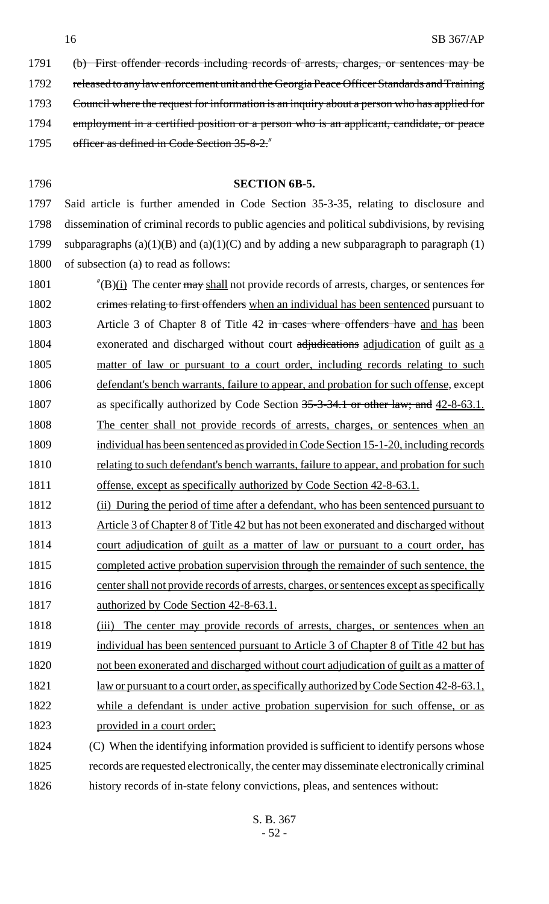- 1791 (b) First offender records including records of arrests, charges, or sentences may be 1792 released to any law enforcement unit and the Georgia Peace Officer Standards and Training 1793 Council where the request for information is an inquiry about a person who has applied for 1794 employment in a certified position or a person who is an applicant, candidate, or peace 1795 officer as defined in Code Section 35-8-2."
- 

#### 1796 **SECTION 6B-5.**

 Said article is further amended in Code Section 35-3-35, relating to disclosure and dissemination of criminal records to public agencies and political subdivisions, by revising 1799 subparagraphs  $(a)(1)(B)$  and  $(a)(1)(C)$  and by adding a new subparagraph to paragraph (1) of subsection (a) to read as follows:

- 1801  $\frac{1801}{1801}$  The center  $\frac{1801}{1801}$  not provide records of arrests, charges, or sentences for 1802 crimes relating to first offenders when an individual has been sentenced pursuant to 1803 Article 3 of Chapter 8 of Title 42 in cases where offenders have and has been 1804 exonerated and discharged without court adjudications adjudication of guilt as a 1805 matter of law or pursuant to a court order, including records relating to such 1806 defendant's bench warrants, failure to appear, and probation for such offense, except 1807 as specifically authorized by Code Section 35-3-34.1 or other law; and 42-8-63.1. 1808 The center shall not provide records of arrests, charges, or sentences when an 1809 individual has been sentenced as provided in Code Section 15-1-20, including records 1810 relating to such defendant's bench warrants, failure to appear, and probation for such 1811 offense, except as specifically authorized by Code Section 42-8-63.1.
- 1812 (ii) During the period of time after a defendant, who has been sentenced pursuant to
- 1813 Article 3 of Chapter 8 of Title 42 but has not been exonerated and discharged without 1814 court adjudication of guilt as a matter of law or pursuant to a court order, has 1815 completed active probation supervision through the remainder of such sentence, the 1816 center shall not provide records of arrests, charges, or sentences except as specifically 1817 authorized by Code Section 42-8-63.1.
- 1818 (iii) The center may provide records of arrests, charges, or sentences when an 1819 individual has been sentenced pursuant to Article 3 of Chapter 8 of Title 42 but has 1820 not been exonerated and discharged without court adjudication of guilt as a matter of 1821 law or pursuant to a court order, as specifically authorized by Code Section 42-8-63.1, 1822 while a defendant is under active probation supervision for such offense, or as 1823 provided in a court order;
- 1824 (C) When the identifying information provided is sufficient to identify persons whose 1825 records are requested electronically, the center may disseminate electronically criminal 1826 history records of in-state felony convictions, pleas, and sentences without: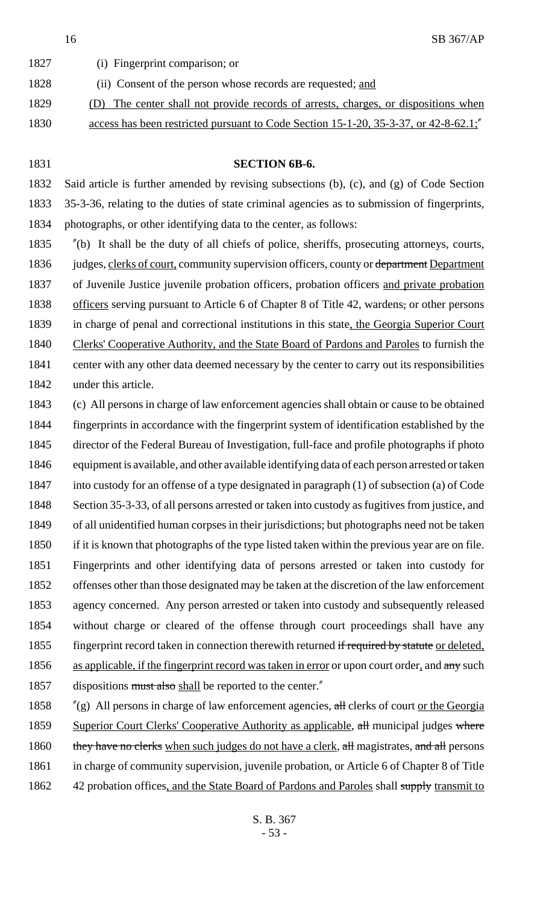SB 367/AP

| 1827 | (i) Fingerprint comparison; or                                                      |
|------|-------------------------------------------------------------------------------------|
| 1828 | (ii) Consent of the person whose records are requested; and                         |
| 1829 | (D) The center shall not provide records of arrests, charges, or dispositions when  |
| 1830 | access has been restricted pursuant to Code Section 15-1-20, 35-3-37, or 42-8-62.1; |

### **SECTION 6B-6.**

 Said article is further amended by revising subsections (b), (c), and (g) of Code Section 35-3-36, relating to the duties of state criminal agencies as to submission of fingerprints, photographs, or other identifying data to the center, as follows:

 "(b) It shall be the duty of all chiefs of police, sheriffs, prosecuting attorneys, courts, 1836 judges, clerks of court, community supervision officers, county or department Department 1837 of Juvenile Justice juvenile probation officers, probation officers and private probation 1838 officers serving pursuant to Article 6 of Chapter 8 of Title 42, wardens, or other persons in charge of penal and correctional institutions in this state, the Georgia Superior Court 1840 Clerks' Cooperative Authority, and the State Board of Pardons and Paroles to furnish the center with any other data deemed necessary by the center to carry out its responsibilities under this article.

 (c) All persons in charge of law enforcement agencies shall obtain or cause to be obtained fingerprints in accordance with the fingerprint system of identification established by the director of the Federal Bureau of Investigation, full-face and profile photographs if photo equipment is available, and other available identifying data of each person arrested or taken into custody for an offense of a type designated in paragraph (1) of subsection (a) of Code Section 35-3-33, of all persons arrested or taken into custody as fugitives from justice, and of all unidentified human corpses in their jurisdictions; but photographs need not be taken if it is known that photographs of the type listed taken within the previous year are on file. Fingerprints and other identifying data of persons arrested or taken into custody for offenses other than those designated may be taken at the discretion of the law enforcement agency concerned. Any person arrested or taken into custody and subsequently released without charge or cleared of the offense through court proceedings shall have any 1855 fingerprint record taken in connection therewith returned if required by statute or deleted, 1856 as applicable, if the fingerprint record was taken in error or upon court order, and any such 1857 dispositions must also shall be reported to the center."

1858 "(g) All persons in charge of law enforcement agencies, all clerks of court <u>or the Georgia</u> 1859 Superior Court Clerks' Cooperative Authority as applicable, all municipal judges where 1860 they have no clerks when such judges do not have a clerk, all magistrates, and all persons in charge of community supervision, juvenile probation, or Article 6 of Chapter 8 of Title 1862 42 probation offices, and the State Board of Pardons and Paroles shall supply transmit to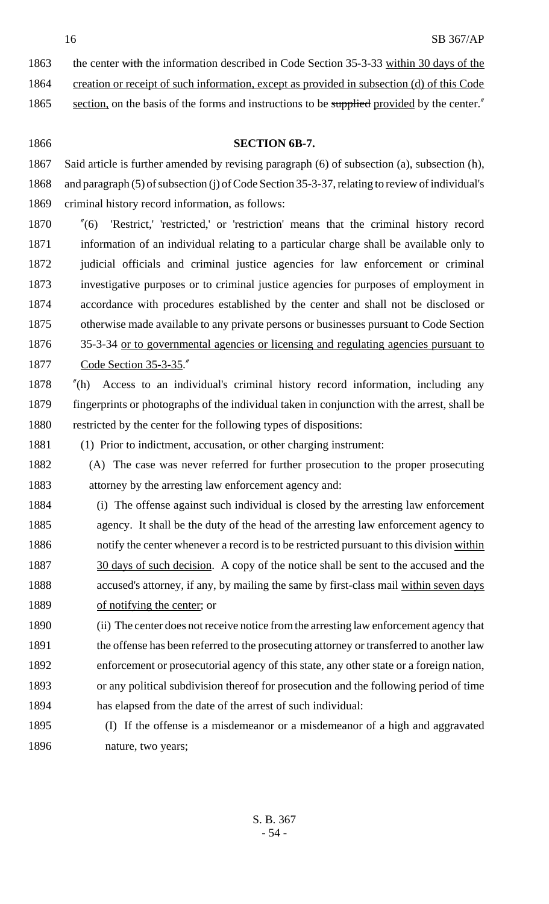1863 the center with the information described in Code Section 35-3-33 within 30 days of the

creation or receipt of such information, except as provided in subsection (d) of this Code

1865 section, on the basis of the forms and instructions to be supplied provided by the center."

# **SECTION 6B-7.**

 Said article is further amended by revising paragraph (6) of subsection (a), subsection (h), and paragraph (5) of subsection (j) of Code Section 35-3-37, relating to review of individual's criminal history record information, as follows:

 "(6) 'Restrict,' 'restricted,' or 'restriction' means that the criminal history record information of an individual relating to a particular charge shall be available only to judicial officials and criminal justice agencies for law enforcement or criminal investigative purposes or to criminal justice agencies for purposes of employment in accordance with procedures established by the center and shall not be disclosed or otherwise made available to any private persons or businesses pursuant to Code Section 35-3-34 or to governmental agencies or licensing and regulating agencies pursuant to Code Section 35-3-35."

 "(h) Access to an individual's criminal history record information, including any fingerprints or photographs of the individual taken in conjunction with the arrest, shall be restricted by the center for the following types of dispositions:

(1) Prior to indictment, accusation, or other charging instrument:

 (A) The case was never referred for further prosecution to the proper prosecuting attorney by the arresting law enforcement agency and:

 (i) The offense against such individual is closed by the arresting law enforcement agency. It shall be the duty of the head of the arresting law enforcement agency to 1886 notify the center whenever a record is to be restricted pursuant to this division within 1887 30 days of such decision. A copy of the notice shall be sent to the accused and the accused's attorney, if any, by mailing the same by first-class mail within seven days 1889 of notifying the center; or

 (ii) The center does not receive notice from the arresting law enforcement agency that 1891 the offense has been referred to the prosecuting attorney or transferred to another law enforcement or prosecutorial agency of this state, any other state or a foreign nation, or any political subdivision thereof for prosecution and the following period of time has elapsed from the date of the arrest of such individual:

 (I) If the offense is a misdemeanor or a misdemeanor of a high and aggravated nature, two years;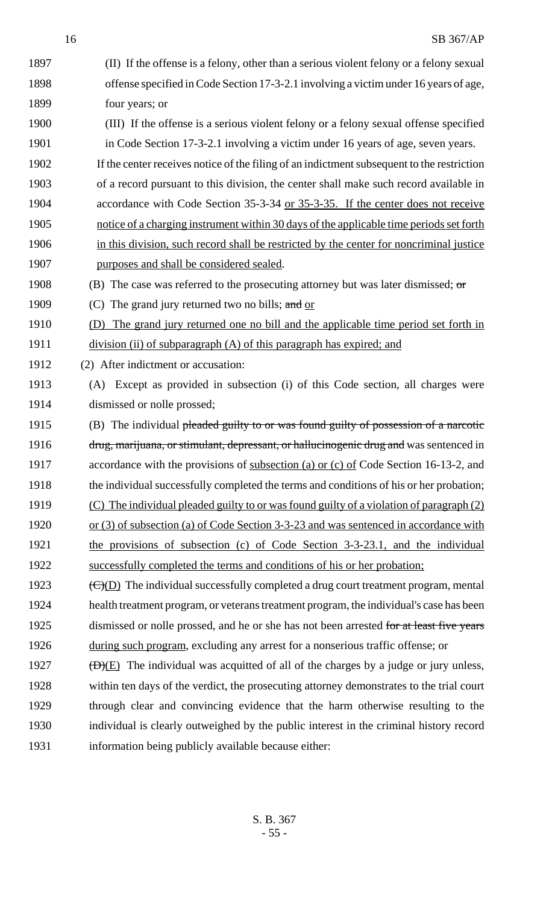(II) If the offense is a felony, other than a serious violent felony or a felony sexual offense specified in Code Section 17-3-2.1 involving a victim under 16 years of age, four years; or (III) If the offense is a serious violent felony or a felony sexual offense specified in Code Section 17-3-2.1 involving a victim under 16 years of age, seven years. If the center receives notice of the filing of an indictment subsequent to the restriction of a record pursuant to this division, the center shall make such record available in accordance with Code Section 35-3-34 or 35-3-35. If the center does not receive notice of a charging instrument within 30 days of the applicable time periods set forth in this division, such record shall be restricted by the center for noncriminal justice purposes and shall be considered sealed. 1908 (B) The case was referred to the prosecuting attorney but was later dismissed; or 1909 (C) The grand jury returned two no bills; and or (D) The grand jury returned one no bill and the applicable time period set forth in 1911 division (ii) of subparagraph (A) of this paragraph has expired; and (2) After indictment or accusation: (A) Except as provided in subsection (i) of this Code section, all charges were dismissed or nolle prossed; 1915 (B) The individual pleaded guilty to or was found guilty of possession of a narcotic 1916 drug, marijuana, or stimulant, depressant, or hallucinogenic drug and was sentenced in 1917 accordance with the provisions of <u>subsection (a) or (c) of</u> Code Section 16-13-2, and the individual successfully completed the terms and conditions of his or her probation; 1919 (C) The individual pleaded guilty to or was found guilty of a violation of paragraph (2) 1920 or (3) of subsection (a) of Code Section 3-3-23 and was sentenced in accordance with the provisions of subsection (c) of Code Section 3-3-23.1, and the individual successfully completed the terms and conditions of his or her probation;  $(C)(D)$  The individual successfully completed a drug court treatment program, mental health treatment program, or veterans treatment program, the individual's case has been 1925 dismissed or nolle prossed, and he or she has not been arrested for at least five years during such program, excluding any arrest for a nonserious traffic offense; or  $(D)(E)$  The individual was acquitted of all of the charges by a judge or jury unless, within ten days of the verdict, the prosecuting attorney demonstrates to the trial court through clear and convincing evidence that the harm otherwise resulting to the individual is clearly outweighed by the public interest in the criminal history record information being publicly available because either: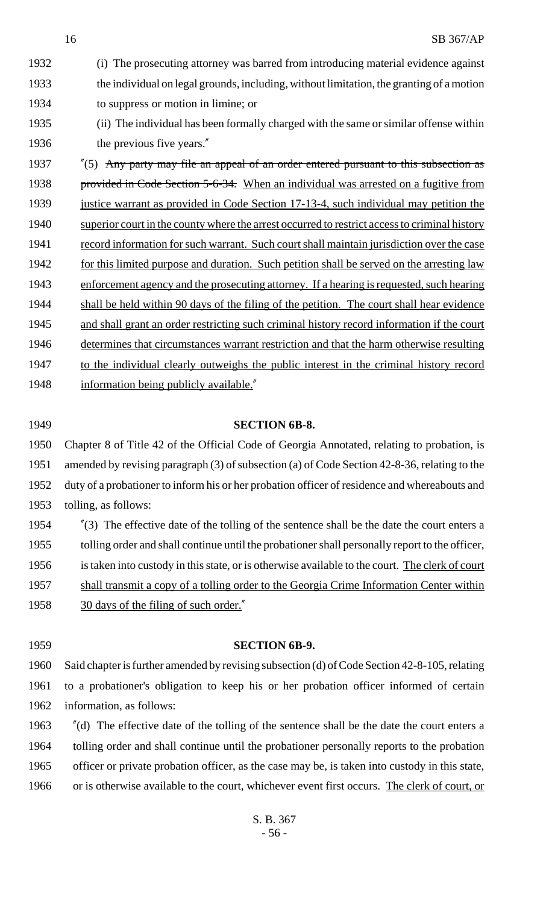(i) The prosecuting attorney was barred from introducing material evidence against the individual on legal grounds, including, without limitation, the granting of a motion to suppress or motion in limine; or (ii) The individual has been formally charged with the same or similar offense within 1936 the previous five years."

1937 "(5) Any party may file an appeal of an order entered pursuant to this subsection as 1938 provided in Code Section 5-6-34. When an individual was arrested on a fugitive from 1939 justice warrant as provided in Code Section 17-13-4, such individual may petition the 1940 superior court in the county where the arrest occurred to restrict access to criminal history 1941 record information for such warrant. Such court shall maintain jurisdiction over the case 1942 for this limited purpose and duration. Such petition shall be served on the arresting law 1943 enforcement agency and the prosecuting attorney. If a hearing is requested, such hearing 1944 shall be held within 90 days of the filing of the petition. The court shall hear evidence 1945 and shall grant an order restricting such criminal history record information if the court 1946 determines that circumstances warrant restriction and that the harm otherwise resulting 1947 to the individual clearly outweighs the public interest in the criminal history record 1948 information being publicly available."

#### 1949 **SECTION 6B-8.**

 Chapter 8 of Title 42 of the Official Code of Georgia Annotated, relating to probation, is amended by revising paragraph (3) of subsection (a) of Code Section 42-8-36, relating to the duty of a probationer to inform his or her probation officer of residence and whereabouts and tolling, as follows:

1954 "(3) The effective date of the tolling of the sentence shall be the date the court enters a 1955 tolling order and shall continue until the probationer shall personally report to the officer, 1956 is taken into custody in this state, or is otherwise available to the court. The clerk of court 1957 shall transmit a copy of a tolling order to the Georgia Crime Information Center within 1958 30 days of the filing of such order."

#### 1959 **SECTION 6B-9.**

1960 Said chapter is further amended by revising subsection (d) of Code Section 42-8-105, relating 1961 to a probationer's obligation to keep his or her probation officer informed of certain 1962 information, as follows:

 "(d) The effective date of the tolling of the sentence shall be the date the court enters a tolling order and shall continue until the probationer personally reports to the probation officer or private probation officer, as the case may be, is taken into custody in this state, 1966 or is otherwise available to the court, whichever event first occurs. The clerk of court, or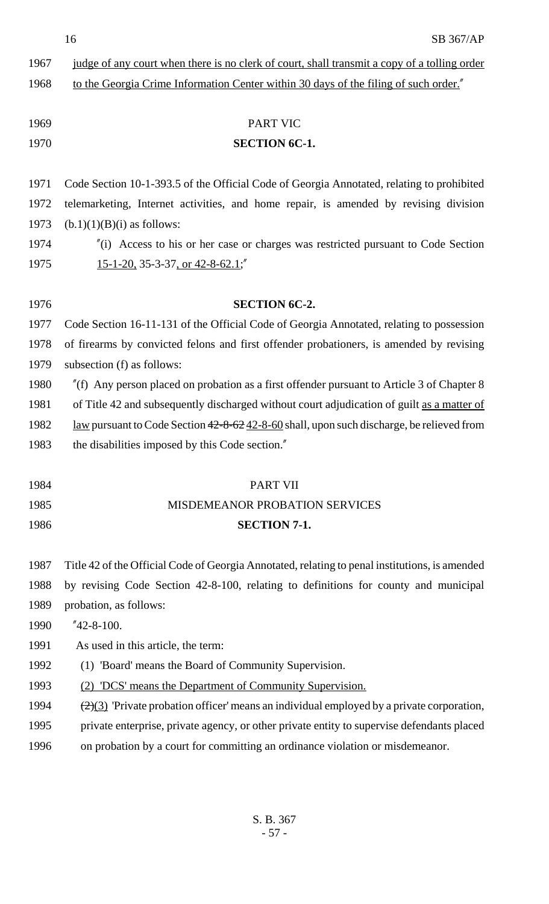16 SB 367/AP

| 1967 | judge of any court when there is no clerk of court, shall transmit a copy of a tolling order                 |  |
|------|--------------------------------------------------------------------------------------------------------------|--|
| 1968 | to the Georgia Crime Information Center within 30 days of the filing of such order."                         |  |
|      |                                                                                                              |  |
| 1969 | <b>PART VIC</b>                                                                                              |  |
| 1970 | <b>SECTION 6C-1.</b>                                                                                         |  |
|      |                                                                                                              |  |
| 1971 | Code Section 10-1-393.5 of the Official Code of Georgia Annotated, relating to prohibited                    |  |
| 1972 | telemarketing, Internet activities, and home repair, is amended by revising division                         |  |
| 1973 | $(b.1)(1)(B)(i)$ as follows:                                                                                 |  |
| 1974 | $\tilde{f}$ (i) Access to his or her case or charges was restricted pursuant to Code Section                 |  |
| 1975 | $15-1-20$ , 35-3-37, or 42-8-62.1;"                                                                          |  |
|      |                                                                                                              |  |
| 1976 | <b>SECTION 6C-2.</b>                                                                                         |  |
| 1977 | Code Section 16-11-131 of the Official Code of Georgia Annotated, relating to possession                     |  |
| 1978 | of firearms by convicted felons and first offender probationers, is amended by revising                      |  |
| 1979 | subsection (f) as follows:                                                                                   |  |
| 1980 | $\ell$ (f) Any person placed on probation as a first offender pursuant to Article 3 of Chapter 8             |  |
| 1981 | of Title 42 and subsequently discharged without court adjudication of guilt as a matter of                   |  |
| 1982 | <u>law</u> pursuant to Code Section $42-8-62$ $42-8-60$ shall, upon such discharge, be relieved from         |  |
| 1983 | the disabilities imposed by this Code section."                                                              |  |
|      |                                                                                                              |  |
| 1984 | <b>PART VII</b>                                                                                              |  |
| 1985 | <b>MISDEMEANOR PROBATION SERVICES</b>                                                                        |  |
| 1986 | <b>SECTION 7-1.</b>                                                                                          |  |
|      |                                                                                                              |  |
| 1987 | Title 42 of the Official Code of Georgia Annotated, relating to penal institutions, is amended               |  |
| 1988 | by revising Code Section 42-8-100, relating to definitions for county and municipal                          |  |
| 1989 | probation, as follows:                                                                                       |  |
| 1990 | $"42-8-100.$                                                                                                 |  |
| 1991 | As used in this article, the term:                                                                           |  |
| 1992 | (1) 'Board' means the Board of Community Supervision.                                                        |  |
| 1993 | (2) 'DCS' means the Department of Community Supervision.                                                     |  |
| 1994 | $\left(\frac{2}{3}\right)$ Private probation officer' means an individual employed by a private corporation, |  |
| 1995 | private enterprise, private agency, or other private entity to supervise defendants placed                   |  |
| 1996 | on probation by a court for committing an ordinance violation or misdemeanor.                                |  |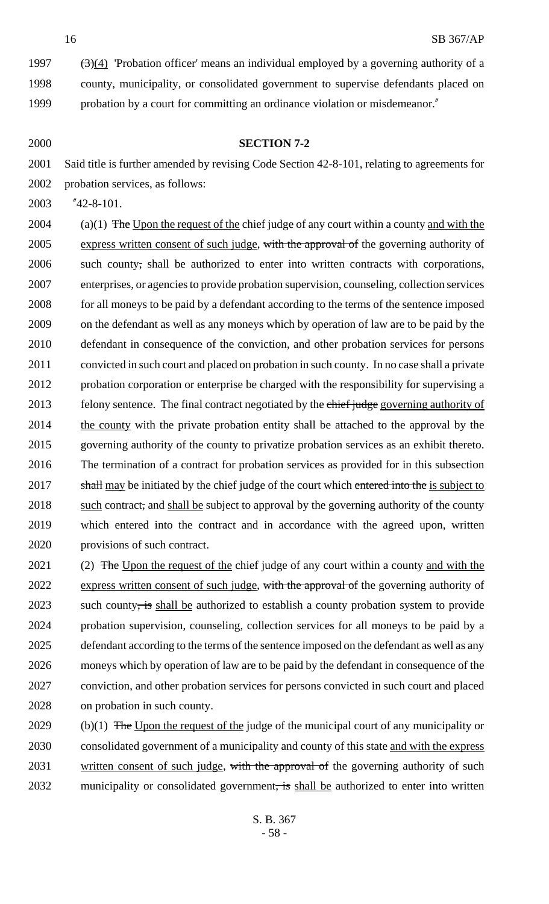1997  $(3)(4)$  'Probation officer' means an individual employed by a governing authority of a 1998 county, municipality, or consolidated government to supervise defendants placed on 1999 probation by a court for committing an ordinance violation or misdemeanor."

### 2000 **SECTION 7-2**

2001 Said title is further amended by revising Code Section 42-8-101, relating to agreements for 2002 probation services, as follows:

2003 "42-8-101.

2004 (a)(1) The Upon the request of the chief judge of any court within a county and with the 2005 express written consent of such judge, with the approval of the governing authority of such county, shall be authorized to enter into written contracts with corporations, enterprises, or agencies to provide probation supervision, counseling, collection services for all moneys to be paid by a defendant according to the terms of the sentence imposed on the defendant as well as any moneys which by operation of law are to be paid by the defendant in consequence of the conviction, and other probation services for persons convicted in such court and placed on probation in such county. In no case shall a private probation corporation or enterprise be charged with the responsibility for supervising a 2013 felony sentence. The final contract negotiated by the chief judge governing authority of 2014 the county with the private probation entity shall be attached to the approval by the governing authority of the county to privatize probation services as an exhibit thereto. The termination of a contract for probation services as provided for in this subsection 2017 shall may be initiated by the chief judge of the court which entered into the is subject to 2018 such contract, and shall be subject to approval by the governing authority of the county which entered into the contract and in accordance with the agreed upon, written provisions of such contract.

2021 (2) The Upon the request of the chief judge of any court within a county and with the 2022 express written consent of such judge, with the approval of the governing authority of 2023 such county, is shall be authorized to establish a county probation system to provide probation supervision, counseling, collection services for all moneys to be paid by a defendant according to the terms of the sentence imposed on the defendant as well as any moneys which by operation of law are to be paid by the defendant in consequence of the conviction, and other probation services for persons convicted in such court and placed on probation in such county.

2029 (b)(1) The Upon the request of the judge of the municipal court of any municipality or 2030 consolidated government of a municipality and county of this state and with the express 2031 written consent of such judge, with the approval of the governing authority of such 2032 municipality or consolidated government, is shall be authorized to enter into written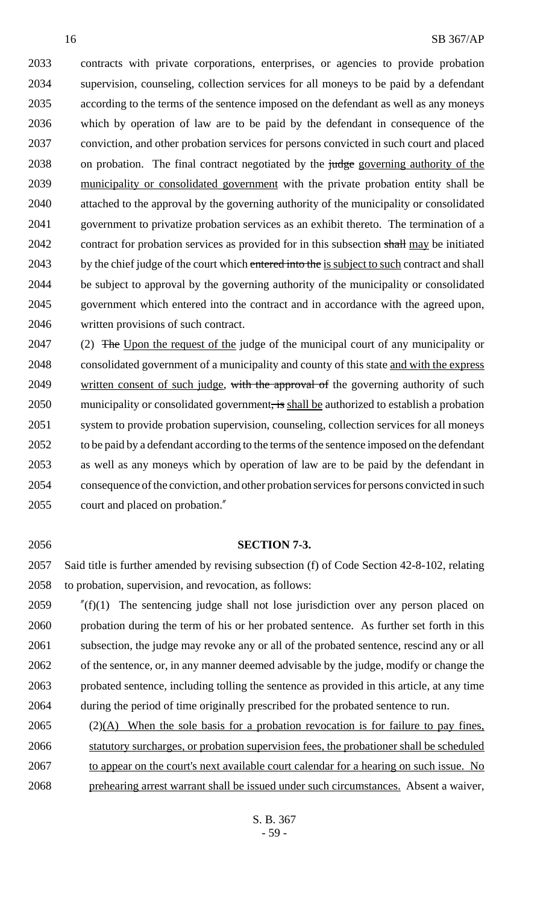contracts with private corporations, enterprises, or agencies to provide probation supervision, counseling, collection services for all moneys to be paid by a defendant according to the terms of the sentence imposed on the defendant as well as any moneys which by operation of law are to be paid by the defendant in consequence of the conviction, and other probation services for persons convicted in such court and placed 2038 on probation. The final contract negotiated by the judge governing authority of the municipality or consolidated government with the private probation entity shall be attached to the approval by the governing authority of the municipality or consolidated government to privatize probation services as an exhibit thereto. The termination of a 2042 contract for probation services as provided for in this subsection shall may be initiated 2043 by the chief judge of the court which entered into the is subject to such contract and shall be subject to approval by the governing authority of the municipality or consolidated government which entered into the contract and in accordance with the agreed upon, written provisions of such contract.

2047 (2) The Upon the request of the judge of the municipal court of any municipality or consolidated government of a municipality and county of this state and with the express 2049 written consent of such judge, with the approval of the governing authority of such 2050 municipality or consolidated government, is shall be authorized to establish a probation system to provide probation supervision, counseling, collection services for all moneys to be paid by a defendant according to the terms of the sentence imposed on the defendant as well as any moneys which by operation of law are to be paid by the defendant in consequence of the conviction, and other probation services for persons convicted in such court and placed on probation."

#### **SECTION 7-3.**

 Said title is further amended by revising subsection (f) of Code Section 42-8-102, relating to probation, supervision, and revocation, as follows:

 "(f)(1) The sentencing judge shall not lose jurisdiction over any person placed on probation during the term of his or her probated sentence. As further set forth in this 2061 subsection, the judge may revoke any or all of the probated sentence, rescind any or all of the sentence, or, in any manner deemed advisable by the judge, modify or change the probated sentence, including tolling the sentence as provided in this article, at any time during the period of time originally prescribed for the probated sentence to run.

 (2)(A) When the sole basis for a probation revocation is for failure to pay fines, statutory surcharges, or probation supervision fees, the probationer shall be scheduled to appear on the court's next available court calendar for a hearing on such issue. No prehearing arrest warrant shall be issued under such circumstances. Absent a waiver,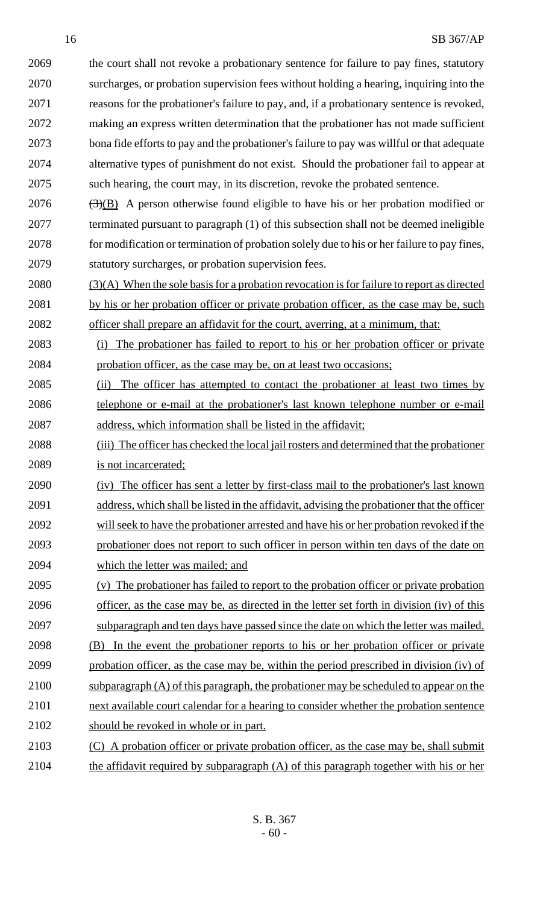the court shall not revoke a probationary sentence for failure to pay fines, statutory surcharges, or probation supervision fees without holding a hearing, inquiring into the reasons for the probationer's failure to pay, and, if a probationary sentence is revoked, making an express written determination that the probationer has not made sufficient bona fide efforts to pay and the probationer's failure to pay was willful or that adequate alternative types of punishment do not exist. Should the probationer fail to appear at such hearing, the court may, in its discretion, revoke the probated sentence.

 (3)(B) A person otherwise found eligible to have his or her probation modified or terminated pursuant to paragraph (1) of this subsection shall not be deemed ineligible for modification or termination of probation solely due to his or her failure to pay fines, statutory surcharges, or probation supervision fees.

2080 (3)(A) When the sole basis for a probation revocation is for failure to report as directed 2081 by his or her probation officer or private probation officer, as the case may be, such

officer shall prepare an affidavit for the court, averring, at a minimum, that:

 (i) The probationer has failed to report to his or her probation officer or private probation officer, as the case may be, on at least two occasions;

- (ii) The officer has attempted to contact the probationer at least two times by telephone or e-mail at the probationer's last known telephone number or e-mail address, which information shall be listed in the affidavit;
- (iii) The officer has checked the local jail rosters and determined that the probationer is not incarcerated;
- (iv) The officer has sent a letter by first-class mail to the probationer's last known address, which shall be listed in the affidavit, advising the probationer that the officer will seek to have the probationer arrested and have his or her probation revoked if the probationer does not report to such officer in person within ten days of the date on which the letter was mailed; and
- (v) The probationer has failed to report to the probation officer or private probation
- officer, as the case may be, as directed in the letter set forth in division (iv) of this subparagraph and ten days have passed since the date on which the letter was mailed.
- (B) In the event the probationer reports to his or her probation officer or private probation officer, as the case may be, within the period prescribed in division (iv) of 2100 subparagraph  $(A)$  of this paragraph, the probationer may be scheduled to appear on the
- 2101 next available court calendar for a hearing to consider whether the probation sentence should be revoked in whole or in part.
- (C) A probation officer or private probation officer, as the case may be, shall submit the affidavit required by subparagraph (A) of this paragraph together with his or her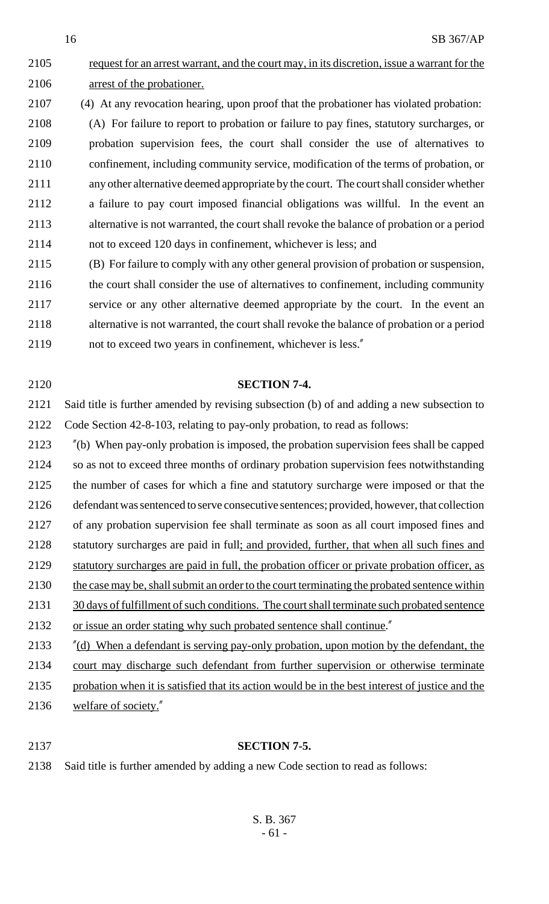2105 request for an arrest warrant, and the court may, in its discretion, issue a warrant for the arrest of the probationer.

(4) At any revocation hearing, upon proof that the probationer has violated probation:

 (A) For failure to report to probation or failure to pay fines, statutory surcharges, or probation supervision fees, the court shall consider the use of alternatives to confinement, including community service, modification of the terms of probation, or any other alternative deemed appropriate by the court. The court shall consider whether a failure to pay court imposed financial obligations was willful. In the event an alternative is not warranted, the court shall revoke the balance of probation or a period not to exceed 120 days in confinement, whichever is less; and

 (B) For failure to comply with any other general provision of probation or suspension, the court shall consider the use of alternatives to confinement, including community service or any other alternative deemed appropriate by the court. In the event an alternative is not warranted, the court shall revoke the balance of probation or a period not to exceed two years in confinement, whichever is less."

 Said title is further amended by revising subsection (b) of and adding a new subsection to Code Section 42-8-103, relating to pay-only probation, to read as follows:

**SECTION 7-4.**

 "(b) When pay-only probation is imposed, the probation supervision fees shall be capped so as not to exceed three months of ordinary probation supervision fees notwithstanding the number of cases for which a fine and statutory surcharge were imposed or that the defendant was sentenced to serve consecutive sentences; provided, however, that collection of any probation supervision fee shall terminate as soon as all court imposed fines and 2128 statutory surcharges are paid in full; and provided, further, that when all such fines and statutory surcharges are paid in full, the probation officer or private probation officer, as 2130 the case may be, shall submit an order to the court terminating the probated sentence within 2131 30 days of fulfillment of such conditions. The court shall terminate such probated sentence 2132 or issue an order stating why such probated sentence shall continue." "(d) When a defendant is serving pay-only probation, upon motion by the defendant, the court may discharge such defendant from further supervision or otherwise terminate

- probation when it is satisfied that its action would be in the best interest of justice and the
- welfare of society."
- 

# **SECTION 7-5.**

Said title is further amended by adding a new Code section to read as follows: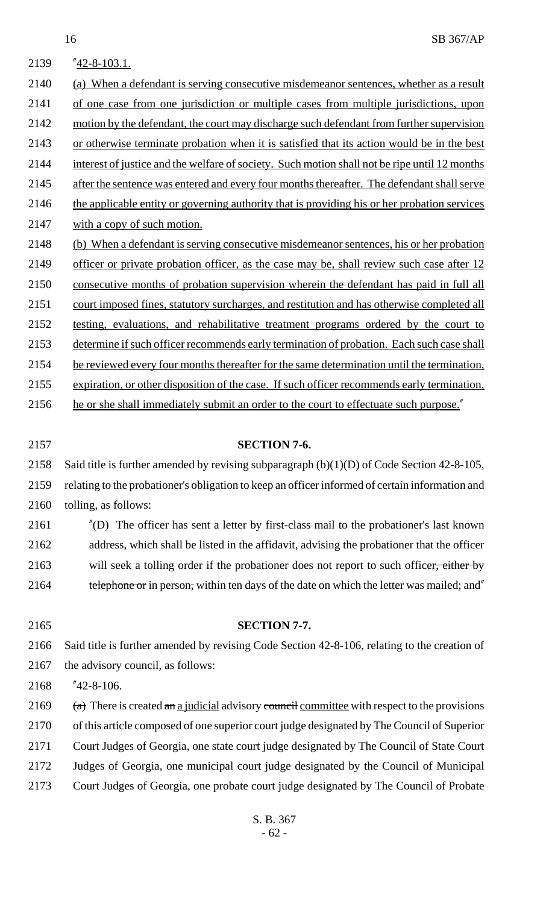| 2139 | $"42-8-103.1.$                                                                                |
|------|-----------------------------------------------------------------------------------------------|
| 2140 | (a) When a defendant is serving consecutive misdemeanor sentences, whether as a result        |
| 2141 | of one case from one jurisdiction or multiple cases from multiple jurisdictions, upon         |
| 2142 | motion by the defendant, the court may discharge such defendant from further supervision      |
| 2143 | or otherwise terminate probation when it is satisfied that its action would be in the best    |
| 2144 | interest of justice and the welfare of society. Such motion shall not be ripe until 12 months |
| 2145 | after the sentence was entered and every four months thereafter. The defendant shall serve    |
| 2146 | the applicable entity or governing authority that is providing his or her probation services  |
| 2147 | with a copy of such motion.                                                                   |
| 2148 | (b) When a defendant is serving consecutive misdemeanor sentences, his or her probation       |
| 2149 | officer or private probation officer, as the case may be, shall review such case after 12     |
| 2150 | consecutive months of probation supervision wherein the defendant has paid in full all        |
| 2151 | court imposed fines, statutory surcharges, and restitution and has otherwise completed all    |
| 2152 | testing, evaluations, and rehabilitative treatment programs ordered by the court to           |
| 2153 | determine if such officer recommends early termination of probation. Each such case shall     |
| 2154 | be reviewed every four months thereafter for the same determination until the termination,    |
| 2155 | expiration, or other disposition of the case. If such officer recommends early termination,   |
| 2156 | he or she shall immediately submit an order to the court to effectuate such purpose."         |

#### **SECTION 7-6.**

Said title is further amended by revising subparagraph (b)(1)(D) of Code Section 42-8-105,

- relating to the probationer's obligation to keep an officer informed of certain information and tolling, as follows:
- "(D) The officer has sent a letter by first-class mail to the probationer's last known address, which shall be listed in the affidavit, advising the probationer that the officer 2163 will seek a tolling order if the probationer does not report to such officer, either by
- 2164 telephone or in person, within ten days of the date on which the letter was mailed; and''
- Said title is further amended by revising Code Section 42-8-106, relating to the creation of the advisory council, as follows:

**SECTION 7-7.**

"42-8-106.

 $(a)$  There is created an a judicial advisory council committee with respect to the provisions of this article composed of one superior court judge designated by The Council of Superior Court Judges of Georgia, one state court judge designated by The Council of State Court Judges of Georgia, one municipal court judge designated by the Council of Municipal Court Judges of Georgia, one probate court judge designated by The Council of Probate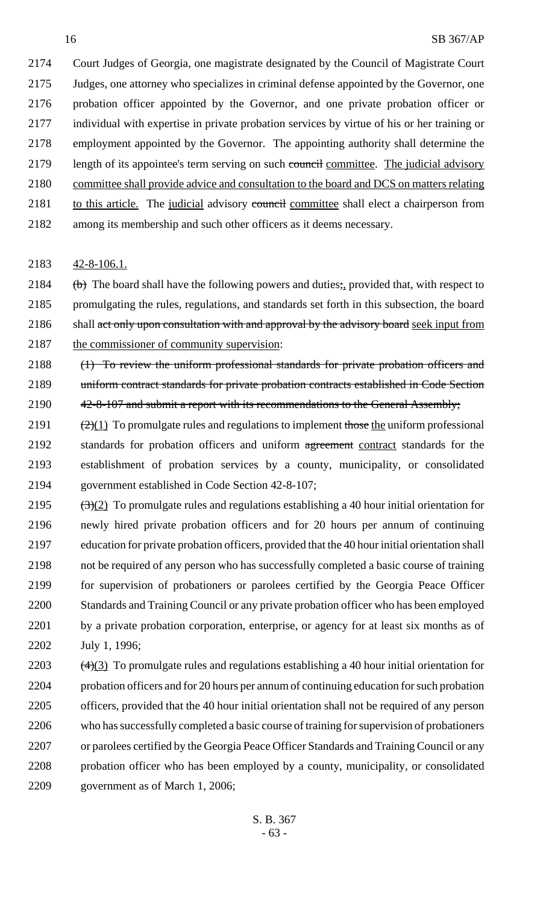Court Judges of Georgia, one magistrate designated by the Council of Magistrate Court Judges, one attorney who specializes in criminal defense appointed by the Governor, one probation officer appointed by the Governor, and one private probation officer or individual with expertise in private probation services by virtue of his or her training or employment appointed by the Governor. The appointing authority shall determine the 2179 length of its appointee's term serving on such council committee. The judicial advisory committee shall provide advice and consultation to the board and DCS on matters relating 2181 to this article. The judicial advisory council committee shall elect a chairperson from among its membership and such other officers as it deems necessary.

2183 42-8-106.1.

2184 (b) The board shall have the following powers and duties; provided that, with respect to 2185 promulgating the rules, regulations, and standards set forth in this subsection, the board 2186 shall act only upon consultation with and approval by the advisory board seek input from 2187 the commissioner of community supervision:

2188 (1) To review the uniform professional standards for private probation officers and 2189 uniform contract standards for private probation contracts established in Code Section 2190 42-8-107 and submit a report with its recommendations to the General Assembly;

- 2191  $\left( \frac{2}{1} \right)$  To promulgate rules and regulations to implement those the uniform professional 2192 standards for probation officers and uniform agreement contract standards for the 2193 establishment of probation services by a county, municipality, or consolidated 2194 government established in Code Section 42-8-107;
- 2195  $\left(\frac{(3)(2)}{2}\right)$  To promulgate rules and regulations establishing a 40 hour initial orientation for 2196 newly hired private probation officers and for 20 hours per annum of continuing 2197 education for private probation officers, provided that the 40 hour initial orientation shall 2198 not be required of any person who has successfully completed a basic course of training 2199 for supervision of probationers or parolees certified by the Georgia Peace Officer 2200 Standards and Training Council or any private probation officer who has been employed 2201 by a private probation corporation, enterprise, or agency for at least six months as of 2202 July 1, 1996;
- 2203  $(4)(3)$  To promulgate rules and regulations establishing a 40 hour initial orientation for 2204 probation officers and for 20 hours per annum of continuing education for such probation 2205 officers, provided that the 40 hour initial orientation shall not be required of any person 2206 who has successfully completed a basic course of training for supervision of probationers 2207 or parolees certified by the Georgia Peace Officer Standards and Training Council or any 2208 probation officer who has been employed by a county, municipality, or consolidated 2209 government as of March 1, 2006;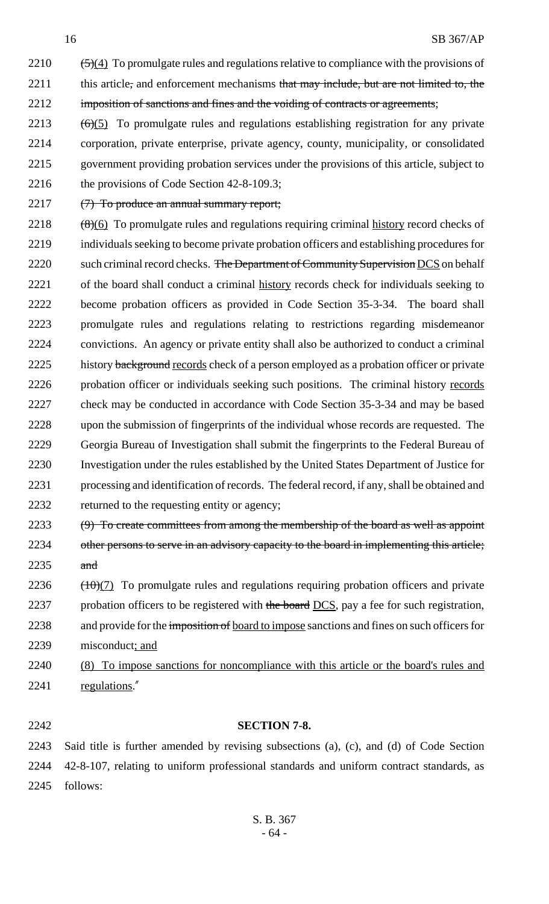2210  $\left(-\frac{5}{4}\right)$  To promulgate rules and regulations relative to compliance with the provisions of 2211 this article, and enforcement mechanisms that may include, but are not limited to, the 2212 imposition of sanctions and fines and the voiding of contracts or agreements;

- $2213$  (6)(5) To promulgate rules and regulations establishing registration for any private 2214 corporation, private enterprise, private agency, county, municipality, or consolidated 2215 government providing probation services under the provisions of this article, subject to 2216 the provisions of Code Section 42-8-109.3;
- 2217 (7) To produce an annual summary report;
- $2218$  (8)(6) To promulgate rules and regulations requiring criminal history record checks of 2219 individuals seeking to become private probation officers and establishing procedures for 2220 such criminal record checks. The Department of Community Supervision DCS on behalf 2221 of the board shall conduct a criminal history records check for individuals seeking to 2222 become probation officers as provided in Code Section 35-3-34. The board shall 2223 promulgate rules and regulations relating to restrictions regarding misdemeanor 2224 convictions. An agency or private entity shall also be authorized to conduct a criminal 2225 history background records check of a person employed as a probation officer or private 2226 probation officer or individuals seeking such positions. The criminal history records 2227 check may be conducted in accordance with Code Section 35-3-34 and may be based 2228 upon the submission of fingerprints of the individual whose records are requested. The 2229 Georgia Bureau of Investigation shall submit the fingerprints to the Federal Bureau of 2230 Investigation under the rules established by the United States Department of Justice for 2231 processing and identification of records. The federal record, if any, shall be obtained and 2232 returned to the requesting entity or agency;
- 2233  $(9)$  To create committees from among the membership of the board as well as appoint 2234 other persons to serve in an advisory capacity to the board in implementing this article; 2235 and
- $2236$  ( $\frac{100(7)}{7}$ ) To promulgate rules and regulations requiring probation officers and private 2237 probation officers to be registered with the board DCS, pay a fee for such registration, 2238 and provide for the imposition of board to impose sanctions and fines on such officers for 2239 misconduct; and
- 2240 (8) To impose sanctions for noncompliance with this article or the board's rules and 2241 regulations."

#### 2242 **SECTION 7-8.**

2243 Said title is further amended by revising subsections (a), (c), and (d) of Code Section 2244 42-8-107, relating to uniform professional standards and uniform contract standards, as 2245 follows: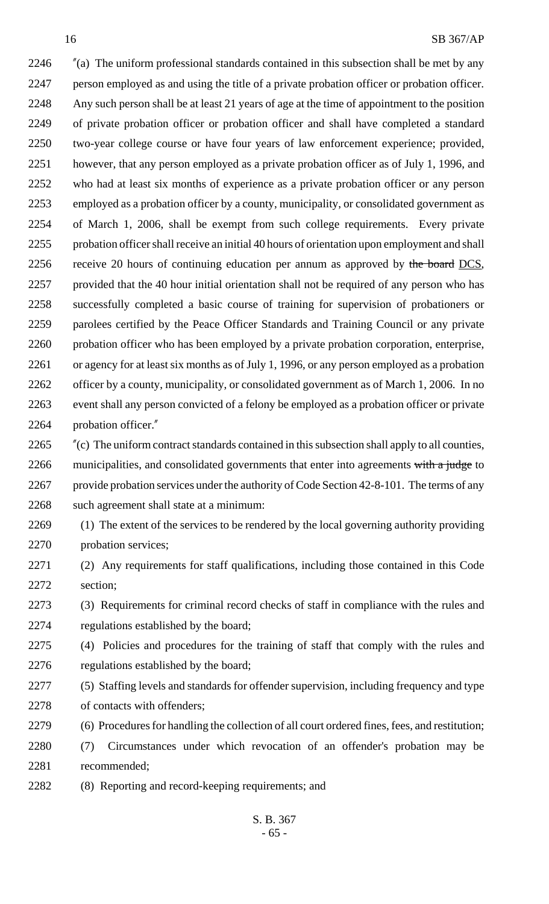"(a) The uniform professional standards contained in this subsection shall be met by any person employed as and using the title of a private probation officer or probation officer. Any such person shall be at least 21 years of age at the time of appointment to the position of private probation officer or probation officer and shall have completed a standard two-year college course or have four years of law enforcement experience; provided, however, that any person employed as a private probation officer as of July 1, 1996, and who had at least six months of experience as a private probation officer or any person employed as a probation officer by a county, municipality, or consolidated government as of March 1, 2006, shall be exempt from such college requirements. Every private probation officer shall receive an initial 40 hours of orientation upon employment and shall 2256 receive 20 hours of continuing education per annum as approved by the board DCS, provided that the 40 hour initial orientation shall not be required of any person who has successfully completed a basic course of training for supervision of probationers or parolees certified by the Peace Officer Standards and Training Council or any private probation officer who has been employed by a private probation corporation, enterprise, or agency for at least six months as of July 1, 1996, or any person employed as a probation officer by a county, municipality, or consolidated government as of March 1, 2006. In no event shall any person convicted of a felony be employed as a probation officer or private probation officer."

 "(c) The uniform contract standards contained in this subsection shall apply to all counties, 2266 municipalities, and consolidated governments that enter into agreements with a judge to 2267 provide probation services under the authority of Code Section 42-8-101. The terms of any such agreement shall state at a minimum:

- (1) The extent of the services to be rendered by the local governing authority providing probation services;
- (2) Any requirements for staff qualifications, including those contained in this Code section;
- (3) Requirements for criminal record checks of staff in compliance with the rules and regulations established by the board;
- (4) Policies and procedures for the training of staff that comply with the rules and 2276 regulations established by the board;
- (5) Staffing levels and standards for offender supervision, including frequency and type of contacts with offenders;
- (6) Procedures for handling the collection of all court ordered fines, fees, and restitution;
- (7) Circumstances under which revocation of an offender's probation may be recommended;
- (8) Reporting and record-keeping requirements; and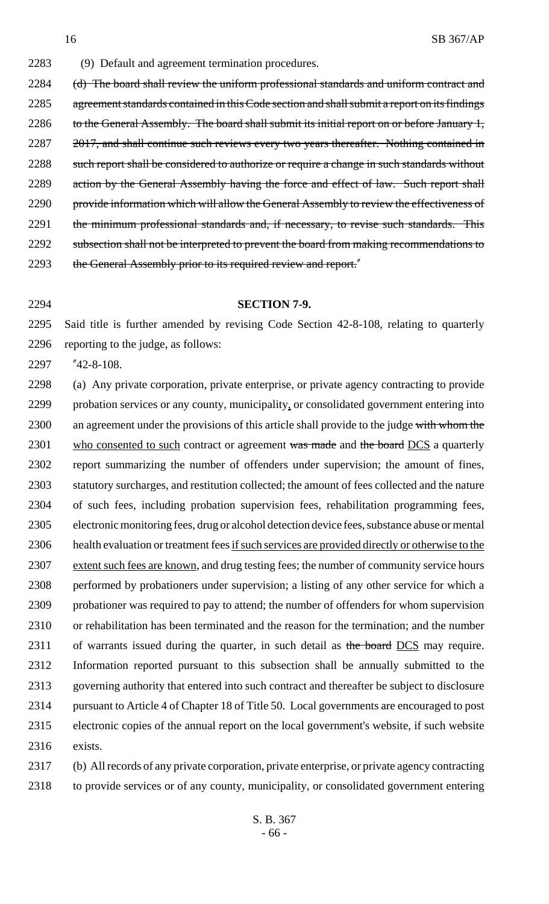2283 (9) Default and agreement termination procedures. 2284 (d) The board shall review the uniform professional standards and uniform contract and 2285 agreement standards contained in this Code section and shall submit a report on its findings 2286 to the General Assembly. The board shall submit its initial report on or before January 1, 2287 2017, and shall continue such reviews every two years thereafter. Nothing contained in 2288 such report shall be considered to authorize or require a change in such standards without 2289 action by the General Assembly having the force and effect of law. Such report shall 2290 provide information which will allow the General Assembly to review the effectiveness of 2291 the minimum professional standards and, if necessary, to revise such standards. This 2292 subsection shall not be interpreted to prevent the board from making recommendations to

2293 the General Assembly prior to its required review and report."

#### 2294 **SECTION 7-9.**

2295 Said title is further amended by revising Code Section 42-8-108, relating to quarterly 2296 reporting to the judge, as follows:

2297 "42-8-108.

 (a) Any private corporation, private enterprise, or private agency contracting to provide probation services or any county, municipality, or consolidated government entering into 2300 an agreement under the provisions of this article shall provide to the judge with whom the 2301 who consented to such contract or agreement was made and the board DCS a quarterly report summarizing the number of offenders under supervision; the amount of fines, statutory surcharges, and restitution collected; the amount of fees collected and the nature of such fees, including probation supervision fees, rehabilitation programming fees, electronic monitoring fees, drug or alcohol detection device fees, substance abuse or mental 2306 health evaluation or treatment fees if such services are provided directly or otherwise to the 2307 extent such fees are known, and drug testing fees; the number of community service hours performed by probationers under supervision; a listing of any other service for which a probationer was required to pay to attend; the number of offenders for whom supervision or rehabilitation has been terminated and the reason for the termination; and the number 2311 of warrants issued during the quarter, in such detail as the board DCS may require. Information reported pursuant to this subsection shall be annually submitted to the governing authority that entered into such contract and thereafter be subject to disclosure pursuant to Article 4 of Chapter 18 of Title 50. Local governments are encouraged to post electronic copies of the annual report on the local government's website, if such website 2316 exists.

2317 (b) All records of any private corporation, private enterprise, or private agency contracting 2318 to provide services or of any county, municipality, or consolidated government entering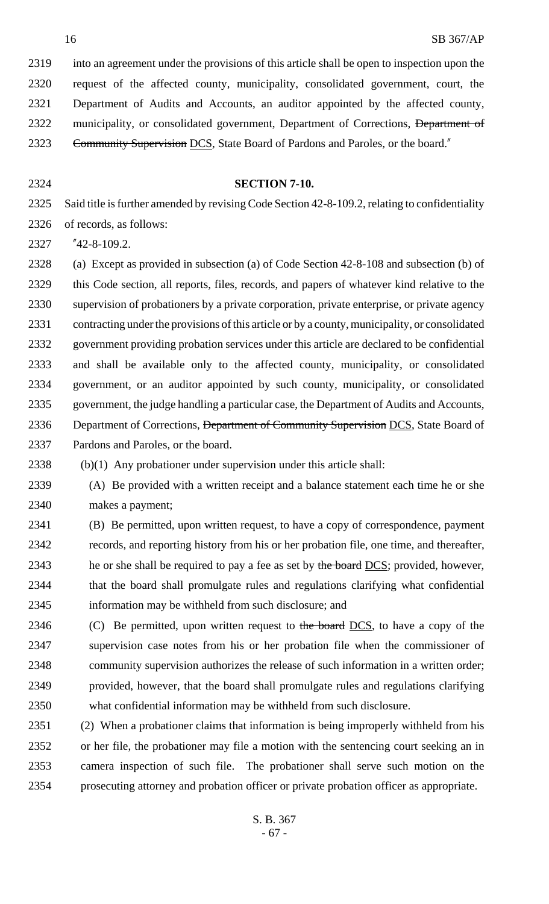into an agreement under the provisions of this article shall be open to inspection upon the request of the affected county, municipality, consolidated government, court, the Department of Audits and Accounts, an auditor appointed by the affected county, 2322 municipality, or consolidated government, Department of Corrections, Department of 2323 Community Supervision DCS, State Board of Pardons and Paroles, or the board."

#### **SECTION 7-10.**

 Said title is further amended by revising Code Section 42-8-109.2, relating to confidentiality of records, as follows:

"42-8-109.2.

 (a) Except as provided in subsection (a) of Code Section 42-8-108 and subsection (b) of this Code section, all reports, files, records, and papers of whatever kind relative to the supervision of probationers by a private corporation, private enterprise, or private agency contracting under the provisions of this article or by a county, municipality, or consolidated government providing probation services under this article are declared to be confidential and shall be available only to the affected county, municipality, or consolidated government, or an auditor appointed by such county, municipality, or consolidated government, the judge handling a particular case, the Department of Audits and Accounts, 2336 Department of Corrections, Department of Community Supervision DCS, State Board of Pardons and Paroles, or the board.

(b)(1) Any probationer under supervision under this article shall:

 (A) Be provided with a written receipt and a balance statement each time he or she makes a payment;

 (B) Be permitted, upon written request, to have a copy of correspondence, payment records, and reporting history from his or her probation file, one time, and thereafter, 2343 he or she shall be required to pay a fee as set by the board DCS; provided, however, that the board shall promulgate rules and regulations clarifying what confidential information may be withheld from such disclosure; and

2346 (C) Be permitted, upon written request to the board  $DCS$ , to have a copy of the supervision case notes from his or her probation file when the commissioner of community supervision authorizes the release of such information in a written order; provided, however, that the board shall promulgate rules and regulations clarifying what confidential information may be withheld from such disclosure.

 (2) When a probationer claims that information is being improperly withheld from his or her file, the probationer may file a motion with the sentencing court seeking an in camera inspection of such file. The probationer shall serve such motion on the prosecuting attorney and probation officer or private probation officer as appropriate.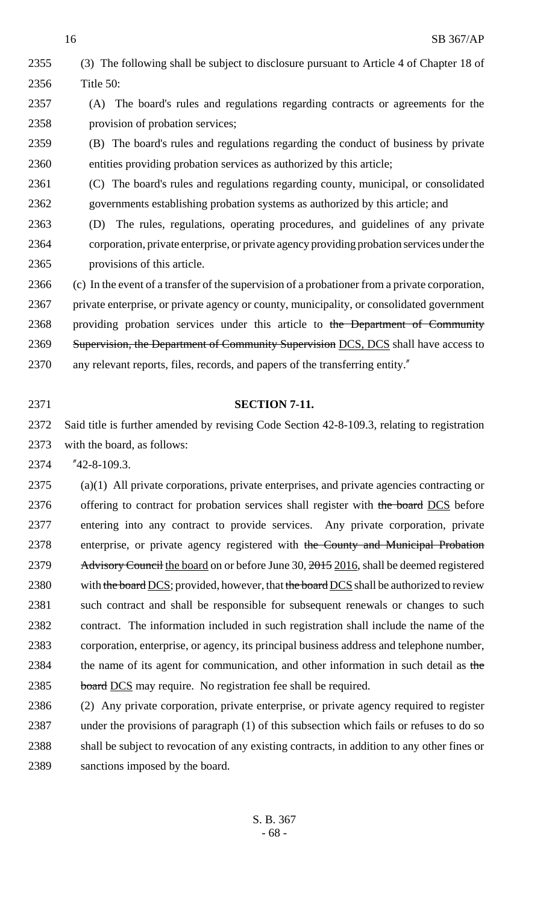(3) The following shall be subject to disclosure pursuant to Article 4 of Chapter 18 of Title 50: (A) The board's rules and regulations regarding contracts or agreements for the provision of probation services;

 (B) The board's rules and regulations regarding the conduct of business by private entities providing probation services as authorized by this article;

- (C) The board's rules and regulations regarding county, municipal, or consolidated governments establishing probation systems as authorized by this article; and
- (D) The rules, regulations, operating procedures, and guidelines of any private corporation, private enterprise, or private agency providing probation services under the provisions of this article.
- (c) In the event of a transfer of the supervision of a probationer from a private corporation, private enterprise, or private agency or county, municipality, or consolidated government 2368 providing probation services under this article to the Department of Community 2369 Supervision, the Department of Community Supervision DCS, DCS shall have access to
- any relevant reports, files, records, and papers of the transferring entity."
- 

### **SECTION 7-11.**

- Said title is further amended by revising Code Section 42-8-109.3, relating to registration with the board, as follows:
- "42-8-109.3.

 (a)(1) All private corporations, private enterprises, and private agencies contracting or 2376 offering to contract for probation services shall register with the board DCS before entering into any contract to provide services. Any private corporation, private 2378 enterprise, or private agency registered with the County and Municipal Probation 2379 Advisory Council the board on or before June 30, 2015 2016, shall be deemed registered 2380 with the board DCS; provided, however, that the board DCS shall be authorized to review 2381 such contract and shall be responsible for subsequent renewals or changes to such contract. The information included in such registration shall include the name of the corporation, enterprise, or agency, its principal business address and telephone number, 2384 the name of its agent for communication, and other information in such detail as the 2385 board DCS may require. No registration fee shall be required.

 (2) Any private corporation, private enterprise, or private agency required to register under the provisions of paragraph (1) of this subsection which fails or refuses to do so shall be subject to revocation of any existing contracts, in addition to any other fines or sanctions imposed by the board.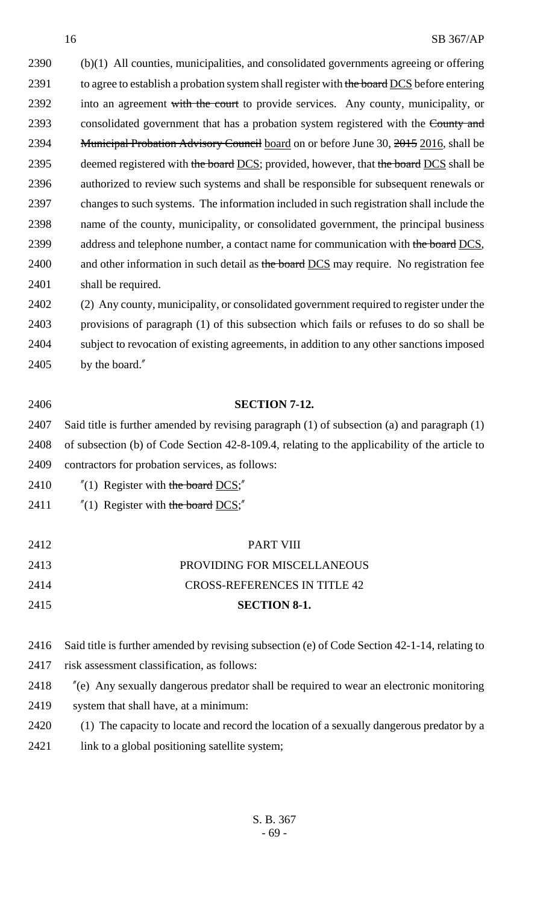2390 (b)(1) All counties, municipalities, and consolidated governments agreeing or offering 2391 to agree to establish a probation system shall register with the board DCS before entering 2392 into an agreement with the court to provide services. Any county, municipality, or 2393 consolidated government that has a probation system registered with the County and 2394 Municipal Probation Advisory Council board on or before June 30, 2015 2016, shall be 2395 deemed registered with the board DCS; provided, however, that the board DCS shall be 2396 authorized to review such systems and shall be responsible for subsequent renewals or 2397 changes to such systems. The information included in such registration shall include the 2398 name of the county, municipality, or consolidated government, the principal business 2399 address and telephone number, a contact name for communication with the board DCS, 2400 and other information in such detail as the board DCS may require. No registration fee 2401 shall be required.

 (2) Any county, municipality, or consolidated government required to register under the provisions of paragraph (1) of this subsection which fails or refuses to do so shall be subject to revocation of existing agreements, in addition to any other sanctions imposed by the board."

### 2406 **SECTION 7-12.**

2407 Said title is further amended by revising paragraph (1) of subsection (a) and paragraph (1) 2408 of subsection (b) of Code Section 42-8-109.4, relating to the applicability of the article to 2409 contractors for probation services, as follows:

- 2410  $\frac{1}{2}$  (1) Register with the board DCS;<sup>"</sup>
- 2411  $\frac{1}{2}$  (1) Register with the board DCS;<sup>"</sup>

| 2415 | <b>SECTION 8-1.</b>                 |
|------|-------------------------------------|
| 2414 | <b>CROSS-REFERENCES IN TITLE 42</b> |
| 2413 | PROVIDING FOR MISCELLANEOUS         |
| 2412 | <b>PART VIII</b>                    |

2416 Said title is further amended by revising subsection (e) of Code Section 42-1-14, relating to

- 2417 risk assessment classification, as follows:
- 2418 "(e) Any sexually dangerous predator shall be required to wear an electronic monitoring
- 2419 system that shall have, at a minimum:
- 2420 (1) The capacity to locate and record the location of a sexually dangerous predator by a
- 2421 link to a global positioning satellite system;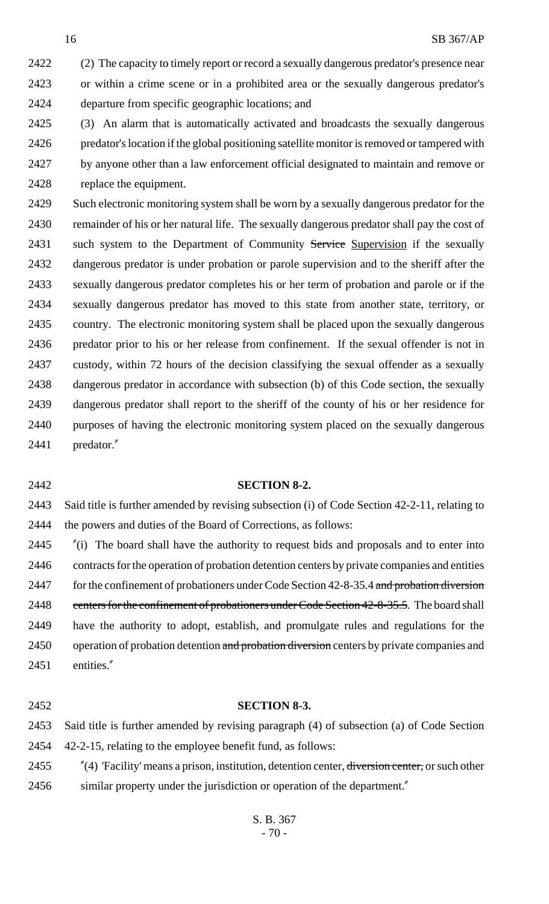2422 (2) The capacity to timely report or record a sexually dangerous predator's presence near or within a crime scene or in a prohibited area or the sexually dangerous predator's departure from specific geographic locations; and

 (3) An alarm that is automatically activated and broadcasts the sexually dangerous predator's location if the global positioning satellite monitor is removed or tampered with by anyone other than a law enforcement official designated to maintain and remove or replace the equipment.

 Such electronic monitoring system shall be worn by a sexually dangerous predator for the remainder of his or her natural life. The sexually dangerous predator shall pay the cost of 2431 such system to the Department of Community Service Supervision if the sexually dangerous predator is under probation or parole supervision and to the sheriff after the sexually dangerous predator completes his or her term of probation and parole or if the sexually dangerous predator has moved to this state from another state, territory, or country. The electronic monitoring system shall be placed upon the sexually dangerous predator prior to his or her release from confinement. If the sexual offender is not in custody, within 72 hours of the decision classifying the sexual offender as a sexually dangerous predator in accordance with subsection (b) of this Code section, the sexually dangerous predator shall report to the sheriff of the county of his or her residence for purposes of having the electronic monitoring system placed on the sexually dangerous predator."

#### **SECTION 8-2.**

 Said title is further amended by revising subsection (i) of Code Section 42-2-11, relating to the powers and duties of the Board of Corrections, as follows:

 "(i) The board shall have the authority to request bids and proposals and to enter into contracts for the operation of probation detention centers by private companies and entities 2447 for the confinement of probationers under Code Section 42-8-35.4 and probation diversion 2448 centers for the confinement of probationers under Code Section 42-8-35.5. The board shall have the authority to adopt, establish, and promulgate rules and regulations for the 2450 operation of probation detention and probation diversion centers by private companies and entities."

#### **SECTION 8-3.**

 Said title is further amended by revising paragraph (4) of subsection (a) of Code Section 42-2-15, relating to the employee benefit fund, as follows:

2455 "(4) 'Facility' means a prison, institution, detention center, diversion center, or such other similar property under the jurisdiction or operation of the department."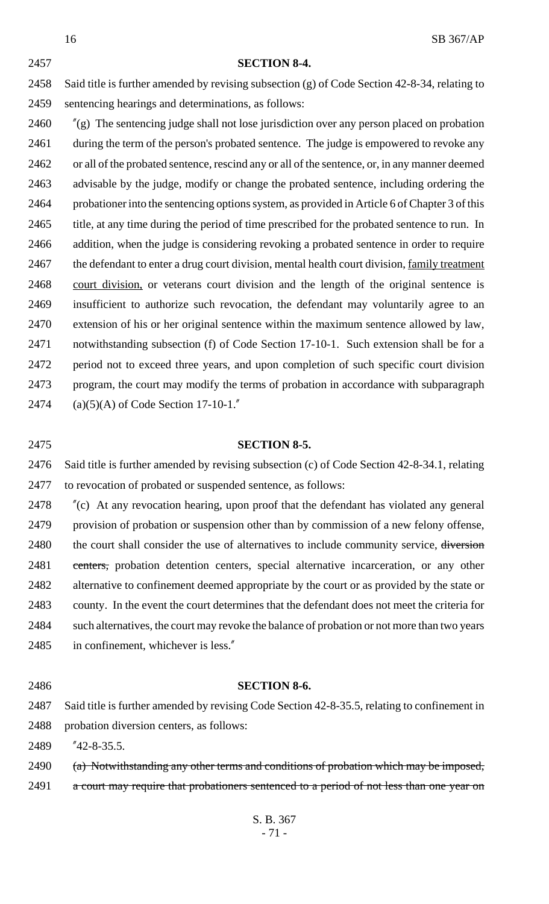SB 367/AP **SECTION 8-4.** Said title is further amended by revising subsection (g) of Code Section 42-8-34, relating to sentencing hearings and determinations, as follows:

 "(g) The sentencing judge shall not lose jurisdiction over any person placed on probation 2461 during the term of the person's probated sentence. The judge is empowered to revoke any or all of the probated sentence, rescind any or all of the sentence, or, in any manner deemed advisable by the judge, modify or change the probated sentence, including ordering the probationer into the sentencing options system, as provided in Article 6 of Chapter 3 of this 2465 title, at any time during the period of time prescribed for the probated sentence to run. In addition, when the judge is considering revoking a probated sentence in order to require the defendant to enter a drug court division, mental health court division, family treatment 2468 court division, or veterans court division and the length of the original sentence is insufficient to authorize such revocation, the defendant may voluntarily agree to an extension of his or her original sentence within the maximum sentence allowed by law, notwithstanding subsection (f) of Code Section 17-10-1. Such extension shall be for a period not to exceed three years, and upon completion of such specific court division program, the court may modify the terms of probation in accordance with subparagraph (a)(5)(A) of Code Section 17-10-1."

# **SECTION 8-5.**

 Said title is further amended by revising subsection (c) of Code Section 42-8-34.1, relating to revocation of probated or suspended sentence, as follows:

 "(c) At any revocation hearing, upon proof that the defendant has violated any general provision of probation or suspension other than by commission of a new felony offense, 2480 the court shall consider the use of alternatives to include community service, diversion 2481 centers, probation detention centers, special alternative incarceration, or any other alternative to confinement deemed appropriate by the court or as provided by the state or county. In the event the court determines that the defendant does not meet the criteria for such alternatives, the court may revoke the balance of probation or not more than two years in confinement, whichever is less."

#### **SECTION 8-6.**

 Said title is further amended by revising Code Section 42-8-35.5, relating to confinement in probation diversion centers, as follows:

"42-8-35.5.

- 2490 (a) Notwithstanding any other terms and conditions of probation which may be imposed,
- 2491 a court may require that probationers sentenced to a period of not less than one year on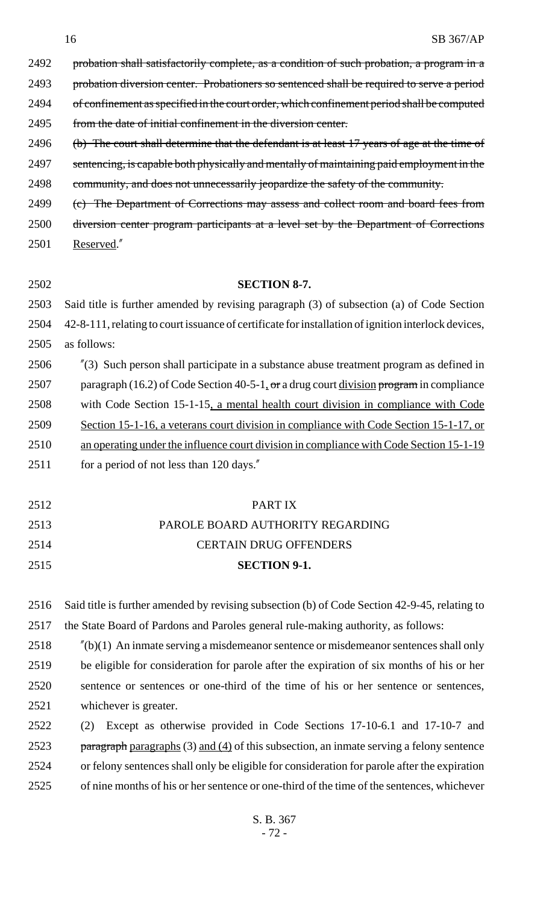2492 probation shall satisfactorily complete, as a condition of such probation, a program in a

2493 probation diversion center. Probationers so sentenced shall be required to serve a period

2494 of confinement as specified in the court order, which confinement period shall be computed

from the date of initial confinement in the diversion center.

2496 (b) The court shall determine that the defendant is at least 17 years of age at the time of 2497 sentencing, is capable both physically and mentally of maintaining paid employment in the 2498 community, and does not unnecessarily jeopardize the safety of the community.

2499 (c) The Department of Corrections may assess and collect room and board fees from

 diversion center program participants at a level set by the Department of Corrections Reserved."

### **SECTION 8-7.**

 Said title is further amended by revising paragraph (3) of subsection (a) of Code Section 42-8-111, relating to court issuance of certificate for installation of ignition interlock devices,

as follows:

 "(3) Such person shall participate in a substance abuse treatment program as defined in 2507 paragraph (16.2) of Code Section 40-5-1, or a drug court division program in compliance with Code Section 15-1-15, a mental health court division in compliance with Code Section 15-1-16, a veterans court division in compliance with Code Section 15-1-17, or an operating under the influence court division in compliance with Code Section 15-1-19 2511 for a period of not less than 120 days."

 PART IX PAROLE BOARD AUTHORITY REGARDING CERTAIN DRUG OFFENDERS **SECTION 9-1.**

 Said title is further amended by revising subsection (b) of Code Section 42-9-45, relating to the State Board of Pardons and Paroles general rule-making authority, as follows:

 "(b)(1) An inmate serving a misdemeanor sentence or misdemeanor sentences shall only be eligible for consideration for parole after the expiration of six months of his or her sentence or sentences or one-third of the time of his or her sentence or sentences, whichever is greater.

 (2) Except as otherwise provided in Code Sections 17-10-6.1 and 17-10-7 and 2523 paragraph paragraphs  $(3)$  and  $(4)$  of this subsection, an inmate serving a felony sentence or felony sentences shall only be eligible for consideration for parole after the expiration of nine months of his or her sentence or one-third of the time of the sentences, whichever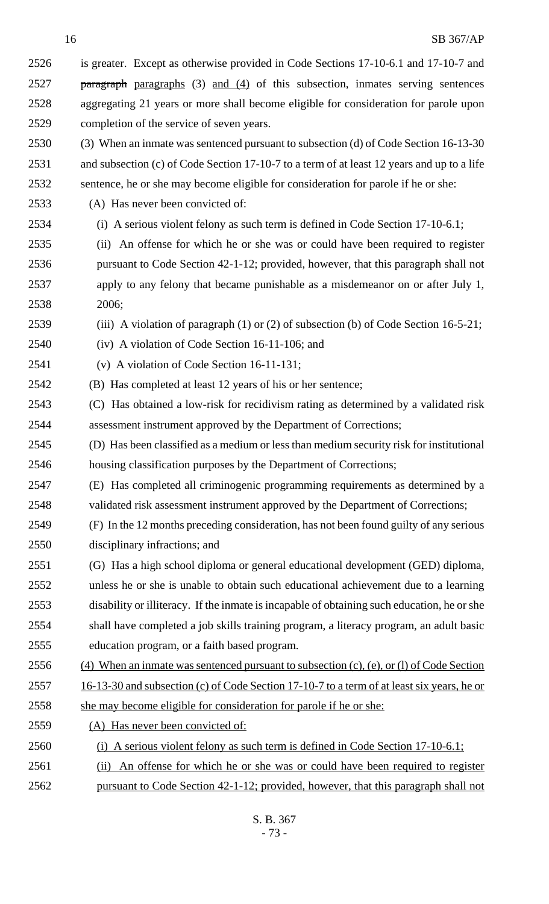is greater. Except as otherwise provided in Code Sections 17-10-6.1 and 17-10-7 and **paragraph** paragraphs (3) and (4) of this subsection, inmates serving sentences aggregating 21 years or more shall become eligible for consideration for parole upon completion of the service of seven years. (3) When an inmate was sentenced pursuant to subsection (d) of Code Section 16-13-30 and subsection (c) of Code Section 17-10-7 to a term of at least 12 years and up to a life sentence, he or she may become eligible for consideration for parole if he or she: (A) Has never been convicted of: (i) A serious violent felony as such term is defined in Code Section 17-10-6.1; (ii) An offense for which he or she was or could have been required to register pursuant to Code Section 42-1-12; provided, however, that this paragraph shall not apply to any felony that became punishable as a misdemeanor on or after July 1, 2006; (iii) A violation of paragraph (1) or (2) of subsection (b) of Code Section 16-5-21; (iv) A violation of Code Section 16-11-106; and (v) A violation of Code Section 16-11-131; (B) Has completed at least 12 years of his or her sentence; (C) Has obtained a low-risk for recidivism rating as determined by a validated risk assessment instrument approved by the Department of Corrections; (D) Has been classified as a medium or less than medium security risk for institutional housing classification purposes by the Department of Corrections; (E) Has completed all criminogenic programming requirements as determined by a validated risk assessment instrument approved by the Department of Corrections; (F) In the 12 months preceding consideration, has not been found guilty of any serious disciplinary infractions; and (G) Has a high school diploma or general educational development (GED) diploma, unless he or she is unable to obtain such educational achievement due to a learning disability or illiteracy. If the inmate is incapable of obtaining such education, he or she shall have completed a job skills training program, a literacy program, an adult basic education program, or a faith based program. (4) When an inmate was sentenced pursuant to subsection (c), (e), or (l) of Code Section 2557 16-13-30 and subsection (c) of Code Section 17-10-7 to a term of at least six years, he or she may become eligible for consideration for parole if he or she: (A) Has never been convicted of: (i) A serious violent felony as such term is defined in Code Section 17-10-6.1; (ii) An offense for which he or she was or could have been required to register pursuant to Code Section 42-1-12; provided, however, that this paragraph shall not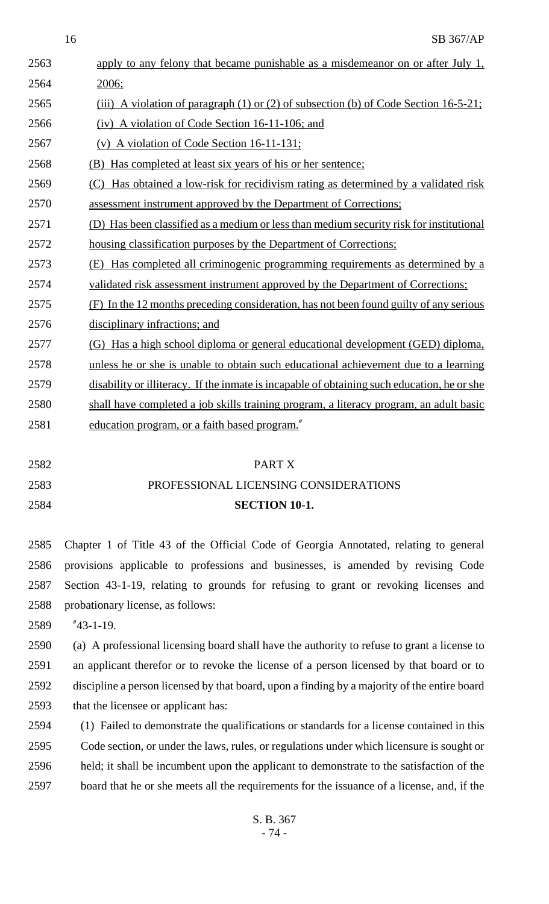$16$  SB 367/AP

| 2563 | apply to any felony that became punishable as a misdemeanor on or after July 1,             |
|------|---------------------------------------------------------------------------------------------|
| 2564 | 2006;                                                                                       |
| 2565 | (iii) A violation of paragraph (1) or (2) of subsection (b) of Code Section $16-5-21$ ;     |
| 2566 | (iv) A violation of Code Section 16-11-106; and                                             |
| 2567 | (v) A violation of Code Section $16-11-131$ ;                                               |
| 2568 | (B) Has completed at least six years of his or her sentence;                                |
| 2569 | Has obtained a low-risk for recidivism rating as determined by a validated risk             |
| 2570 | assessment instrument approved by the Department of Corrections;                            |
| 2571 | (D) Has been classified as a medium or less than medium security risk for institutional     |
| 2572 | housing classification purposes by the Department of Corrections;                           |
| 2573 | Has completed all criminogenic programming requirements as determined by a<br>(E)           |
| 2574 | validated risk assessment instrument approved by the Department of Corrections:             |
| 2575 | (F) In the 12 months preceding consideration, has not been found guilty of any serious      |
| 2576 | disciplinary infractions; and                                                               |
| 2577 | (G) Has a high school diploma or general educational development (GED) diploma,             |
| 2578 | unless he or she is unable to obtain such educational achievement due to a learning         |
| 2579 | disability or illiteracy. If the inmate is incapable of obtaining such education, he or she |
| 2580 | shall have completed a job skills training program, a literacy program, an adult basic      |
| 2581 | education program, or a faith based program."                                               |
|      |                                                                                             |
| 2582 | PART X                                                                                      |

## 2583 PROFESSIONAL LICENSING CONSIDERATIONS 2584 **SECTION 10-1.**

 Chapter 1 of Title 43 of the Official Code of Georgia Annotated, relating to general provisions applicable to professions and businesses, is amended by revising Code Section 43-1-19, relating to grounds for refusing to grant or revoking licenses and probationary license, as follows:

2589 "43-1-19.

 (a) A professional licensing board shall have the authority to refuse to grant a license to an applicant therefor or to revoke the license of a person licensed by that board or to discipline a person licensed by that board, upon a finding by a majority of the entire board that the licensee or applicant has:

 (1) Failed to demonstrate the qualifications or standards for a license contained in this Code section, or under the laws, rules, or regulations under which licensure is sought or held; it shall be incumbent upon the applicant to demonstrate to the satisfaction of the board that he or she meets all the requirements for the issuance of a license, and, if the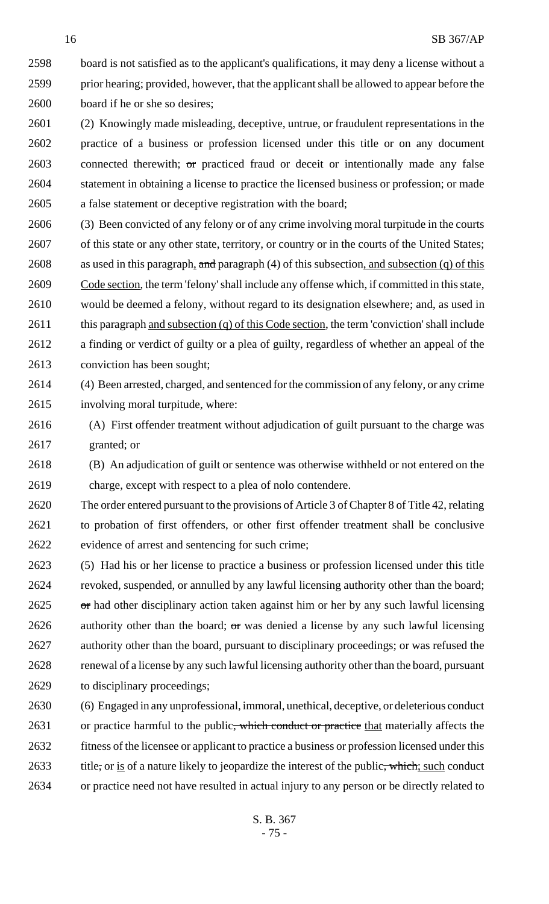board is not satisfied as to the applicant's qualifications, it may deny a license without a prior hearing; provided, however, that the applicant shall be allowed to appear before the board if he or she so desires;

 (2) Knowingly made misleading, deceptive, untrue, or fraudulent representations in the practice of a business or profession licensed under this title or on any document 2603 connected therewith; or practiced fraud or deceit or intentionally made any false statement in obtaining a license to practice the licensed business or profession; or made a false statement or deceptive registration with the board;

 (3) Been convicted of any felony or of any crime involving moral turpitude in the courts 2607 of this state or any other state, territory, or country or in the courts of the United States; 2608 as used in this paragraph, and paragraph (4) of this subsection, and subsection (q) of this Code section, the term 'felony' shall include any offense which, if committed in this state, would be deemed a felony, without regard to its designation elsewhere; and, as used in 2611 this paragraph and subsection (q) of this Code section, the term 'conviction' shall include a finding or verdict of guilty or a plea of guilty, regardless of whether an appeal of the conviction has been sought;

 (4) Been arrested, charged, and sentenced for the commission of any felony, or any crime involving moral turpitude, where:

 (A) First offender treatment without adjudication of guilt pursuant to the charge was granted; or

 (B) An adjudication of guilt or sentence was otherwise withheld or not entered on the charge, except with respect to a plea of nolo contendere.

 The order entered pursuant to the provisions of Article 3 of Chapter 8 of Title 42, relating to probation of first offenders, or other first offender treatment shall be conclusive evidence of arrest and sentencing for such crime;

 (5) Had his or her license to practice a business or profession licensed under this title revoked, suspended, or annulled by any lawful licensing authority other than the board; or had other disciplinary action taken against him or her by any such lawful licensing 2626 authority other than the board;  $\sigma$ r was denied a license by any such lawful licensing authority other than the board, pursuant to disciplinary proceedings; or was refused the renewal of a license by any such lawful licensing authority other than the board, pursuant to disciplinary proceedings;

 (6) Engaged in any unprofessional, immoral, unethical, deceptive, or deleterious conduct 2631 or practice harmful to the public, which conduct or practice that materially affects the fitness of the licensee or applicant to practice a business or profession licensed under this 2633 title, or is of a nature likely to jeopardize the interest of the public, which; such conduct or practice need not have resulted in actual injury to any person or be directly related to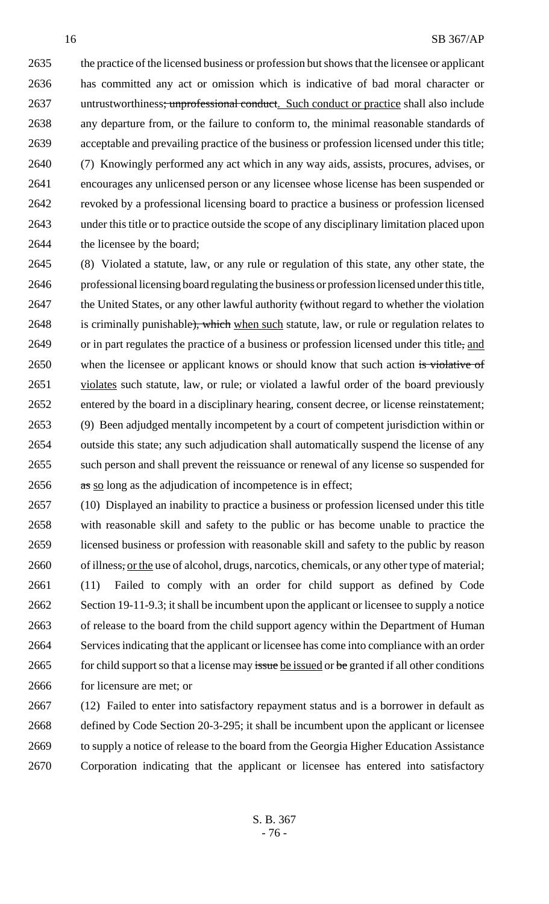the practice of the licensed business or profession but shows that the licensee or applicant has committed any act or omission which is indicative of bad moral character or 2637 untrustworthiness; unprofessional conduct. Such conduct or practice shall also include any departure from, or the failure to conform to, the minimal reasonable standards of acceptable and prevailing practice of the business or profession licensed under this title; (7) Knowingly performed any act which in any way aids, assists, procures, advises, or encourages any unlicensed person or any licensee whose license has been suspended or revoked by a professional licensing board to practice a business or profession licensed under this title or to practice outside the scope of any disciplinary limitation placed upon the licensee by the board;

 (8) Violated a statute, law, or any rule or regulation of this state, any other state, the professional licensing board regulating the business or profession licensed under this title, 2647 the United States, or any other lawful authority (without regard to whether the violation 2648 is criminally punishable), which when such statute, law, or rule or regulation relates to 2649 or in part regulates the practice of a business or profession licensed under this title, and 2650 when the licensee or applicant knows or should know that such action is violative of 2651 violates such statute, law, or rule; or violated a lawful order of the board previously entered by the board in a disciplinary hearing, consent decree, or license reinstatement; (9) Been adjudged mentally incompetent by a court of competent jurisdiction within or outside this state; any such adjudication shall automatically suspend the license of any such person and shall prevent the reissuance or renewal of any license so suspended for 2656 as so long as the adjudication of incompetence is in effect;

 (10) Displayed an inability to practice a business or profession licensed under this title with reasonable skill and safety to the public or has become unable to practice the licensed business or profession with reasonable skill and safety to the public by reason 2660 of illness, <u>or the</u> use of alcohol, drugs, narcotics, chemicals, or any other type of material; (11) Failed to comply with an order for child support as defined by Code Section 19-11-9.3; it shall be incumbent upon the applicant or licensee to supply a notice of release to the board from the child support agency within the Department of Human Services indicating that the applicant or licensee has come into compliance with an order 2665 for child support so that a license may issue be issued or be granted if all other conditions for licensure are met; or

 (12) Failed to enter into satisfactory repayment status and is a borrower in default as defined by Code Section 20-3-295; it shall be incumbent upon the applicant or licensee 2669 to supply a notice of release to the board from the Georgia Higher Education Assistance Corporation indicating that the applicant or licensee has entered into satisfactory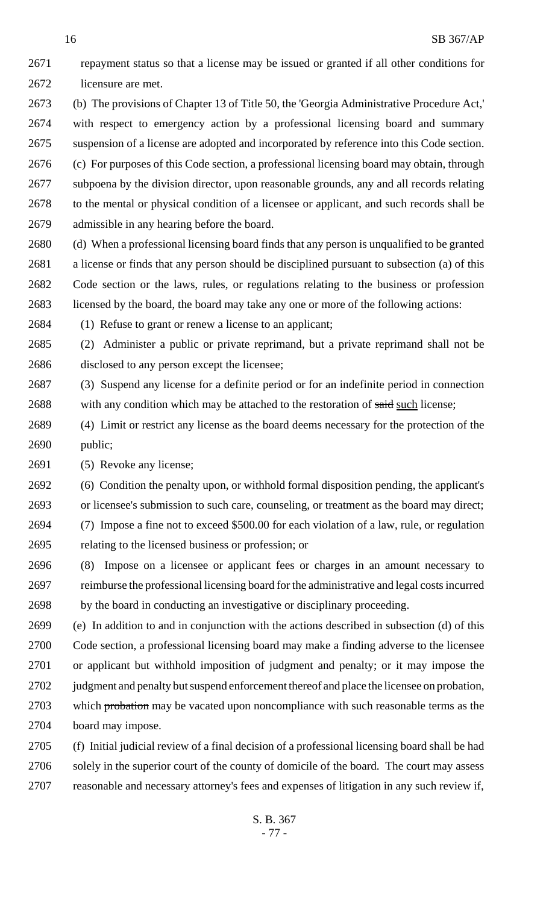repayment status so that a license may be issued or granted if all other conditions for licensure are met. (b) The provisions of Chapter 13 of Title 50, the 'Georgia Administrative Procedure Act,' with respect to emergency action by a professional licensing board and summary suspension of a license are adopted and incorporated by reference into this Code section. (c) For purposes of this Code section, a professional licensing board may obtain, through subpoena by the division director, upon reasonable grounds, any and all records relating to the mental or physical condition of a licensee or applicant, and such records shall be admissible in any hearing before the board. (d) When a professional licensing board finds that any person is unqualified to be granted a license or finds that any person should be disciplined pursuant to subsection (a) of this Code section or the laws, rules, or regulations relating to the business or profession licensed by the board, the board may take any one or more of the following actions: (1) Refuse to grant or renew a license to an applicant; (2) Administer a public or private reprimand, but a private reprimand shall not be disclosed to any person except the licensee; (3) Suspend any license for a definite period or for an indefinite period in connection 2688 with any condition which may be attached to the restoration of said such license; (4) Limit or restrict any license as the board deems necessary for the protection of the public; (5) Revoke any license; (6) Condition the penalty upon, or withhold formal disposition pending, the applicant's or licensee's submission to such care, counseling, or treatment as the board may direct; (7) Impose a fine not to exceed \$500.00 for each violation of a law, rule, or regulation relating to the licensed business or profession; or (8) Impose on a licensee or applicant fees or charges in an amount necessary to reimburse the professional licensing board for the administrative and legal costs incurred by the board in conducting an investigative or disciplinary proceeding.

 (e) In addition to and in conjunction with the actions described in subsection (d) of this Code section, a professional licensing board may make a finding adverse to the licensee or applicant but withhold imposition of judgment and penalty; or it may impose the judgment and penalty but suspend enforcement thereof and place the licensee on probation, 2703 which probation may be vacated upon noncompliance with such reasonable terms as the board may impose.

 (f) Initial judicial review of a final decision of a professional licensing board shall be had solely in the superior court of the county of domicile of the board. The court may assess reasonable and necessary attorney's fees and expenses of litigation in any such review if,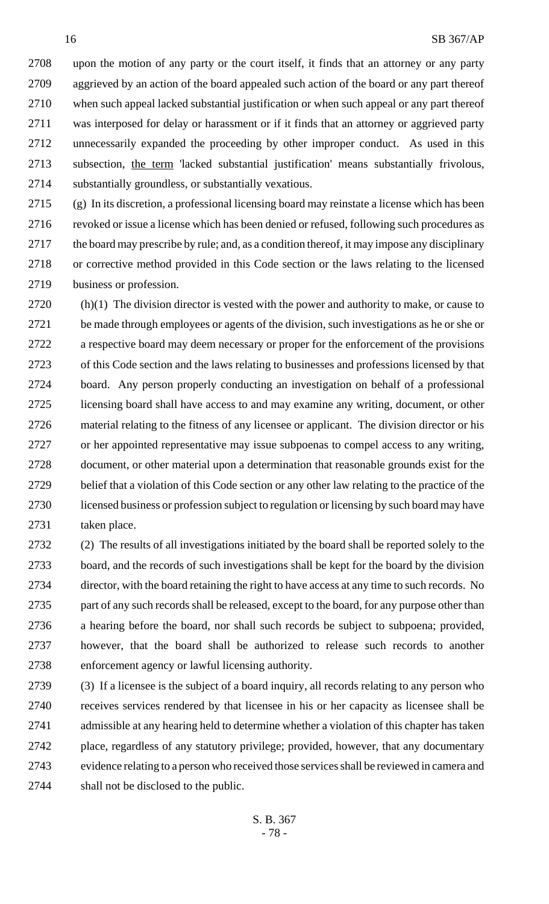upon the motion of any party or the court itself, it finds that an attorney or any party aggrieved by an action of the board appealed such action of the board or any part thereof when such appeal lacked substantial justification or when such appeal or any part thereof was interposed for delay or harassment or if it finds that an attorney or aggrieved party unnecessarily expanded the proceeding by other improper conduct. As used in this subsection, the term 'lacked substantial justification' means substantially frivolous, substantially groundless, or substantially vexatious.

 (g) In its discretion, a professional licensing board may reinstate a license which has been 2716 revoked or issue a license which has been denied or refused, following such procedures as the board may prescribe by rule; and, as a condition thereof, it may impose any disciplinary or corrective method provided in this Code section or the laws relating to the licensed business or profession.

 (h)(1) The division director is vested with the power and authority to make, or cause to be made through employees or agents of the division, such investigations as he or she or a respective board may deem necessary or proper for the enforcement of the provisions of this Code section and the laws relating to businesses and professions licensed by that board. Any person properly conducting an investigation on behalf of a professional licensing board shall have access to and may examine any writing, document, or other material relating to the fitness of any licensee or applicant. The division director or his or her appointed representative may issue subpoenas to compel access to any writing, document, or other material upon a determination that reasonable grounds exist for the belief that a violation of this Code section or any other law relating to the practice of the licensed business or profession subject to regulation or licensing by such board may have taken place.

 (2) The results of all investigations initiated by the board shall be reported solely to the board, and the records of such investigations shall be kept for the board by the division director, with the board retaining the right to have access at any time to such records. No part of any such records shall be released, except to the board, for any purpose other than a hearing before the board, nor shall such records be subject to subpoena; provided, however, that the board shall be authorized to release such records to another enforcement agency or lawful licensing authority.

 (3) If a licensee is the subject of a board inquiry, all records relating to any person who receives services rendered by that licensee in his or her capacity as licensee shall be admissible at any hearing held to determine whether a violation of this chapter has taken place, regardless of any statutory privilege; provided, however, that any documentary evidence relating to a person who received those services shall be reviewed in camera and shall not be disclosed to the public.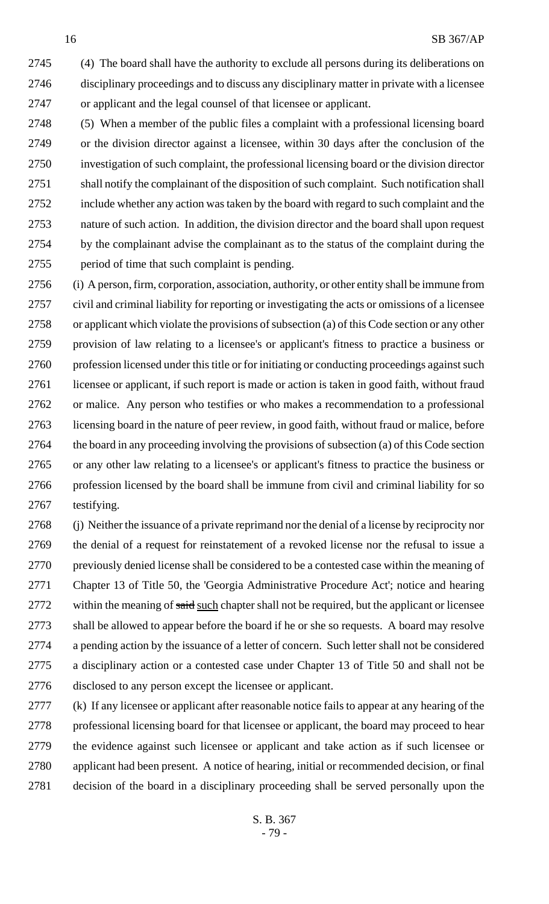(4) The board shall have the authority to exclude all persons during its deliberations on disciplinary proceedings and to discuss any disciplinary matter in private with a licensee or applicant and the legal counsel of that licensee or applicant.

 (5) When a member of the public files a complaint with a professional licensing board or the division director against a licensee, within 30 days after the conclusion of the investigation of such complaint, the professional licensing board or the division director shall notify the complainant of the disposition of such complaint. Such notification shall include whether any action was taken by the board with regard to such complaint and the nature of such action. In addition, the division director and the board shall upon request by the complainant advise the complainant as to the status of the complaint during the period of time that such complaint is pending.

 (i) A person, firm, corporation, association, authority, or other entity shall be immune from civil and criminal liability for reporting or investigating the acts or omissions of a licensee or applicant which violate the provisions of subsection (a) of this Code section or any other provision of law relating to a licensee's or applicant's fitness to practice a business or profession licensed under this title or for initiating or conducting proceedings against such 2761 licensee or applicant, if such report is made or action is taken in good faith, without fraud or malice. Any person who testifies or who makes a recommendation to a professional licensing board in the nature of peer review, in good faith, without fraud or malice, before the board in any proceeding involving the provisions of subsection (a) of this Code section or any other law relating to a licensee's or applicant's fitness to practice the business or profession licensed by the board shall be immune from civil and criminal liability for so testifying.

 (j) Neither the issuance of a private reprimand nor the denial of a license by reciprocity nor the denial of a request for reinstatement of a revoked license nor the refusal to issue a previously denied license shall be considered to be a contested case within the meaning of Chapter 13 of Title 50, the 'Georgia Administrative Procedure Act'; notice and hearing 2772 within the meaning of said such chapter shall not be required, but the applicant or licensee shall be allowed to appear before the board if he or she so requests. A board may resolve a pending action by the issuance of a letter of concern. Such letter shall not be considered a disciplinary action or a contested case under Chapter 13 of Title 50 and shall not be disclosed to any person except the licensee or applicant.

 (k) If any licensee or applicant after reasonable notice fails to appear at any hearing of the professional licensing board for that licensee or applicant, the board may proceed to hear the evidence against such licensee or applicant and take action as if such licensee or applicant had been present. A notice of hearing, initial or recommended decision, or final decision of the board in a disciplinary proceeding shall be served personally upon the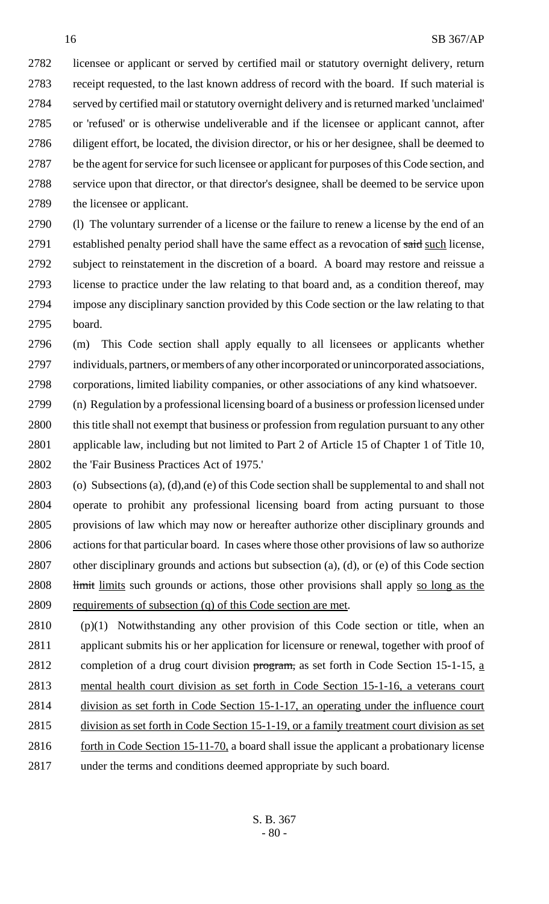licensee or applicant or served by certified mail or statutory overnight delivery, return receipt requested, to the last known address of record with the board. If such material is served by certified mail or statutory overnight delivery and is returned marked 'unclaimed' or 'refused' or is otherwise undeliverable and if the licensee or applicant cannot, after diligent effort, be located, the division director, or his or her designee, shall be deemed to be the agent for service for such licensee or applicant for purposes of this Code section, and service upon that director, or that director's designee, shall be deemed to be service upon the licensee or applicant.

 (l) The voluntary surrender of a license or the failure to renew a license by the end of an 2791 established penalty period shall have the same effect as a revocation of said such license, subject to reinstatement in the discretion of a board. A board may restore and reissue a license to practice under the law relating to that board and, as a condition thereof, may impose any disciplinary sanction provided by this Code section or the law relating to that board.

 (m) This Code section shall apply equally to all licensees or applicants whether individuals, partners, or members of any other incorporated or unincorporated associations, corporations, limited liability companies, or other associations of any kind whatsoever.

- (n) Regulation by a professional licensing board of a business or profession licensed under this title shall not exempt that business or profession from regulation pursuant to any other applicable law, including but not limited to Part 2 of Article 15 of Chapter 1 of Title 10, the 'Fair Business Practices Act of 1975.'
- (o) Subsections (a), (d),and (e) of this Code section shall be supplemental to and shall not operate to prohibit any professional licensing board from acting pursuant to those provisions of law which may now or hereafter authorize other disciplinary grounds and actions for that particular board. In cases where those other provisions of law so authorize other disciplinary grounds and actions but subsection (a), (d), or (e) of this Code section 2808 limit limits such grounds or actions, those other provisions shall apply so long as the requirements of subsection (q) of this Code section are met.
- (p)(1) Notwithstanding any other provision of this Code section or title, when an applicant submits his or her application for licensure or renewal, together with proof of 2812 completion of a drug court division program, as set forth in Code Section 15-1-15, a mental health court division as set forth in Code Section 15-1-16, a veterans court 2814 division as set forth in Code Section 15-1-17, an operating under the influence court division as set forth in Code Section 15-1-19, or a family treatment court division as set 2816 forth in Code Section 15-11-70, a board shall issue the applicant a probationary license under the terms and conditions deemed appropriate by such board.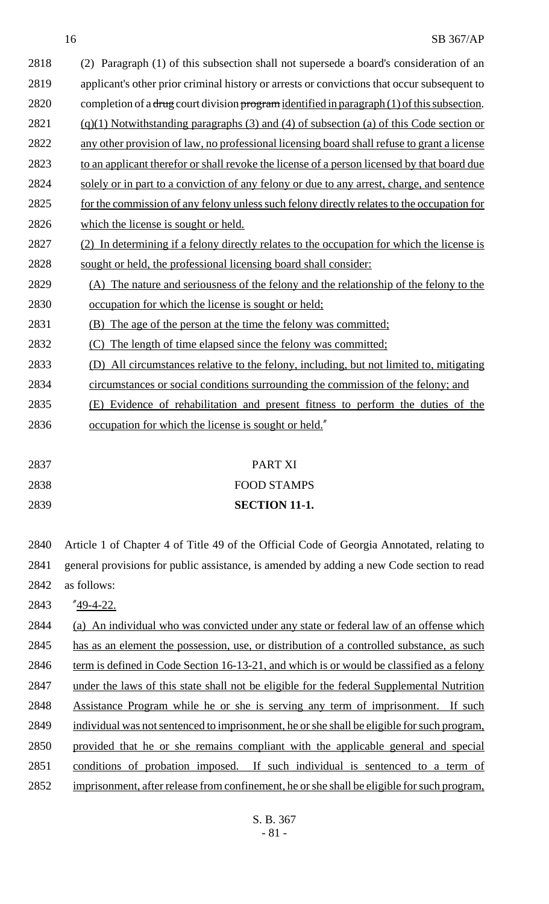| 2818 | Paragraph (1) of this subsection shall not supersede a board's consideration of an<br>(2)   |
|------|---------------------------------------------------------------------------------------------|
| 2819 | applicant's other prior criminal history or arrests or convictions that occur subsequent to |
| 2820 | completion of a drug court division program identified in paragraph (1) of this subsection. |
| 2821 | $(q)(1)$ Notwithstanding paragraphs (3) and (4) of subsection (a) of this Code section or   |
| 2822 | any other provision of law, no professional licensing board shall refuse to grant a license |
| 2823 | to an applicant therefor or shall revoke the license of a person licensed by that board due |
| 2824 | solely or in part to a conviction of any felony or due to any arrest, charge, and sentence  |
| 2825 | for the commission of any felony unless such felony directly relates to the occupation for  |
| 2826 | which the license is sought or held.                                                        |
| 2827 | (2) In determining if a felony directly relates to the occupation for which the license is  |
| 2828 | sought or held, the professional licensing board shall consider:                            |
| 2829 | (A) The nature and seriousness of the felony and the relationship of the felony to the      |
| 2830 | occupation for which the license is sought or held;                                         |
| 2831 | (B) The age of the person at the time the felony was committed;                             |
| 2832 | The length of time elapsed since the felony was committed;<br>(C)                           |
| 2833 | (D) All circumstances relative to the felony, including, but not limited to, mitigating     |
| 2834 | circumstances or social conditions surrounding the commission of the felony; and            |
| 2835 | (E) Evidence of rehabilitation and present fitness to perform the duties of the             |
| 2836 | occupation for which the license is sought or held."                                        |
|      |                                                                                             |
| 2837 | PART XI                                                                                     |
| 2838 | <b>FOOD STAMPS</b>                                                                          |
| 2839 | <b>SECTION 11-1.</b>                                                                        |
|      |                                                                                             |
| 2840 | Article 1 of Chapter 4 of Title 49 of the Official Code of Georgia Annotated, relating to   |
| 2841 | general provisions for public assistance, is amended by adding a new Code section to read   |
| 2842 | as follows:                                                                                 |
| 2843 | $"49-4-22.$                                                                                 |
| 2844 | (a) An individual who was convicted under any state or federal law of an offense which      |
| 2845 | has as an element the possession, use, or distribution of a controlled substance, as such   |
| 2846 | term is defined in Code Section 16-13-21, and which is or would be classified as a felony   |
| 2847 | under the laws of this state shall not be eligible for the federal Supplemental Nutrition   |
| 2848 | Assistance Program while he or she is serving any term of imprisonment. If such             |
| 2849 | individual was not sentenced to imprisonment, he or she shall be eligible for such program, |
| 2850 | provided that he or she remains compliant with the applicable general and special           |
| 2851 | conditions of probation imposed. If such individual is sentenced to a term of               |
| 2852 | imprisonment, after release from confinement, he or she shall be eligible for such program, |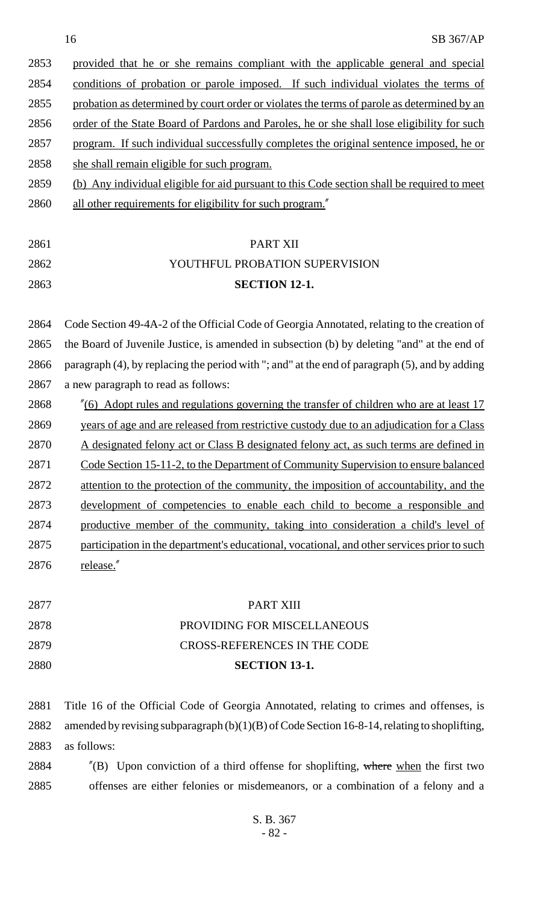| 2853 | provided that he or she remains compliant with the applicable general and special           |
|------|---------------------------------------------------------------------------------------------|
| 2854 | conditions of probation or parole imposed. If such individual violates the terms of         |
| 2855 | probation as determined by court order or violates the terms of parole as determined by an  |
| 2856 | order of the State Board of Pardons and Paroles, he or she shall lose eligibility for such  |
| 2857 | program. If such individual successfully completes the original sentence imposed, he or     |
| 2858 | she shall remain eligible for such program.                                                 |
| 2859 | (b) Any individual eligible for aid pursuant to this Code section shall be required to meet |
| 2860 | all other requirements for eligibility for such program."                                   |
|      |                                                                                             |

| 2861 | PART XII                       |
|------|--------------------------------|
| 2862 | YOUTHFUL PROBATION SUPERVISION |
| 2863 | <b>SECTION 12-1.</b>           |

 Code Section 49-4A-2 of the Official Code of Georgia Annotated, relating to the creation of the Board of Juvenile Justice, is amended in subsection (b) by deleting "and" at the end of paragraph (4), by replacing the period with "; and" at the end of paragraph (5), and by adding a new paragraph to read as follows:

 "(6) Adopt rules and regulations governing the transfer of children who are at least 17 2869 years of age and are released from restrictive custody due to an adjudication for a Class A designated felony act or Class B designated felony act, as such terms are defined in 2871 Code Section 15-11-2, to the Department of Community Supervision to ensure balanced attention to the protection of the community, the imposition of accountability, and the development of competencies to enable each child to become a responsible and productive member of the community, taking into consideration a child's level of participation in the department's educational, vocational, and other services prior to such release."

| 2880 | <b>SECTION 13-1.</b>               |
|------|------------------------------------|
| 2879 | CROSS-REFERENCES IN THE CODE       |
| 2878 | <b>PROVIDING FOR MISCELLANEOUS</b> |
| 2877 | PART XIII                          |

 Title 16 of the Official Code of Georgia Annotated, relating to crimes and offenses, is amended by revising subparagraph (b)(1)(B) of Code Section 16-8-14, relating to shoplifting, as follows:

2884  $\degree$  (B) Upon conviction of a third offense for shoplifting, where when the first two offenses are either felonies or misdemeanors, or a combination of a felony and a

> S. B. 367 - 82 -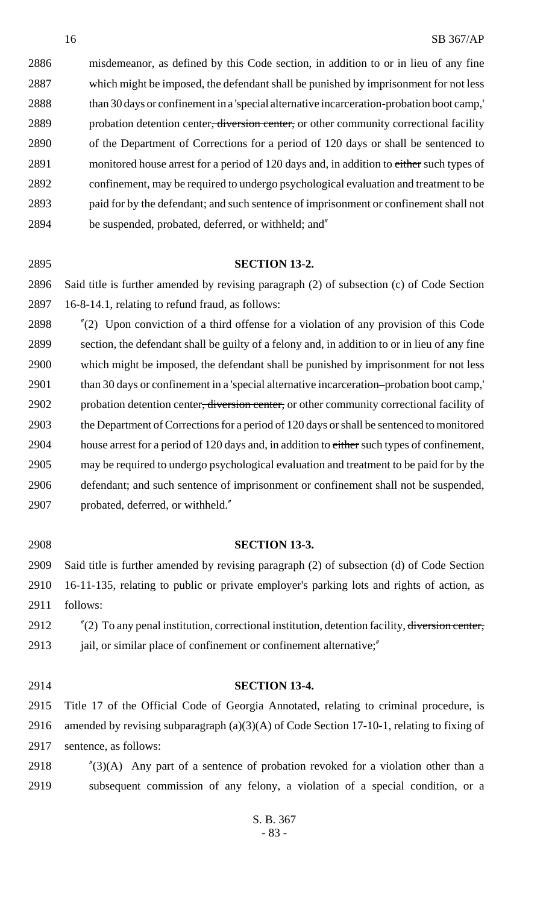misdemeanor, as defined by this Code section, in addition to or in lieu of any fine which might be imposed, the defendant shall be punished by imprisonment for not less than 30 days or confinement in a 'special alternative incarceration-probation boot camp,' 2889 probation detention center, diversion center, or other community correctional facility of the Department of Corrections for a period of 120 days or shall be sentenced to 2891 monitored house arrest for a period of 120 days and, in addition to either such types of confinement, may be required to undergo psychological evaluation and treatment to be paid for by the defendant; and such sentence of imprisonment or confinement shall not be suspended, probated, deferred, or withheld; and"

## **SECTION 13-2.**

 Said title is further amended by revising paragraph (2) of subsection (c) of Code Section 16-8-14.1, relating to refund fraud, as follows:

 "(2) Upon conviction of a third offense for a violation of any provision of this Code section, the defendant shall be guilty of a felony and, in addition to or in lieu of any fine which might be imposed, the defendant shall be punished by imprisonment for not less than 30 days or confinement in a 'special alternative incarceration–probation boot camp,' 2902 probation detention center, diversion center, or other community correctional facility of the Department of Corrections for a period of 120 days or shall be sentenced to monitored 2904 house arrest for a period of 120 days and, in addition to either such types of confinement, may be required to undergo psychological evaluation and treatment to be paid for by the defendant; and such sentence of imprisonment or confinement shall not be suspended, probated, deferred, or withheld."

 **SECTION 13-3.** Said title is further amended by revising paragraph (2) of subsection (d) of Code Section 16-11-135, relating to public or private employer's parking lots and rights of action, as follows:

 "(2) To any penal institution, correctional institution, detention facility, diversion center, 2913 jail, or similar place of confinement or confinement alternative;"

## **SECTION 13-4.**

 Title 17 of the Official Code of Georgia Annotated, relating to criminal procedure, is amended by revising subparagraph (a)(3)(A) of Code Section 17-10-1, relating to fixing of sentence, as follows:

2918  $\frac{1}{2}(3)(A)$  Any part of a sentence of probation revoked for a violation other than a subsequent commission of any felony, a violation of a special condition, or a